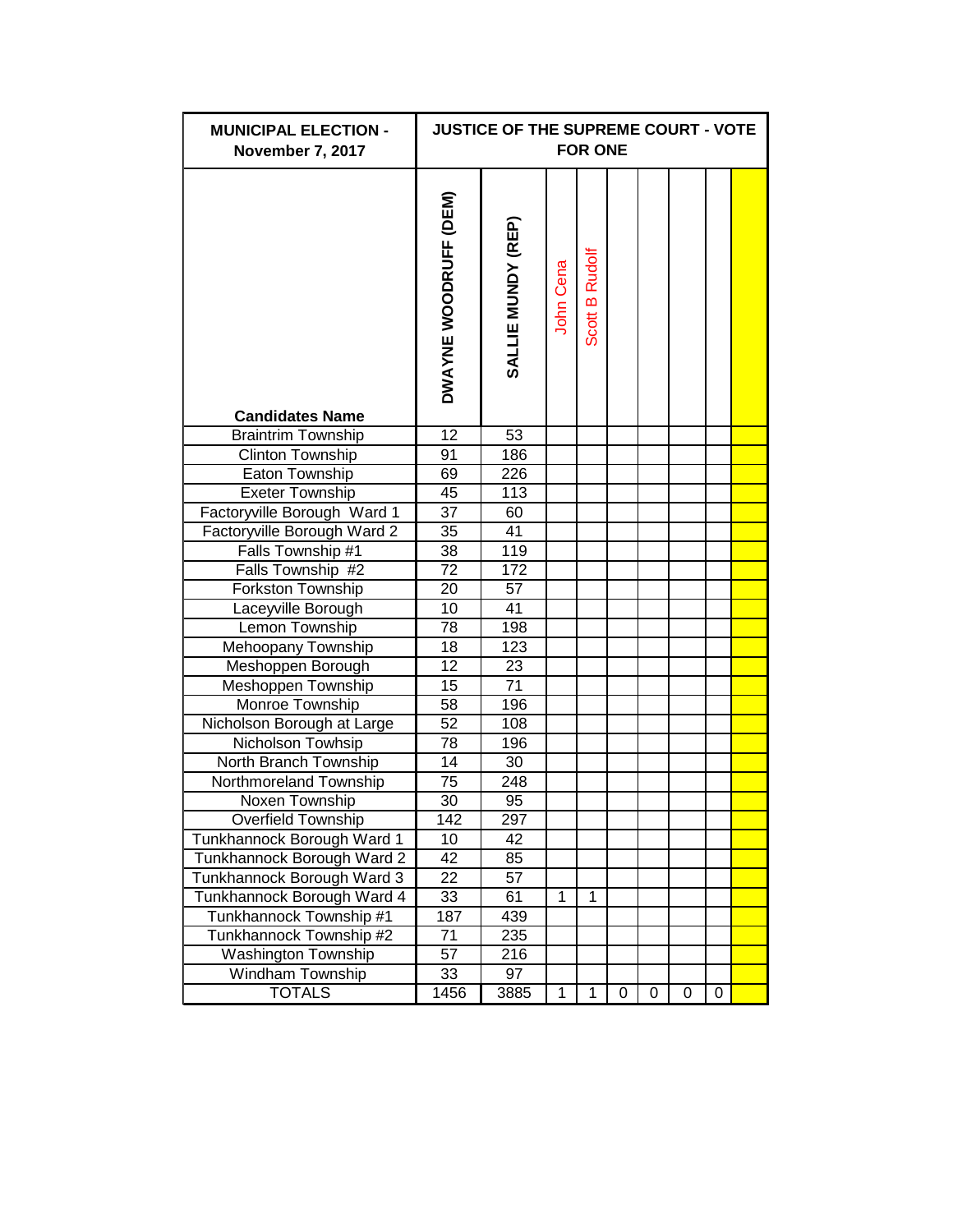| <b>MUNICIPAL ELECTION -</b><br>November 7, 2017 |                              | <b>JUSTICE OF THE SUPREME COURT - VOTE</b> |           | <b>FOR ONE</b> |   |   |   |   |  |
|-------------------------------------------------|------------------------------|--------------------------------------------|-----------|----------------|---|---|---|---|--|
| <b>Candidates Name</b>                          | <b>DWAYNE WOODRUFF (DEM)</b> | SALLIE MUNDY (REP)                         | John Cena | Scott B Rudolf |   |   |   |   |  |
| <b>Braintrim Township</b>                       | $\overline{12}$              | 53                                         |           |                |   |   |   |   |  |
| Clinton Township                                | 91                           | 186                                        |           |                |   |   |   |   |  |
| Eaton Township                                  | 69                           | 226                                        |           |                |   |   |   |   |  |
| <b>Exeter Township</b>                          | 45                           | 113                                        |           |                |   |   |   |   |  |
| Factoryville Borough Ward 1                     | $\overline{37}$              | 60                                         |           |                |   |   |   |   |  |
| Factoryville Borough Ward 2                     | 35                           | 41                                         |           |                |   |   |   |   |  |
| Falls Township #1                               | 38                           | 119                                        |           |                |   |   |   |   |  |
| Falls Township #2                               | $\overline{72}$              | 172                                        |           |                |   |   |   |   |  |
| <b>Forkston Township</b>                        | 20                           | $\overline{57}$                            |           |                |   |   |   |   |  |
| Laceyville Borough                              | 10                           | $\overline{41}$                            |           |                |   |   |   |   |  |
| Lemon Township                                  | 78                           | 198                                        |           |                |   |   |   |   |  |
| Mehoopany Township                              | 18                           | 123                                        |           |                |   |   |   |   |  |
| Meshoppen Borough                               | 12                           | 23                                         |           |                |   |   |   |   |  |
| Meshoppen Township                              | 15                           | 71                                         |           |                |   |   |   |   |  |
| Monroe Township                                 | 58                           | 196                                        |           |                |   |   |   |   |  |
| Nicholson Borough at Large                      | 52                           | 108                                        |           |                |   |   |   |   |  |
| Nicholson Towhsip                               | 78                           | 196                                        |           |                |   |   |   |   |  |
| North Branch Township                           | 14                           | 30                                         |           |                |   |   |   |   |  |
| Northmoreland Township                          | 75                           | 248                                        |           |                |   |   |   |   |  |
| Noxen Township                                  | 30                           | 95                                         |           |                |   |   |   |   |  |
| Overfield Township                              | 142                          | 297                                        |           |                |   |   |   |   |  |
| Tunkhannock Borough Ward 1                      | 10                           | 42                                         |           |                |   |   |   |   |  |
| Tunkhannock Borough Ward 2                      | 42                           | 85                                         |           |                |   |   |   |   |  |
| Tunkhannock Borough Ward 3                      | 22                           | 57                                         |           |                |   |   |   |   |  |
| Tunkhannock Borough Ward 4                      | 33                           | 61                                         | 1         | 1              |   |   |   |   |  |
| Tunkhannock Township #1                         | 187                          | 439                                        |           |                |   |   |   |   |  |
| Tunkhannock Township #2                         | 71                           | 235                                        |           |                |   |   |   |   |  |
| Washington Township                             | 57                           | 216                                        |           |                |   |   |   |   |  |
| Windham Township                                | 33                           | 97                                         |           |                |   |   |   |   |  |
| <b>TOTALS</b>                                   | 1456                         | 3885                                       | 1         | 1              | 0 | 0 | 0 | 0 |  |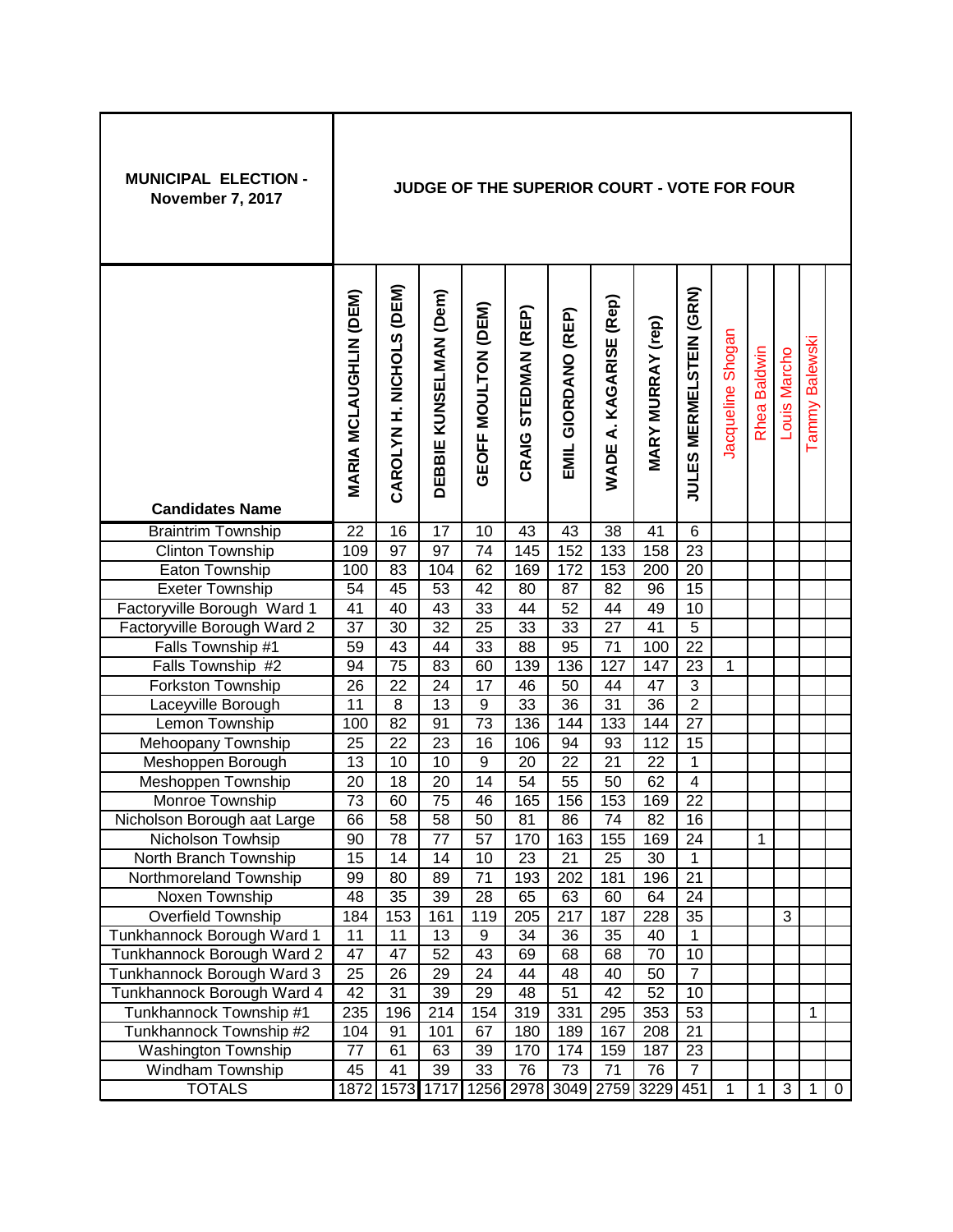| <b>MUNICIPAL ELECTION -</b><br>November 7, 2017      |                               |                          |                        |                     | JUDGE OF THE SUPERIOR COURT - VOTE FOR FOUR |                     |                                  |                          |                                |                   |              |              |                          |             |
|------------------------------------------------------|-------------------------------|--------------------------|------------------------|---------------------|---------------------------------------------|---------------------|----------------------------------|--------------------------|--------------------------------|-------------------|--------------|--------------|--------------------------|-------------|
| <b>Candidates Name</b>                               | <b>MARIA MCLAUGHLIN (DEM)</b> | CAROLYN H. NICHOLS (DEM) | DEBBIE KUNSELMAN (Dem) | GEOFF MOULTON (DEM) | CRAIG STEDMAN (REP)                         | EMIL GIORDANO (REP) | A. KAGARISE (Rep)<br><b>WADE</b> | <b>MARY MURRAY (rep)</b> | <b>JULES MERMELSTEIN (GRN)</b> | Jacqueline Shogan | Rhea Baldwin | Louis Marcho | <b>Balewski</b><br>Tammy |             |
|                                                      | 22                            | 16                       | $\overline{17}$        | 10                  | 43                                          | 43                  | $\overline{38}$                  | 41                       | $\,6$                          |                   |              |              |                          |             |
| <b>Braintrim Township</b><br><b>Clinton Township</b> | 109                           | 97                       | 97                     | 74                  | 145                                         | 152                 | 133                              | 158                      | 23                             |                   |              |              |                          |             |
| Eaton Township                                       | 100                           | 83                       | 104                    | 62                  | 169                                         | 172                 | 153                              | 200                      | $\overline{20}$                |                   |              |              |                          |             |
| <b>Exeter Township</b>                               | $\overline{54}$               | 45                       | $\overline{53}$        | $\overline{42}$     | 80                                          | $\overline{87}$     | $\overline{82}$                  | 96                       | $\overline{15}$                |                   |              |              |                          |             |
| Factoryville Borough Ward 1                          | 41                            | 40                       | 43                     | $\overline{33}$     | 44                                          | 52                  | 44                               | 49                       | 10                             |                   |              |              |                          |             |
| Factoryville Borough Ward 2                          | $\overline{37}$               | 30                       | $\overline{32}$        | $\overline{25}$     | 33                                          | 33                  | $\overline{27}$                  | $\overline{41}$          | $\overline{5}$                 |                   |              |              |                          |             |
| Falls Township #1                                    | 59                            | 43                       | 44                     | 33                  | 88                                          | 95                  | 71                               | 100                      | $\overline{22}$                |                   |              |              |                          |             |
| Falls Township #2                                    | 94                            | $\overline{75}$          | 83                     | 60                  | 139                                         | 136                 | 127                              | 147                      | 23                             | 1                 |              |              |                          |             |
| Forkston Township                                    | 26                            | 22                       | 24                     | 17                  | 46                                          | 50                  | 44                               | 47                       | 3                              |                   |              |              |                          |             |
| Laceyville Borough                                   | 11                            | 8                        | 13                     | 9                   | 33                                          | 36                  | 31                               | $\overline{36}$          | $\overline{2}$                 |                   |              |              |                          |             |
| Lemon Township                                       | 100                           | $\overline{82}$          | 91                     | $\overline{73}$     | 136                                         | 144                 | 133                              | 144                      | 27                             |                   |              |              |                          |             |
| Mehoopany Township                                   | $\overline{25}$               | 22                       | 23                     | $\overline{16}$     | 106                                         | 94                  | 93                               | 112                      | 15                             |                   |              |              |                          |             |
| Meshoppen Borough                                    | 13                            | 10                       | 10                     | $\boldsymbol{9}$    | 20                                          | 22                  | 21                               | 22                       | $\mathbf{1}$                   |                   |              |              |                          |             |
| Meshoppen Township                                   | $\overline{20}$               | 18                       | 20                     | $\overline{14}$     | $\overline{54}$                             | $\overline{55}$     | 50                               | 62                       | $\overline{4}$                 |                   |              |              |                          |             |
| Monroe Township                                      | $\overline{73}$               | 60                       | 75                     | 46                  | 165                                         | 156                 | 153                              | 169                      | $\overline{22}$                |                   |              |              |                          |             |
| Nicholson Borough aat Large                          | 66                            | 58                       | 58                     | 50                  | 81                                          | 86                  | 74                               | 82                       | 16                             |                   |              |              |                          |             |
| Nicholson Towhsip                                    | 90                            | 78                       | 77                     | 57                  | 170                                         | 163                 | 155                              | 169                      | 24                             |                   | 1            |              |                          |             |
| North Branch Township                                | $\overline{15}$               | 14                       | 14                     | 10                  | 23                                          | 21                  | $\overline{25}$                  | 30                       | $\mathbf{1}$                   |                   |              |              |                          |             |
| Northmoreland Township                               | 99                            | 80                       | 89                     | 71                  | 193                                         | 202                 | 181                              | 196                      | $\overline{21}$                |                   |              |              |                          |             |
| Noxen Township                                       | 48                            | 35                       | 39                     | 28                  | 65                                          | 63                  | 60                               | 64                       | 24                             |                   |              |              |                          |             |
| Overfield Township                                   | 184                           | 153                      | 161                    | 119                 | 205                                         | 217                 | 187                              | 228                      | 35                             |                   |              | 3            |                          |             |
| Tunkhannock Borough Ward 1                           | 11                            | 11                       | 13                     | 9                   | 34                                          | 36                  | 35                               | 40                       | $\mathbf{1}$                   |                   |              |              |                          |             |
| Tunkhannock Borough Ward 2                           | 47                            | 47                       | 52                     | 43                  | 69                                          | 68                  | 68                               | 70                       | 10                             |                   |              |              |                          |             |
| Tunkhannock Borough Ward 3                           | 25                            | 26                       | 29                     | 24                  | 44                                          | 48                  | 40                               | 50                       | $\overline{7}$                 |                   |              |              |                          |             |
| Tunkhannock Borough Ward 4                           | 42                            | 31                       | 39                     | 29                  | 48                                          | 51                  | 42                               | 52                       | 10                             |                   |              |              |                          |             |
| Tunkhannock Township #1                              | 235                           | 196                      | 214                    | 154                 | 319                                         | 331                 | 295                              | 353                      | 53                             |                   |              |              | 1                        |             |
| Tunkhannock Township #2                              | 104                           | 91                       | 101                    | 67                  | 180                                         | 189                 | 167                              | 208                      | 21                             |                   |              |              |                          |             |
| <b>Washington Township</b>                           | $\overline{77}$               | 61                       | 63                     | 39                  | 170                                         | 174                 | 159                              | 187                      | 23                             |                   |              |              |                          |             |
| Windham Township                                     | 45                            | 41                       | 39                     | 33                  | 76                                          | 73                  | 71                               | 76                       | $\overline{7}$                 |                   |              |              |                          |             |
| <b>TOTALS</b>                                        | 1872                          | 1573                     | 1717                   |                     | 1256 2978 3049 2759 3229 451                |                     |                                  |                          |                                | 1                 | 1            | 3            | 1                        | $\mathbf 0$ |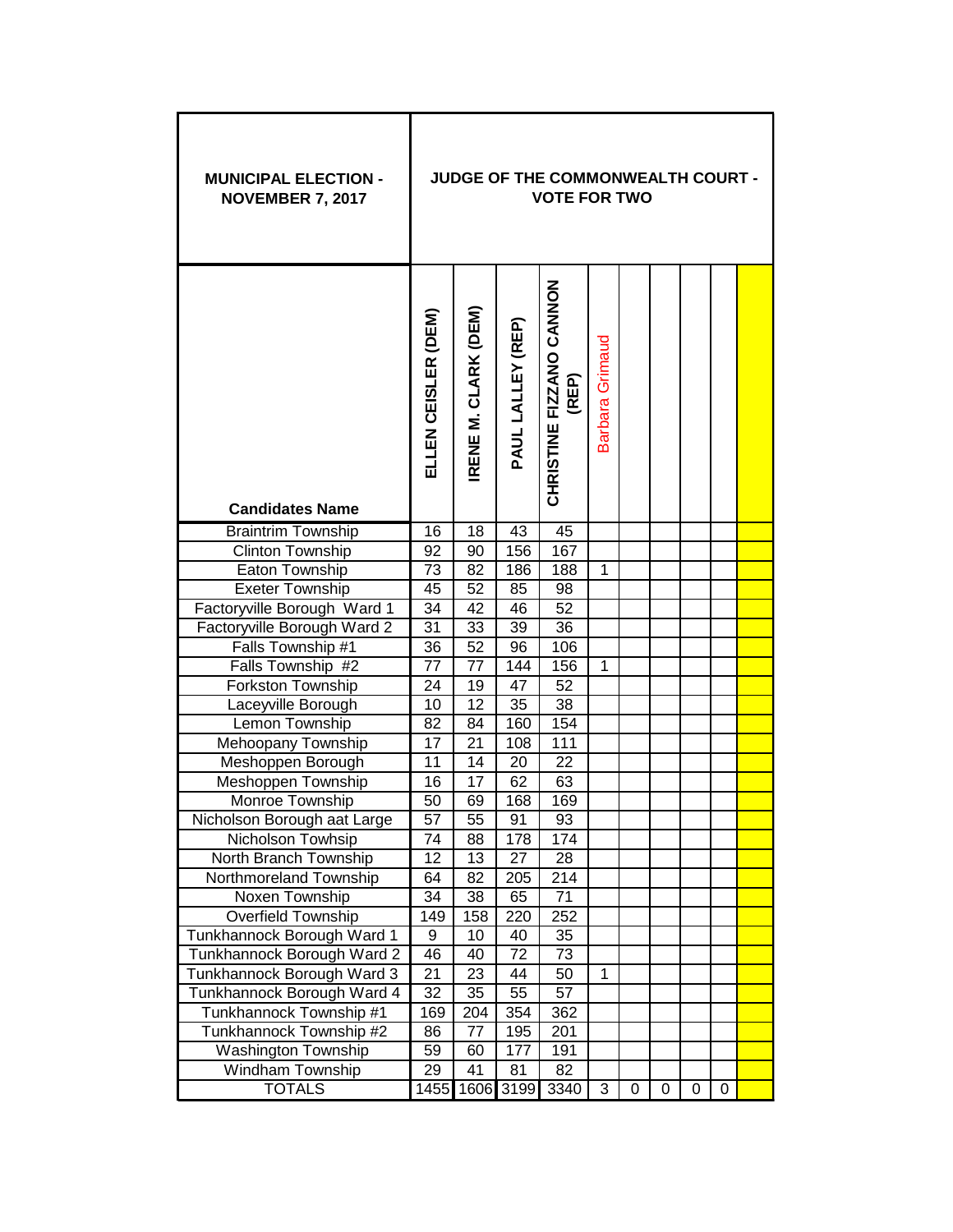| <b>MUNICIPAL ELECTION -</b><br><b>NOVEMBER 7, 2017</b> |                     |                                |                   | JUDGE OF THE COMMONWEALTH COURT -<br><b>VOTE FOR TWO</b> |                 |   |   |   |   |  |
|--------------------------------------------------------|---------------------|--------------------------------|-------------------|----------------------------------------------------------|-----------------|---|---|---|---|--|
| <b>Candidates Name</b>                                 | ELLEN CEISLER (DEM) | M. CLARK (DEM)<br><b>IRENE</b> | PAUL LALLEY (REP) | CHRISTINE FIZANO CANNON<br>(REP)                         | Barbara Grimaud |   |   |   |   |  |
| <b>Braintrim Township</b>                              | 16                  | 18                             | 43                | 45                                                       |                 |   |   |   |   |  |
| Clinton Township                                       | 92                  | $\overline{90}$                | 156               | 167                                                      |                 |   |   |   |   |  |
| Eaton Township                                         | 73                  | 82                             | 186               | 188                                                      | 1               |   |   |   |   |  |
| <b>Exeter Township</b>                                 | 45                  | 52                             | 85                | 98                                                       |                 |   |   |   |   |  |
| Factoryville Borough Ward 1                            | 34                  | 42                             | 46                | $\overline{52}$                                          |                 |   |   |   |   |  |
| Factoryville Borough Ward 2                            | 31                  | 33                             | 39                | 36                                                       |                 |   |   |   |   |  |
| Falls Township #1                                      | 36                  | 52                             | 96                | 106                                                      |                 |   |   |   |   |  |
| Falls Township #2                                      | 77                  | 77                             | 144               | 156                                                      | 1               |   |   |   |   |  |
| Forkston Township                                      | 24                  | 19                             | 47                | 52                                                       |                 |   |   |   |   |  |
| Laceyville Borough                                     | 10                  | 12                             | 35                | 38                                                       |                 |   |   |   |   |  |
| Lemon Township                                         | 82                  | 84                             | 160               | 154                                                      |                 |   |   |   |   |  |
| Mehoopany Township                                     | 17                  | 21                             | 108               | 111                                                      |                 |   |   |   |   |  |
| Meshoppen Borough                                      | 11                  | 14                             | 20                | 22                                                       |                 |   |   |   |   |  |
| Meshoppen Township                                     | 16                  | 17                             | 62                | 63                                                       |                 |   |   |   |   |  |
| Monroe Township                                        | 50                  | 69                             | 168               | 169                                                      |                 |   |   |   |   |  |
| Nicholson Borough aat Large                            | 57                  | 55                             | 91                | 93                                                       |                 |   |   |   |   |  |
| Nicholson Towhsip                                      | 74                  | 88                             | 178               | 174                                                      |                 |   |   |   |   |  |
| North Branch Township                                  | 12                  | 13                             | 27                | 28                                                       |                 |   |   |   |   |  |
| Northmoreland Township                                 | 64                  | 82                             | 205               | 214                                                      |                 |   |   |   |   |  |
| Noxen Township                                         | 34                  | 38                             | 65                | 71                                                       |                 |   |   |   |   |  |
| Overfield Township                                     | 149                 | 158                            | 220               | 252                                                      |                 |   |   |   |   |  |
| Tunkhannock Borough Ward 1                             | 9                   | 10                             | 40                | 35                                                       |                 |   |   |   |   |  |
| Tunkhannock Borough Ward 2                             | 46                  | 40                             | 72                | 73                                                       |                 |   |   |   |   |  |
| Tunkhannock Borough Ward 3                             | 21                  | 23                             | 44                | 50                                                       | 1               |   |   |   |   |  |
| Tunkhannock Borough Ward 4                             | 32                  | 35                             | 55                | 57                                                       |                 |   |   |   |   |  |
| Tunkhannock Township #1                                | 169                 | 204                            | 354               | 362                                                      |                 |   |   |   |   |  |
| Tunkhannock Township #2                                | 86                  | 77                             | 195               | 201                                                      |                 |   |   |   |   |  |
| <b>Washington Township</b><br>Windham Township         | 59<br>29            | 60<br>41                       | 177<br>81         | 191<br>82                                                |                 |   |   |   |   |  |
| <b>TOTALS</b>                                          | 1455                | 1606                           | 3199              | 3340                                                     | 3               | 0 | 0 | 0 | 0 |  |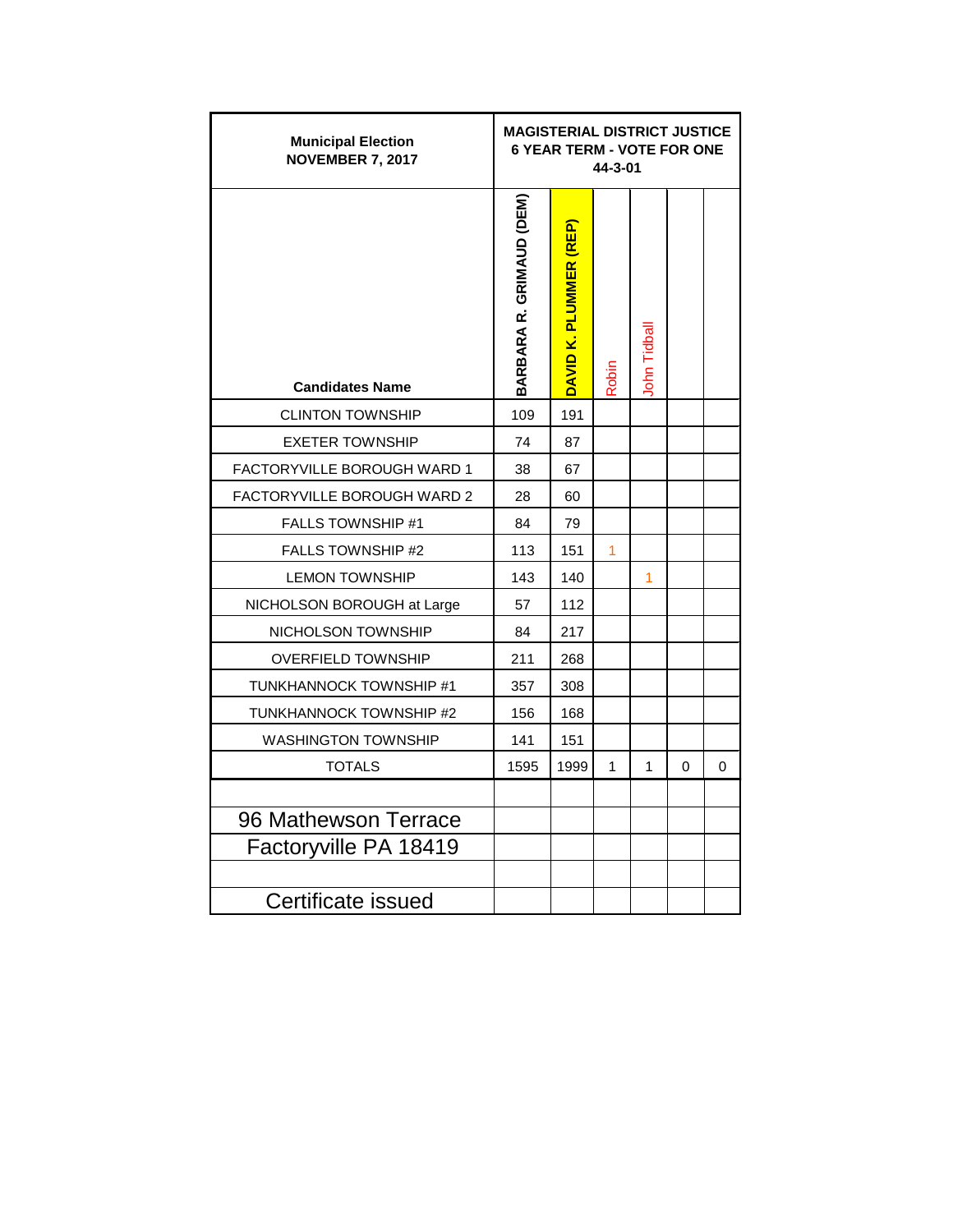| <b>Municipal Election</b><br><b>NOVEMBER 7, 2017</b> | <b>MAGISTERIAL DISTRICT JUSTICE</b> | <b>6 YEAR TERM - VOTE FOR ONE</b> | 44-3-01 |             |          |   |
|------------------------------------------------------|-------------------------------------|-----------------------------------|---------|-------------|----------|---|
| <b>Candidates Name</b>                               | BARBARA R. GRIMAUD (DEM)            | DAVID K. PLUMMER (REP)            | Robin   | lohn Tidbal |          |   |
| <b>CLINTON TOWNSHIP</b>                              | 109                                 | 191                               |         |             |          |   |
| <b>EXETER TOWNSHIP</b>                               | 74                                  | 87                                |         |             |          |   |
| FACTORYVILLE BOROUGH WARD 1                          | 38                                  | 67                                |         |             |          |   |
| FACTORYVILLE BOROUGH WARD 2                          | 28                                  | 60                                |         |             |          |   |
| <b>FALLS TOWNSHIP #1</b>                             | 84                                  | 79                                |         |             |          |   |
| <b>FALLS TOWNSHIP #2</b>                             | 113                                 | 151                               | 1       |             |          |   |
| <b>LEMON TOWNSHIP</b>                                | 143                                 | 140                               |         | 1           |          |   |
| NICHOLSON BOROUGH at Large                           | 57                                  | 112                               |         |             |          |   |
| NICHOLSON TOWNSHIP                                   | 84                                  | 217                               |         |             |          |   |
| <b>OVERFIELD TOWNSHIP</b>                            | 211                                 | 268                               |         |             |          |   |
| TUNKHANNOCK TOWNSHIP #1                              | 357                                 | 308                               |         |             |          |   |
| TUNKHANNOCK TOWNSHIP #2                              | 156                                 | 168                               |         |             |          |   |
| <b>WASHINGTON TOWNSHIP</b>                           | 141                                 | 151                               |         |             |          |   |
| <b>TOTALS</b>                                        | 1595                                | 1999                              | 1       | 1           | $\Omega$ | 0 |
| 96 Mathewson Terrace<br>Factoryville PA 18419        |                                     |                                   |         |             |          |   |
| Certificate issued                                   |                                     |                                   |         |             |          |   |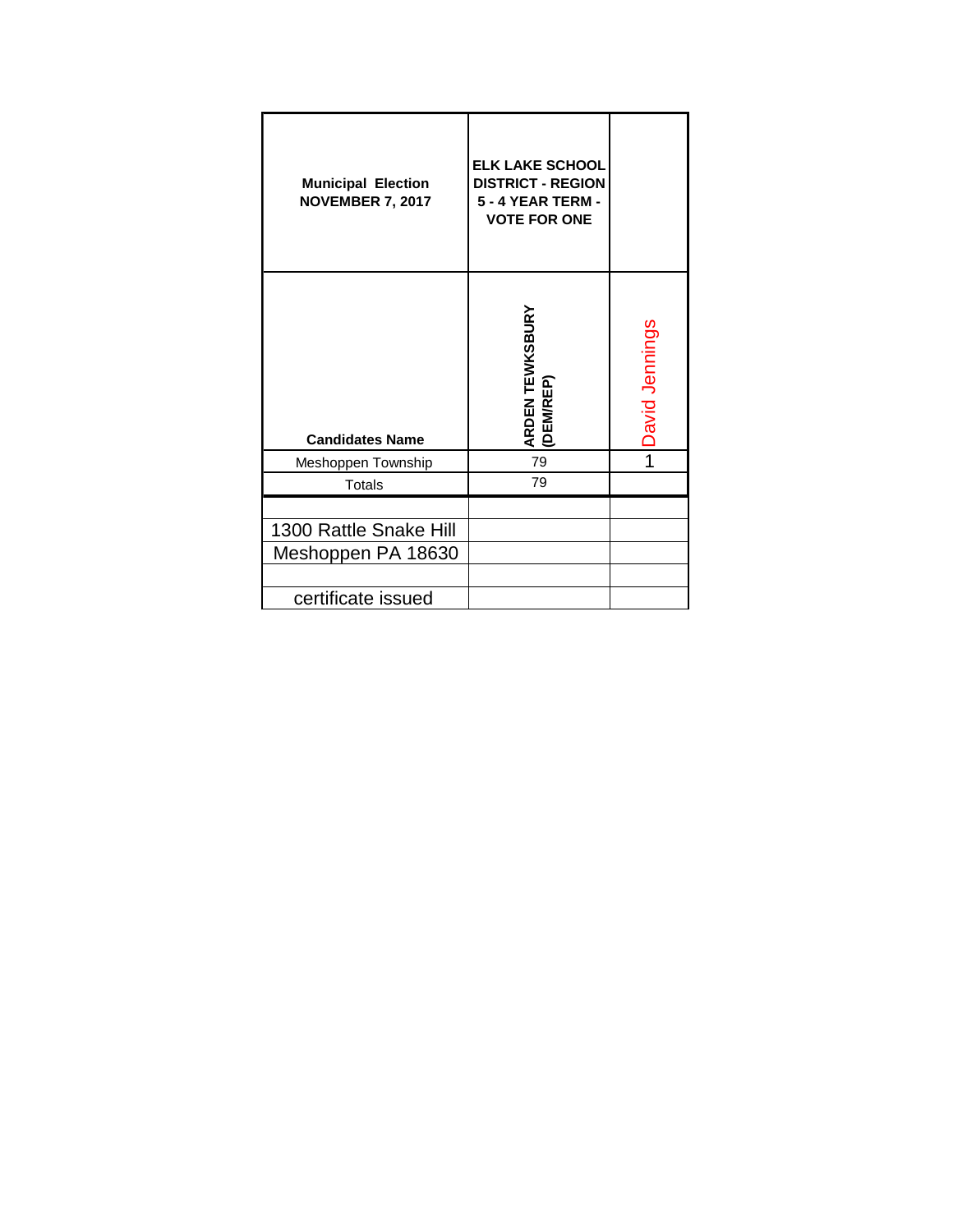| <b>Municipal Election</b><br><b>NOVEMBER 7, 2017</b> | <b>ELK LAKE SCHOOL</b><br><b>DISTRICT - REGION</b><br><b>5 - 4 YEAR TERM -</b><br><b>VOTE FOR ONE</b> |                |
|------------------------------------------------------|-------------------------------------------------------------------------------------------------------|----------------|
| <b>Candidates Name</b>                               | ARDEN TEWKSBURY<br>(DEM/REP)                                                                          | David Jennings |
| Meshoppen Township                                   | 79                                                                                                    |                |
| Totals                                               | 79                                                                                                    |                |
|                                                      |                                                                                                       |                |
| 1300 Rattle Snake Hill                               |                                                                                                       |                |
| Meshoppen PA 18630                                   |                                                                                                       |                |
|                                                      |                                                                                                       |                |
| certificate issued                                   |                                                                                                       |                |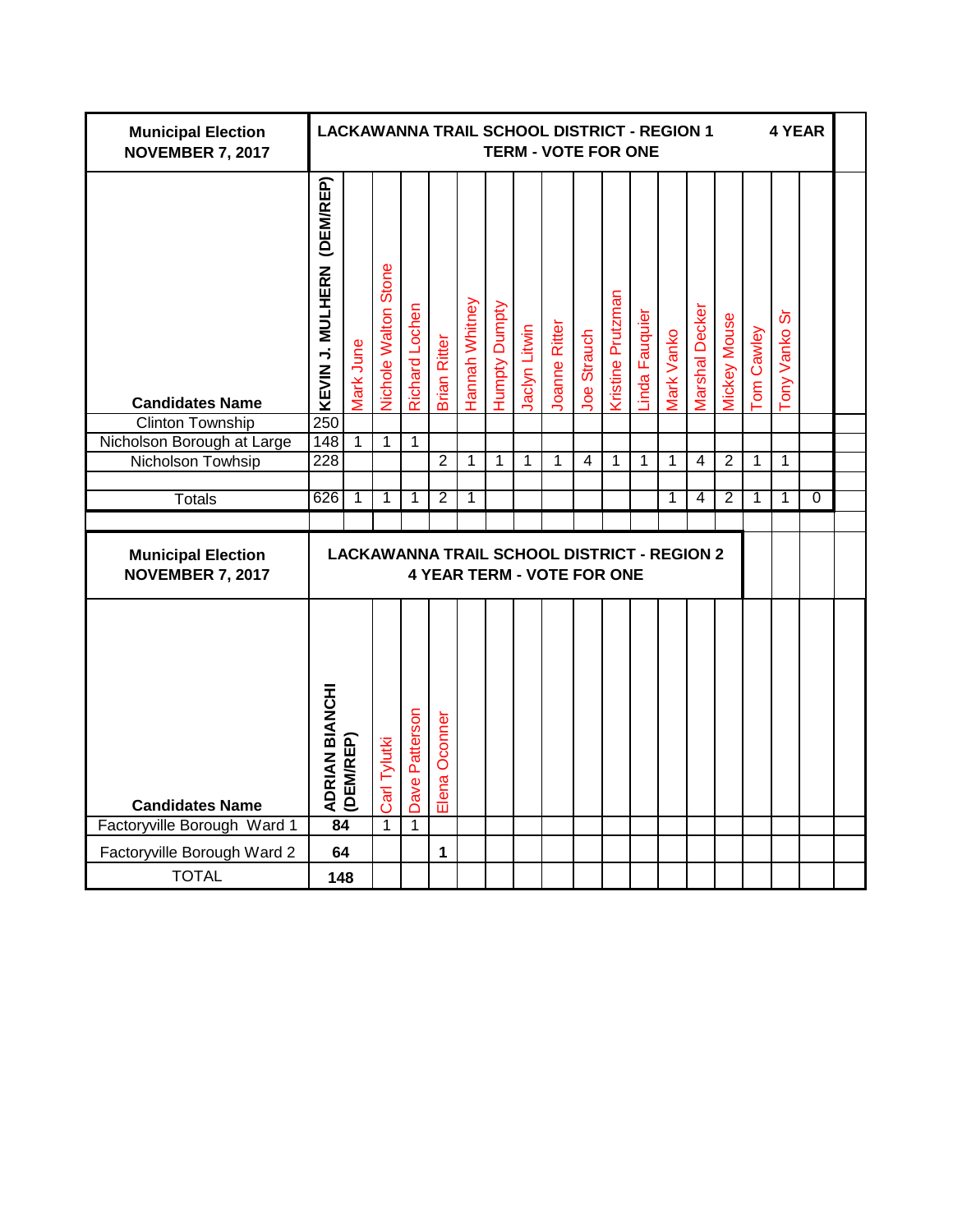| <b>Municipal Election</b><br><b>NOVEMBER 7, 2017</b> |                               |           |                             |                |                     |                |               |               | <b>LACKAWANNA TRAIL SCHOOL DISTRICT - REGION 1</b><br><b>TERM - VOTE FOR ONE</b>        |                    |                   |                       |                    |                       |                     |            | 4 YEAR                  |          |  |
|------------------------------------------------------|-------------------------------|-----------|-----------------------------|----------------|---------------------|----------------|---------------|---------------|-----------------------------------------------------------------------------------------|--------------------|-------------------|-----------------------|--------------------|-----------------------|---------------------|------------|-------------------------|----------|--|
| <b>Candidates Name</b>                               | (DEM/REP)<br>KEVIN J. MULHERN | Mark June | <b>Vichole Walton Stone</b> | Richard Lochen | <b>Brian Ritter</b> | Hannah Whitney | Humpty Dumpty | Jaclyn Litwin | Joanne Ritter                                                                           | <b>Joe Strauch</b> | Kristine Prutzman | <b>Linda Fauquier</b> | <b>Vlark Vanko</b> | <b>Marshal Decker</b> | <b>Mickey Mouse</b> | Tom Cawley | တ်<br><b>Tony Vanko</b> |          |  |
| <b>Clinton Township</b>                              | 250                           |           |                             |                |                     |                |               |               |                                                                                         |                    |                   |                       |                    |                       |                     |            |                         |          |  |
| Nicholson Borough at Large                           | 148                           | 1         | 1                           | 1              |                     |                |               |               |                                                                                         |                    |                   |                       |                    |                       |                     |            |                         |          |  |
| Nicholson Towhsip                                    | 228                           |           |                             |                | $\overline{2}$      | $\mathbf{1}$   | 1             | 1             | 1                                                                                       | $\overline{4}$     | $\mathbf 1$       | $\mathbf 1$           | 1                  | $\overline{4}$        | $\overline{2}$      | 1          | 1                       |          |  |
|                                                      |                               |           |                             |                |                     |                |               |               |                                                                                         |                    |                   |                       |                    |                       |                     |            |                         |          |  |
| <b>Totals</b>                                        | 626                           | 1         | 1                           | 1              | $\overline{2}$      | 1              |               |               |                                                                                         |                    |                   |                       | 1                  | 4                     | 2                   | 1          | 1                       | $\Omega$ |  |
| <b>Municipal Election</b><br><b>NOVEMBER 7, 2017</b> |                               |           |                             |                |                     |                |               |               | <b>LACKAWANNA TRAIL SCHOOL DISTRICT - REGION 2</b><br><b>4 YEAR TERM - VOTE FOR ONE</b> |                    |                   |                       |                    |                       |                     |            |                         |          |  |
| <b>Candidates Name</b>                               | ADRIAN BIANCHI                | (DEM/REP) | Carl Tylutki                | Dave Patterson | Elena Oconner       |                |               |               |                                                                                         |                    |                   |                       |                    |                       |                     |            |                         |          |  |
| Factoryville Borough Ward 1                          | 84                            |           | $\mathbf{1}$                | $\mathbf{1}$   |                     |                |               |               |                                                                                         |                    |                   |                       |                    |                       |                     |            |                         |          |  |
| Factoryville Borough Ward 2                          | 64                            |           |                             |                | 1                   |                |               |               |                                                                                         |                    |                   |                       |                    |                       |                     |            |                         |          |  |
| <b>TOTAL</b>                                         |                               | 148       |                             |                |                     |                |               |               |                                                                                         |                    |                   |                       |                    |                       |                     |            |                         |          |  |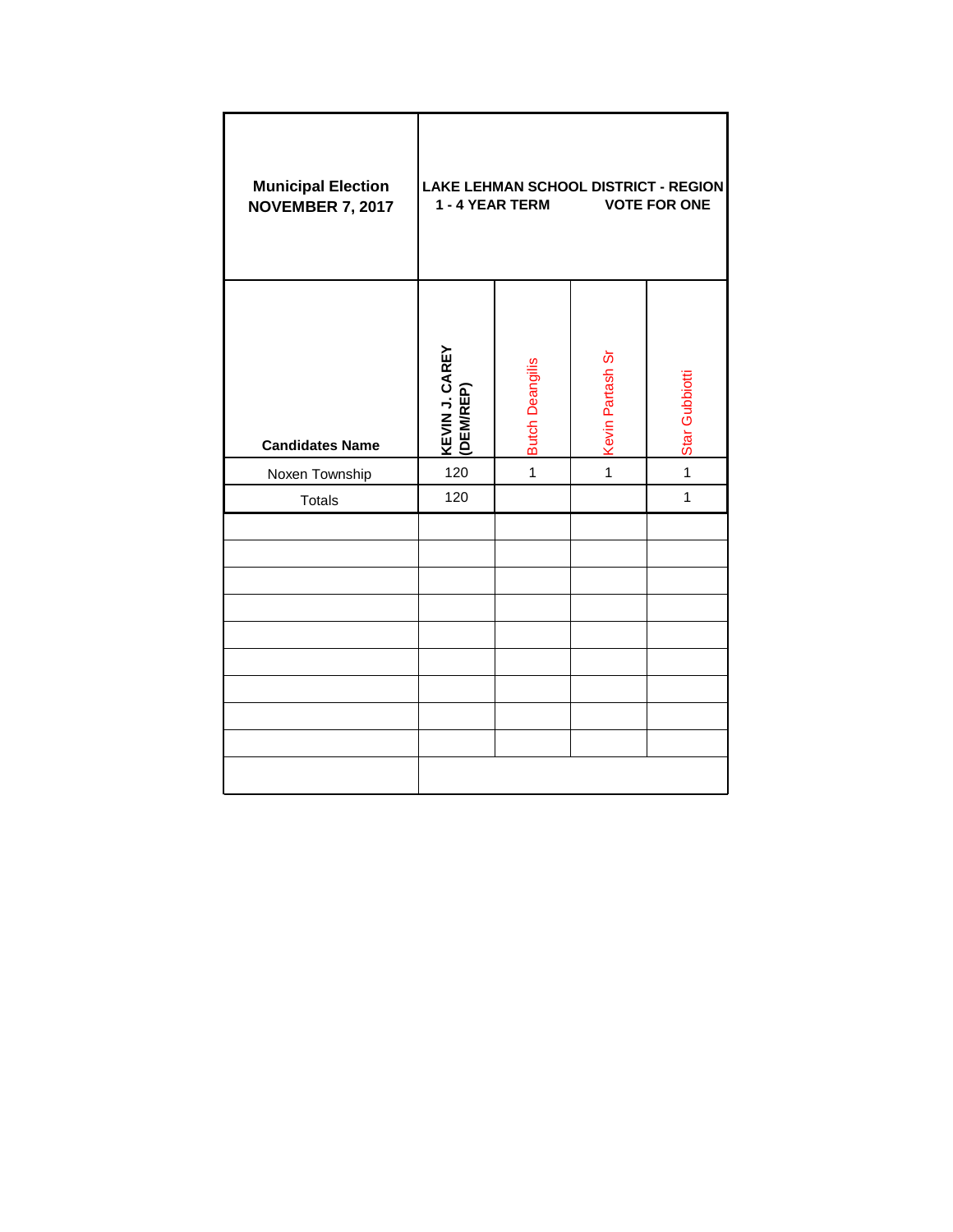| <b>Municipal Election</b><br><b>NOVEMBER 7, 2017</b> |                             | 1 - 4 YEAR TERM        |                  | LAKE LEHMAN SCHOOL DISTRICT - REGION<br><b>VOTE FOR ONE</b> |
|------------------------------------------------------|-----------------------------|------------------------|------------------|-------------------------------------------------------------|
| <b>Candidates Name</b>                               | KEVIN J. CAREY<br>(DEM/REP) | <b>Butch Deangilis</b> | Kevin Partash Sr | Star Gubbiotti                                              |
| Noxen Township                                       | 120                         | $\overline{1}$         | $\overline{1}$   | $\overline{1}$                                              |
| <b>Totals</b>                                        | 120                         |                        |                  | $\mathbf{1}$                                                |
|                                                      |                             |                        |                  |                                                             |
|                                                      |                             |                        |                  |                                                             |
|                                                      |                             |                        |                  |                                                             |
|                                                      |                             |                        |                  |                                                             |
|                                                      |                             |                        |                  |                                                             |
|                                                      |                             |                        |                  |                                                             |
|                                                      |                             |                        |                  |                                                             |
|                                                      |                             |                        |                  |                                                             |
|                                                      |                             |                        |                  |                                                             |
|                                                      |                             |                        |                  |                                                             |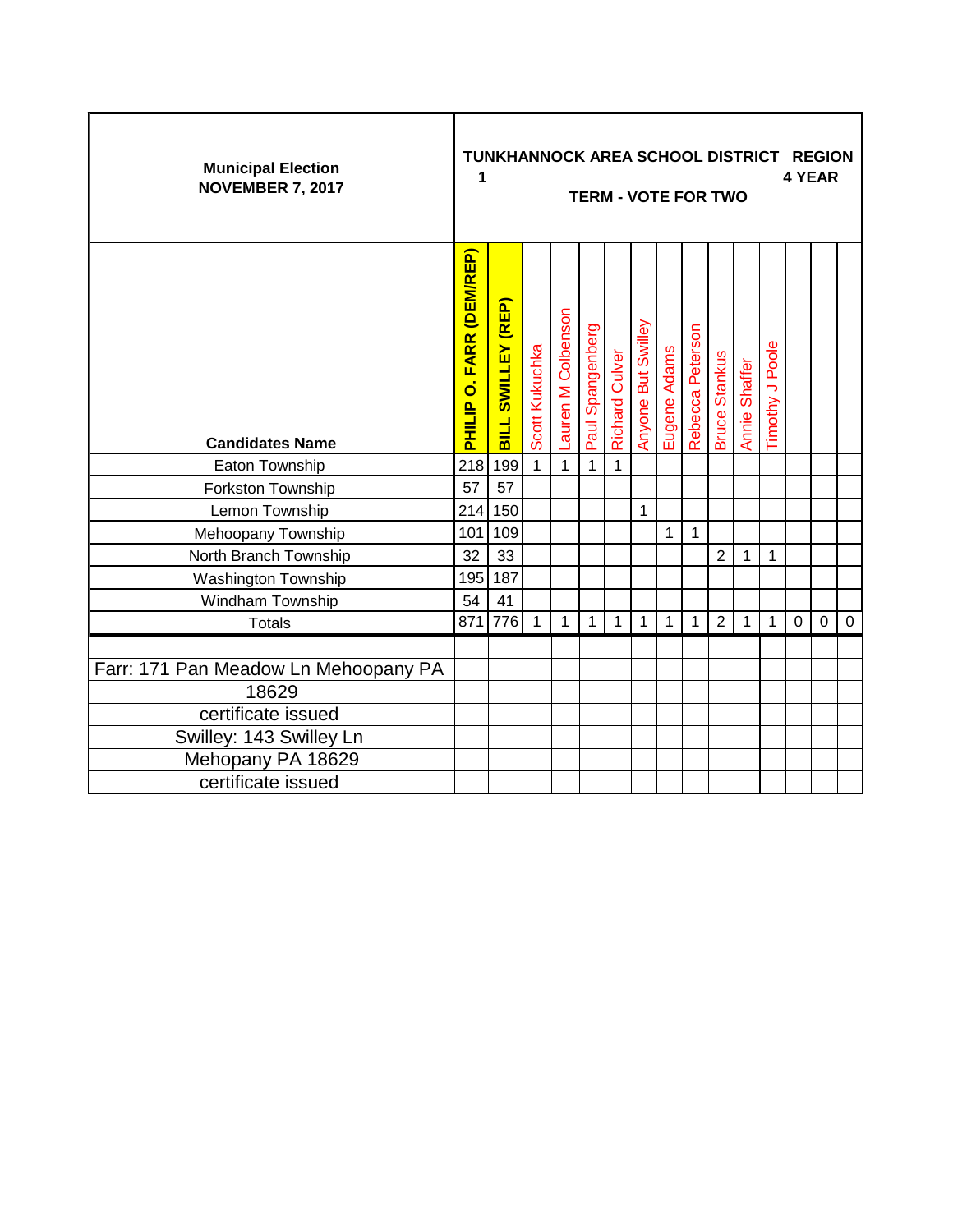| <b>Municipal Election</b><br><b>NOVEMBER 7, 2017</b> | 1                               | TUNKHANNOCK AREA SCHOOL DISTRICT REGION |                |                    |                  |                       |                    |              |                  | <b>TERM - VOTE FOR TWO</b> |               |                        |             | 4 YEAR      |           |
|------------------------------------------------------|---------------------------------|-----------------------------------------|----------------|--------------------|------------------|-----------------------|--------------------|--------------|------------------|----------------------------|---------------|------------------------|-------------|-------------|-----------|
| <b>Candidates Name</b>                               | <b>PHILIP O. FARR (DEM/REP)</b> | BILL SWILLEY (REP)                      | Scott Kukuchka | Lauren M Colbenson | Paul Spangenberg | <b>Richard Culver</b> | Anyone But Swilley | Eugene Adams | Rebecca Peterson | <b>Bruce Stankus</b>       | Annie Shaffer | <b>Timothy J Poole</b> |             |             |           |
| Eaton Township                                       | 218                             | 199                                     | $\mathbf{1}$   | $\mathbf{1}$       | $\mathbf{1}$     | $\mathbf{1}$          |                    |              |                  |                            |               |                        |             |             |           |
| Forkston Township                                    | 57                              | 57                                      |                |                    |                  |                       |                    |              |                  |                            |               |                        |             |             |           |
| Lemon Township                                       | 214                             | 150                                     |                |                    |                  |                       | 1                  |              |                  |                            |               |                        |             |             |           |
| Mehoopany Township                                   | 101                             | 109                                     |                |                    |                  |                       |                    | 1            | 1                |                            |               |                        |             |             |           |
| North Branch Township                                | 32                              | 33                                      |                |                    |                  |                       |                    |              |                  | $\overline{2}$             | 1             | 1                      |             |             |           |
| <b>Washington Township</b>                           | 195                             | 187                                     |                |                    |                  |                       |                    |              |                  |                            |               |                        |             |             |           |
| Windham Township                                     | 54                              | 41                                      |                |                    |                  |                       |                    |              |                  |                            |               |                        |             |             |           |
| <b>Totals</b>                                        | 871                             | 776                                     | 1              | 1                  | $\mathbf{1}$     | 1                     | 1                  | 1            | 1                | $\overline{2}$             | 1             | 1                      | $\mathbf 0$ | $\mathbf 0$ | $\pmb{0}$ |
| Farr: 171 Pan Meadow Ln Mehoopany PA<br>18629        |                                 |                                         |                |                    |                  |                       |                    |              |                  |                            |               |                        |             |             |           |
| certificate issued                                   |                                 |                                         |                |                    |                  |                       |                    |              |                  |                            |               |                        |             |             |           |
| Swilley: 143 Swilley Ln                              |                                 |                                         |                |                    |                  |                       |                    |              |                  |                            |               |                        |             |             |           |
| Mehopany PA 18629                                    |                                 |                                         |                |                    |                  |                       |                    |              |                  |                            |               |                        |             |             |           |
| certificate issued                                   |                                 |                                         |                |                    |                  |                       |                    |              |                  |                            |               |                        |             |             |           |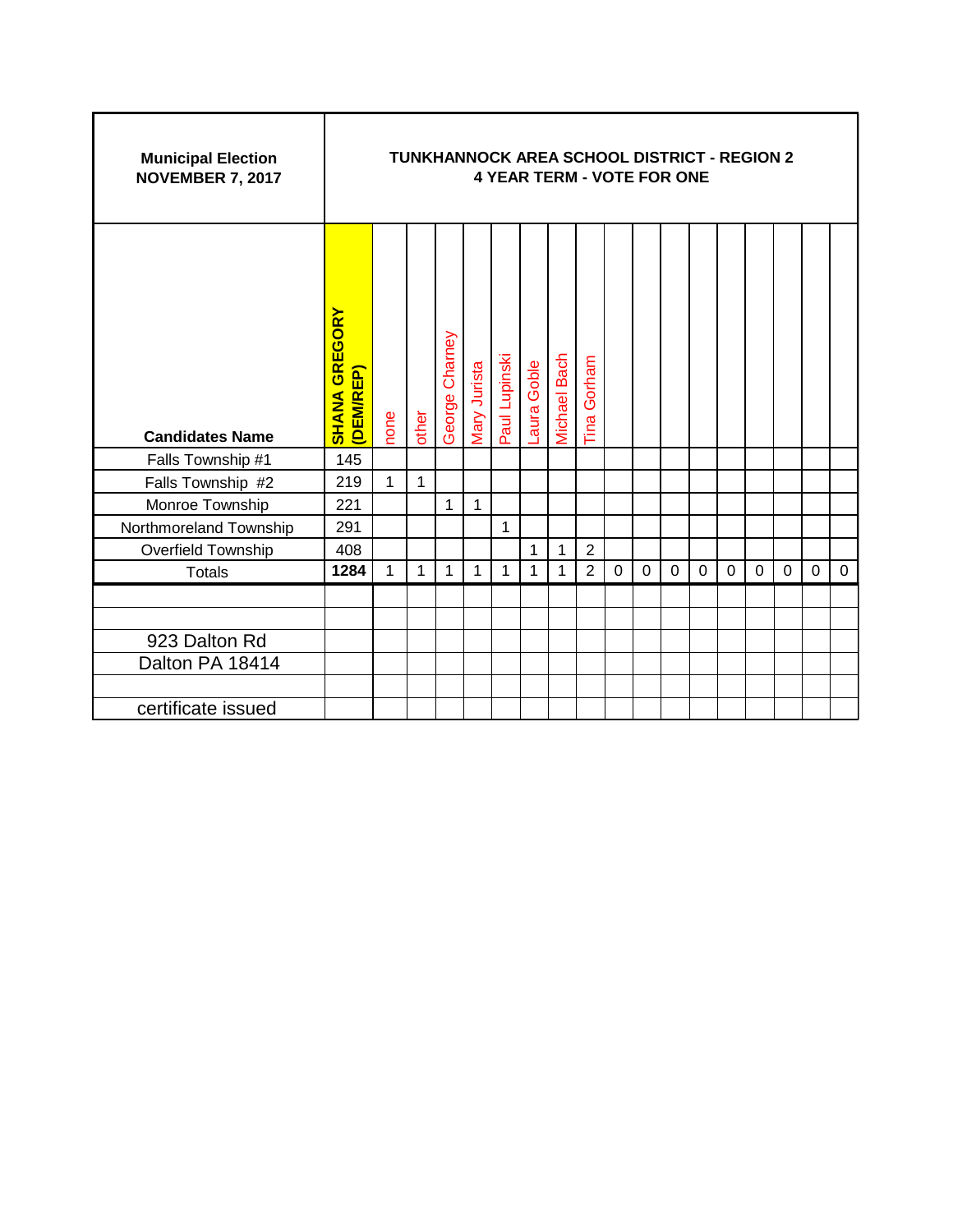| <b>Municipal Election</b><br><b>NOVEMBER 7, 2017</b> |                                   |      | <b>TUNKHANNOCK AREA SCHOOL DISTRICT - REGION 2</b> |                |              |               |            | <b>4 YEAR TERM - VOTE FOR ONE</b> |                |             |             |          |          |             |   |   |   |             |
|------------------------------------------------------|-----------------------------------|------|----------------------------------------------------|----------------|--------------|---------------|------------|-----------------------------------|----------------|-------------|-------------|----------|----------|-------------|---|---|---|-------------|
| <b>Candidates Name</b>                               | <b>SHANA GREGORY</b><br>(DEM/REP) | none | other                                              | George Charney | Mary Jurista | Paul Lupinski | aura Goble | Michael Bach                      | Gorham<br>Tina |             |             |          |          |             |   |   |   |             |
| Falls Township #1                                    | 145                               |      |                                                    |                |              |               |            |                                   |                |             |             |          |          |             |   |   |   |             |
| Falls Township #2                                    | 219                               | 1    | 1                                                  |                |              |               |            |                                   |                |             |             |          |          |             |   |   |   |             |
| Monroe Township                                      | 221                               |      |                                                    | 1              | $\mathbf{1}$ |               |            |                                   |                |             |             |          |          |             |   |   |   |             |
| Northmoreland Township                               | 291                               |      |                                                    |                |              | 1             |            |                                   |                |             |             |          |          |             |   |   |   |             |
| Overfield Township                                   | 408                               |      |                                                    |                |              |               | 1          | 1                                 | $\overline{2}$ |             |             |          |          |             |   |   |   |             |
| <b>Totals</b>                                        | 1284                              | 1    | 1                                                  | 1              | 1            | 1             | 1          | 1                                 | $\overline{2}$ | $\mathbf 0$ | $\mathbf 0$ | $\Omega$ | $\Omega$ | $\mathbf 0$ | 0 | 0 | 0 | $\mathbf 0$ |
|                                                      |                                   |      |                                                    |                |              |               |            |                                   |                |             |             |          |          |             |   |   |   |             |
| 923 Dalton Rd                                        |                                   |      |                                                    |                |              |               |            |                                   |                |             |             |          |          |             |   |   |   |             |
| Dalton PA 18414                                      |                                   |      |                                                    |                |              |               |            |                                   |                |             |             |          |          |             |   |   |   |             |
| certificate issued                                   |                                   |      |                                                    |                |              |               |            |                                   |                |             |             |          |          |             |   |   |   |             |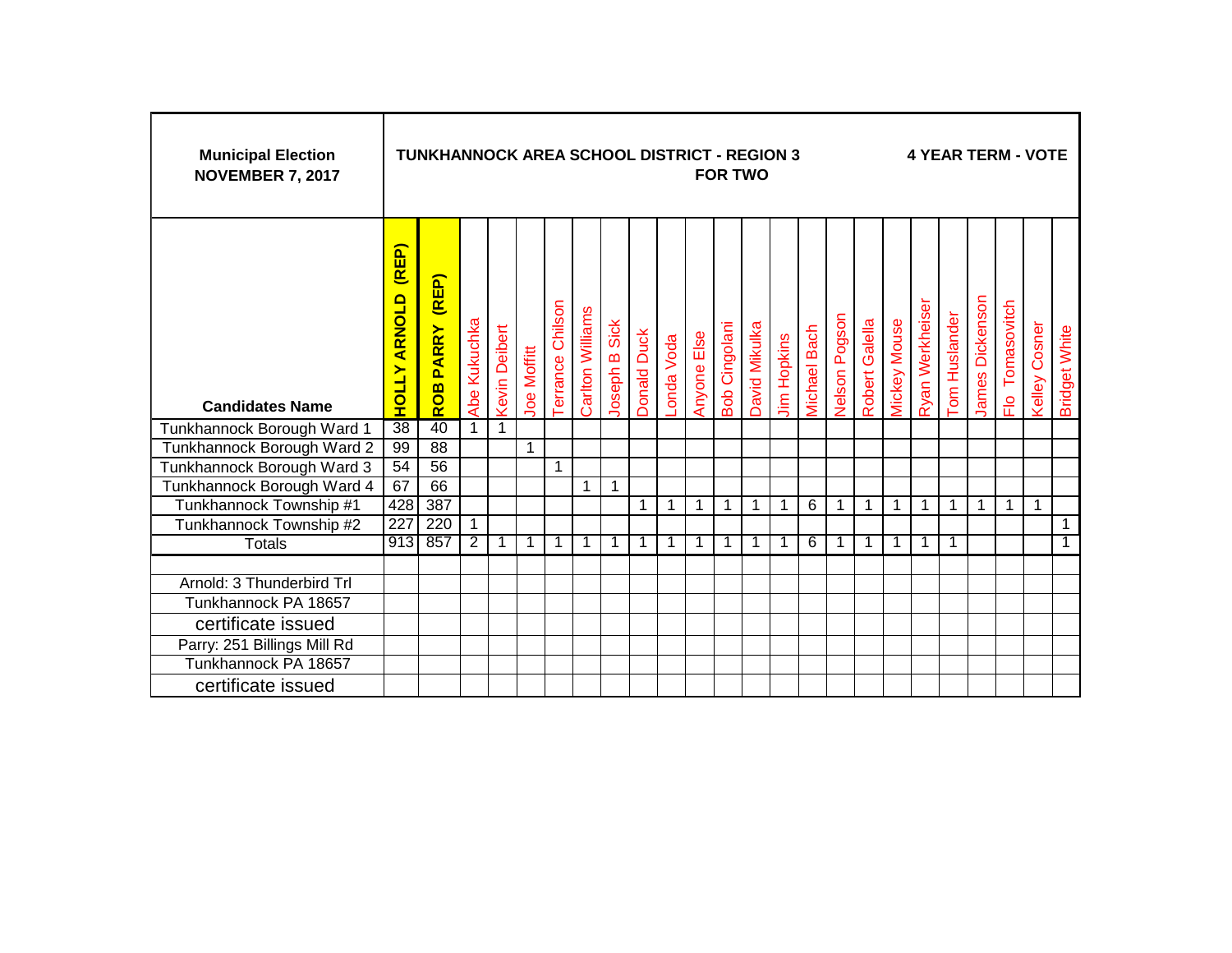| <b>Municipal Election</b><br><b>NOVEMBER 7, 2017</b> |                              | <b>TUNKHANNOCK AREA SCHOOL DISTRICT - REGION 3</b> |                |                      |                    |                  |                  |               |                    |            |                    |                      | <b>FOR TWO</b> |                    |                     |               |                |              |                 |               |                 |                  | <b>4 YEAR TERM - VOTE</b> |                      |
|------------------------------------------------------|------------------------------|----------------------------------------------------|----------------|----------------------|--------------------|------------------|------------------|---------------|--------------------|------------|--------------------|----------------------|----------------|--------------------|---------------------|---------------|----------------|--------------|-----------------|---------------|-----------------|------------------|---------------------------|----------------------|
| <b>Candidates Name</b>                               | (REP)<br><b>HOLLY ARNOLD</b> | (REP)<br>ROB PARRY                                 | Abe Kukuchka   | <b>Kevin Deibert</b> | <b>Joe Moffitt</b> | Terrance Chilson | Carlton Williams | Joseph B Sick | <b>Donald Duck</b> | -onda Voda | <b>Anyone Else</b> | <b>Bob Cingolani</b> | David Mikulka  | <b>Jim Hopkins</b> | <b>Vichael Bach</b> | Nelson Pogson | Robert Galella | Mickey Mouse | Ryan Werkheiser | Tom Huslander | James Dickenson | Tomasovitch<br>운 | <b>Kelley Cosner</b>      | <b>Bridget White</b> |
| Tunkhannock Borough Ward 1                           | 38                           | 40                                                 | $\overline{1}$ | 1                    |                    |                  |                  |               |                    |            |                    |                      |                |                    |                     |               |                |              |                 |               |                 |                  |                           |                      |
| Tunkhannock Borough Ward 2                           | 99                           | $\overline{88}$                                    |                |                      | 1                  |                  |                  |               |                    |            |                    |                      |                |                    |                     |               |                |              |                 |               |                 |                  |                           |                      |
| Tunkhannock Borough Ward 3                           | 54                           | 56                                                 |                |                      |                    | 1                |                  |               |                    |            |                    |                      |                |                    |                     |               |                |              |                 |               |                 |                  |                           |                      |
| Tunkhannock Borough Ward 4                           | 67                           | 66                                                 |                |                      |                    |                  | 1                | 1             |                    |            |                    |                      |                |                    |                     |               |                |              |                 |               |                 |                  |                           |                      |
| Tunkhannock Township #1                              | 428                          | 387                                                |                |                      |                    |                  |                  |               | 1                  | 1          |                    | $\mathbf{1}$         | 1              | 1                  | 6                   | 1             | 1              | 1            | $\mathbf 1$     | 1             | 1               | 1                | 1                         |                      |
| Tunkhannock Township #2                              | 227                          | 220                                                | $\mathbf{1}$   |                      |                    |                  |                  |               |                    |            |                    |                      |                |                    |                     |               |                |              |                 |               |                 |                  |                           | $\mathbf{1}$         |
| <b>Totals</b>                                        | 913                          | 857                                                | $\overline{2}$ | 1                    | 1                  |                  |                  |               |                    |            |                    | 1                    | 1              |                    | 6                   | 1             | -1             | 1            | 1               | 1             |                 |                  |                           | 1                    |
|                                                      |                              |                                                    |                |                      |                    |                  |                  |               |                    |            |                    |                      |                |                    |                     |               |                |              |                 |               |                 |                  |                           |                      |
| Arnold: 3 Thunderbird Trl                            |                              |                                                    |                |                      |                    |                  |                  |               |                    |            |                    |                      |                |                    |                     |               |                |              |                 |               |                 |                  |                           |                      |
| Tunkhannock PA 18657                                 |                              |                                                    |                |                      |                    |                  |                  |               |                    |            |                    |                      |                |                    |                     |               |                |              |                 |               |                 |                  |                           |                      |
| certificate issued                                   |                              |                                                    |                |                      |                    |                  |                  |               |                    |            |                    |                      |                |                    |                     |               |                |              |                 |               |                 |                  |                           |                      |
| Parry: 251 Billings Mill Rd                          |                              |                                                    |                |                      |                    |                  |                  |               |                    |            |                    |                      |                |                    |                     |               |                |              |                 |               |                 |                  |                           |                      |
| Tunkhannock PA 18657                                 |                              |                                                    |                |                      |                    |                  |                  |               |                    |            |                    |                      |                |                    |                     |               |                |              |                 |               |                 |                  |                           |                      |
| certificate issued                                   |                              |                                                    |                |                      |                    |                  |                  |               |                    |            |                    |                      |                |                    |                     |               |                |              |                 |               |                 |                  |                           |                      |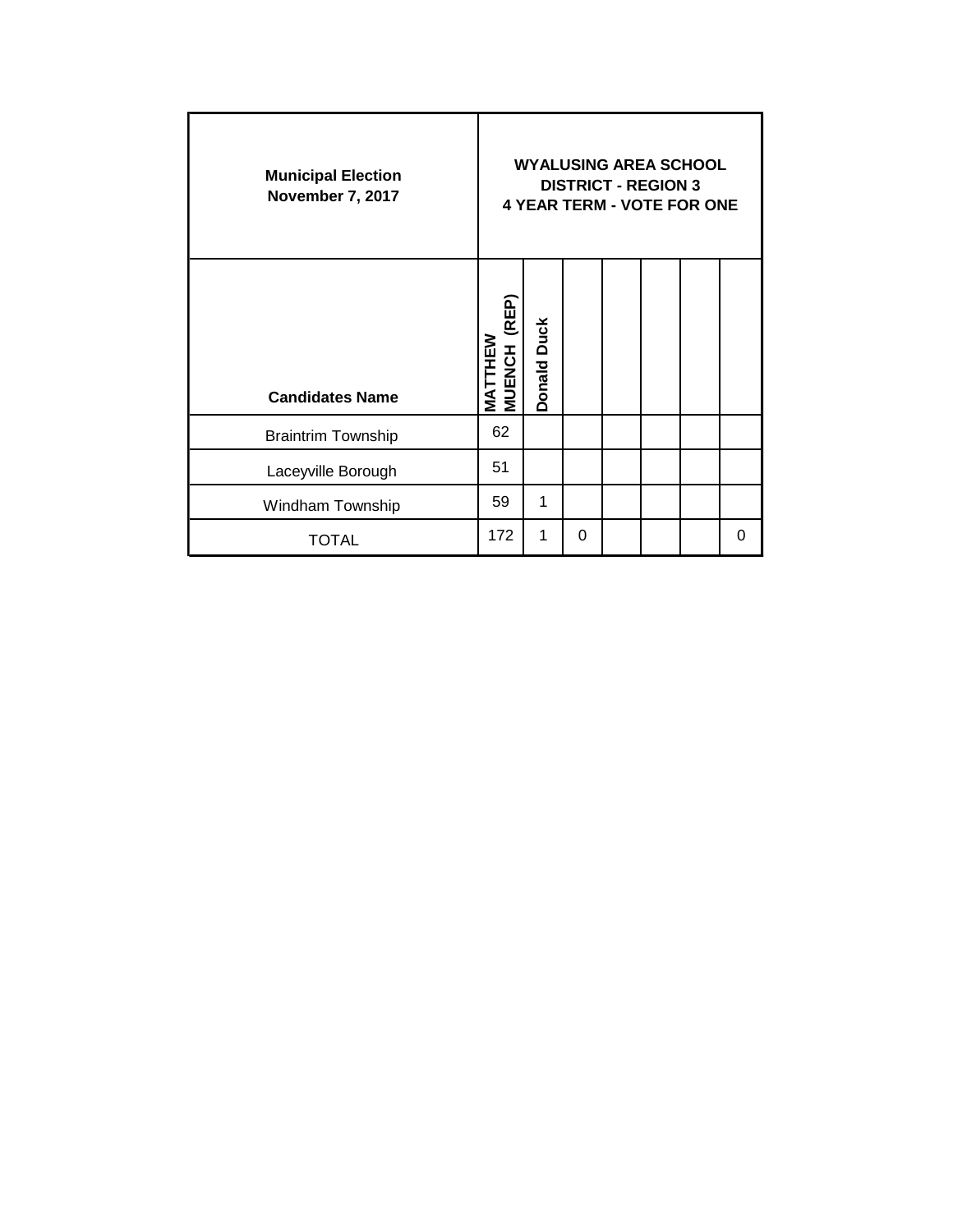| <b>Municipal Election</b><br>November 7, 2017 |                                   |                    |   | <b>DISTRICT - REGION 3</b> | <b>WYALUSING AREA SCHOOL</b><br><b>4 YEAR TERM - VOTE FOR ONE</b> |          |
|-----------------------------------------------|-----------------------------------|--------------------|---|----------------------------|-------------------------------------------------------------------|----------|
| <b>Candidates Name</b>                        | (REP)<br>MATTHEW<br><b>MUENCH</b> | <b>Donald Duck</b> |   |                            |                                                                   |          |
| <b>Braintrim Township</b>                     | 62                                |                    |   |                            |                                                                   |          |
| Laceyville Borough                            | 51                                |                    |   |                            |                                                                   |          |
| Windham Township                              | 59                                | 1                  |   |                            |                                                                   |          |
| TOTAL                                         | 172                               | 1                  | 0 |                            |                                                                   | $\Omega$ |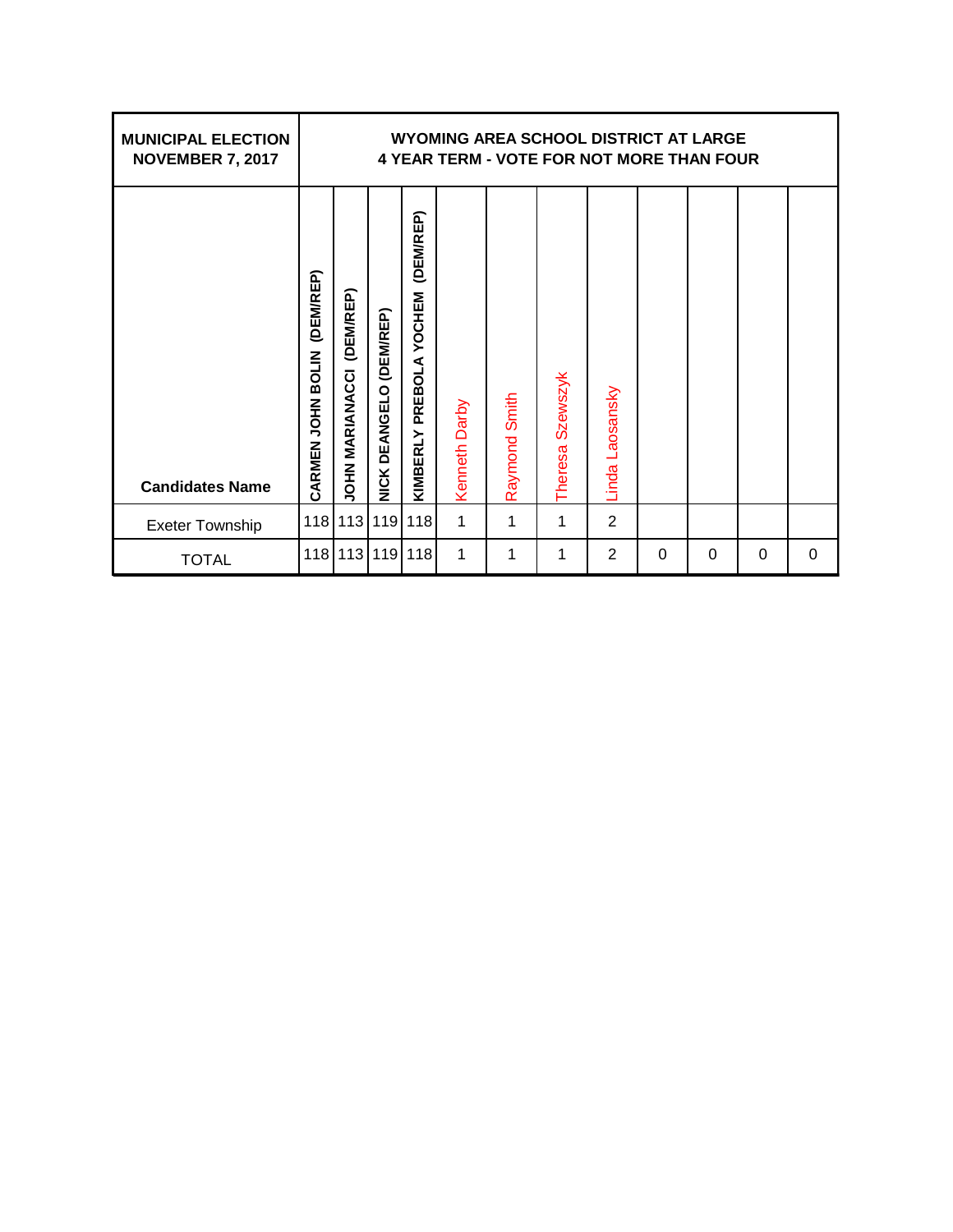| <b>MUNICIPAL ELECTION</b><br><b>NOVEMBER 7, 2017</b> |                                |                                     |                                |                                         |               |               | WYOMING AREA SCHOOL DISTRICT AT LARGE<br><b>4 YEAR TERM - VOTE FOR NOT MORE THAN FOUR</b> |                                 |   |   |   |   |
|------------------------------------------------------|--------------------------------|-------------------------------------|--------------------------------|-----------------------------------------|---------------|---------------|-------------------------------------------------------------------------------------------|---------------------------------|---|---|---|---|
| <b>Candidates Name</b>                               | (DEM/REP)<br>CARMEN JOHN BOLIN | (DEM/REP)<br><b>JOHN MARIANACCI</b> | <b>NICK DEANGELO (DEM/REP)</b> | (DEM/REP)<br>PREBOLA YOCHEM<br>KIMBERLY | Kenneth Darby | Raymond Smith | Szewszyk<br><b>Theresa</b>                                                                | Laosansky<br>Linda <sup>l</sup> |   |   |   |   |
| <b>Exeter Township</b>                               | 118                            | 113                                 | 119                            | 118                                     | 1             | 1             | 1                                                                                         | $\overline{2}$                  |   |   |   |   |
| <b>TOTAL</b>                                         | 118                            | 113                                 | 119                            | 118                                     | 1             | 1             | 1                                                                                         | $\overline{2}$                  | 0 | 0 | 0 | 0 |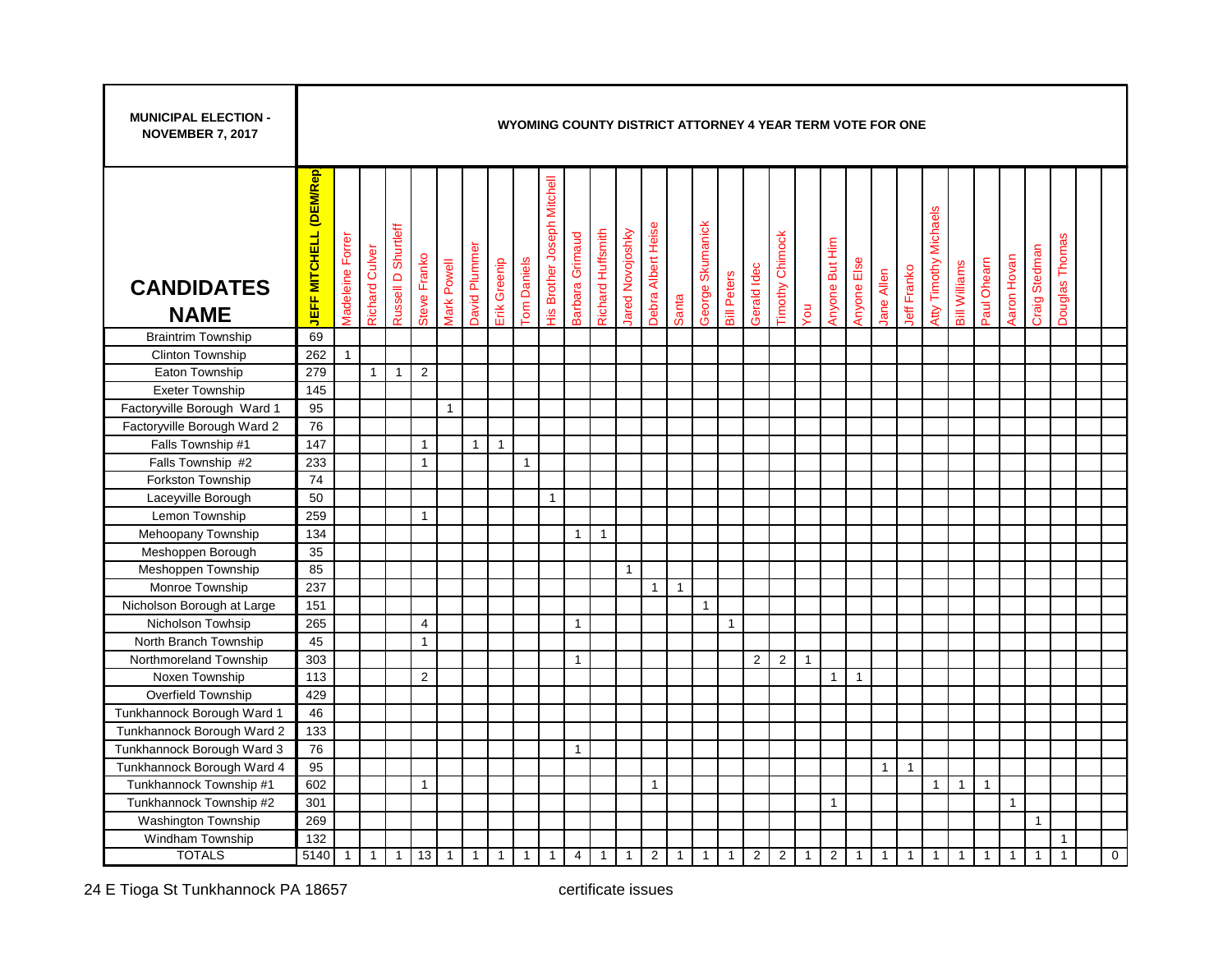| <b>MUNICIPAL ELECTION -</b><br><b>NOVEMBER 7, 2017</b> |                               |                         |                       |                     |                |              |               |              |                    |                                    |                 |                          |                  |                    |              |                  |                    |                | WYOMING COUNTY DISTRICT ATTORNEY 4 YEAR TERM VOTE FOR ONE |              |                |              |              |                |                       |                      |                |                |               |                |             |
|--------------------------------------------------------|-------------------------------|-------------------------|-----------------------|---------------------|----------------|--------------|---------------|--------------|--------------------|------------------------------------|-----------------|--------------------------|------------------|--------------------|--------------|------------------|--------------------|----------------|-----------------------------------------------------------|--------------|----------------|--------------|--------------|----------------|-----------------------|----------------------|----------------|----------------|---------------|----------------|-------------|
| <b>CANDIDATES</b><br><b>NAME</b>                       | <b>JEFF MITCHELL (DEM/Rep</b> | <b>Madeleine Forrer</b> | <b>Richard Culver</b> | Russell D Shurtleff | Steve Franko   | Mark Powell  | David Plummer | Erik Greenip | <b>Tom Daniels</b> | <b>His Brother Joseph Mitchell</b> | Barbara Grimaud | <b>Richard Huffsmith</b> | lared Novojoshky | Debra Albert Heise | Santa        | George Skumanick | <b>Bill Peters</b> | Gerald Idec    | <b>Timothy Chimock</b>                                    | Vou          | Anyone But Him | Anyone Else  | Jane Allen   | Jeff Franko    | Atty Timothy Michaels | <b>Bill Williams</b> | Paul Ohearn    | Aaron Hovan    | Craig Stedman | Douglas Thomas |             |
| <b>Braintrim Township</b>                              | 69                            |                         |                       |                     |                |              |               |              |                    |                                    |                 |                          |                  |                    |              |                  |                    |                |                                                           |              |                |              |              |                |                       |                      |                |                |               |                |             |
| Clinton Township                                       | 262                           | $\mathbf{1}$            |                       |                     |                |              |               |              |                    |                                    |                 |                          |                  |                    |              |                  |                    |                |                                                           |              |                |              |              |                |                       |                      |                |                |               |                |             |
| Eaton Township                                         | 279                           |                         | $\mathbf{1}$          | $\overline{1}$      | $\overline{2}$ |              |               |              |                    |                                    |                 |                          |                  |                    |              |                  |                    |                |                                                           |              |                |              |              |                |                       |                      |                |                |               |                |             |
| <b>Exeter Township</b>                                 | 145                           |                         |                       |                     |                |              |               |              |                    |                                    |                 |                          |                  |                    |              |                  |                    |                |                                                           |              |                |              |              |                |                       |                      |                |                |               |                |             |
| Factoryville Borough Ward 1                            | 95                            |                         |                       |                     |                | $\mathbf{1}$ |               |              |                    |                                    |                 |                          |                  |                    |              |                  |                    |                |                                                           |              |                |              |              |                |                       |                      |                |                |               |                |             |
| Factoryville Borough Ward 2                            | 76                            |                         |                       |                     |                |              |               |              |                    |                                    |                 |                          |                  |                    |              |                  |                    |                |                                                           |              |                |              |              |                |                       |                      |                |                |               |                |             |
| Falls Township #1                                      | 147                           |                         |                       |                     | $\mathbf{1}$   |              | $\mathbf{1}$  | $\mathbf{1}$ |                    |                                    |                 |                          |                  |                    |              |                  |                    |                |                                                           |              |                |              |              |                |                       |                      |                |                |               |                |             |
| Falls Township #2                                      | 233                           |                         |                       |                     | $\mathbf{1}$   |              |               |              | $\mathbf{1}$       |                                    |                 |                          |                  |                    |              |                  |                    |                |                                                           |              |                |              |              |                |                       |                      |                |                |               |                |             |
| <b>Forkston Township</b>                               | 74                            |                         |                       |                     |                |              |               |              |                    |                                    |                 |                          |                  |                    |              |                  |                    |                |                                                           |              |                |              |              |                |                       |                      |                |                |               |                |             |
| Laceyville Borough                                     | 50                            |                         |                       |                     |                |              |               |              |                    | $\overline{1}$                     |                 |                          |                  |                    |              |                  |                    |                |                                                           |              |                |              |              |                |                       |                      |                |                |               |                |             |
| Lemon Township                                         | 259                           |                         |                       |                     | $\mathbf{1}$   |              |               |              |                    |                                    |                 |                          |                  |                    |              |                  |                    |                |                                                           |              |                |              |              |                |                       |                      |                |                |               |                |             |
| Mehoopany Township                                     | 134                           |                         |                       |                     |                |              |               |              |                    |                                    | $\mathbf{1}$    | $\overline{1}$           |                  |                    |              |                  |                    |                |                                                           |              |                |              |              |                |                       |                      |                |                |               |                |             |
| Meshoppen Borough                                      | 35                            |                         |                       |                     |                |              |               |              |                    |                                    |                 |                          |                  |                    |              |                  |                    |                |                                                           |              |                |              |              |                |                       |                      |                |                |               |                |             |
| Meshoppen Township                                     | 85                            |                         |                       |                     |                |              |               |              |                    |                                    |                 |                          | $\mathbf{1}$     |                    |              |                  |                    |                |                                                           |              |                |              |              |                |                       |                      |                |                |               |                |             |
| Monroe Township                                        | 237                           |                         |                       |                     |                |              |               |              |                    |                                    |                 |                          |                  | $\mathbf{1}$       | $\mathbf{1}$ |                  |                    |                |                                                           |              |                |              |              |                |                       |                      |                |                |               |                |             |
| Nicholson Borough at Large                             | 151                           |                         |                       |                     |                |              |               |              |                    |                                    |                 |                          |                  |                    |              | $\mathbf{1}$     |                    |                |                                                           |              |                |              |              |                |                       |                      |                |                |               |                |             |
| Nicholson Towhsip                                      | 265                           |                         |                       |                     | 4              |              |               |              |                    |                                    | $\mathbf{1}$    |                          |                  |                    |              |                  | $\mathbf{1}$       |                |                                                           |              |                |              |              |                |                       |                      |                |                |               |                |             |
| North Branch Township                                  | 45                            |                         |                       |                     | $\mathbf{1}$   |              |               |              |                    |                                    |                 |                          |                  |                    |              |                  |                    |                |                                                           |              |                |              |              |                |                       |                      |                |                |               |                |             |
| Northmoreland Township                                 | 303                           |                         |                       |                     |                |              |               |              |                    |                                    | $\mathbf{1}$    |                          |                  |                    |              |                  |                    | $\overline{2}$ | $\overline{2}$                                            | $\mathbf{1}$ |                |              |              |                |                       |                      |                |                |               |                |             |
| Noxen Township                                         | 113                           |                         |                       |                     | 2              |              |               |              |                    |                                    |                 |                          |                  |                    |              |                  |                    |                |                                                           |              | $\mathbf{1}$   | $\mathbf{1}$ |              |                |                       |                      |                |                |               |                |             |
| Overfield Township                                     | 429                           |                         |                       |                     |                |              |               |              |                    |                                    |                 |                          |                  |                    |              |                  |                    |                |                                                           |              |                |              |              |                |                       |                      |                |                |               |                |             |
| Tunkhannock Borough Ward 1                             | 46                            |                         |                       |                     |                |              |               |              |                    |                                    |                 |                          |                  |                    |              |                  |                    |                |                                                           |              |                |              |              |                |                       |                      |                |                |               |                |             |
| Tunkhannock Borough Ward 2                             | 133                           |                         |                       |                     |                |              |               |              |                    |                                    |                 |                          |                  |                    |              |                  |                    |                |                                                           |              |                |              |              |                |                       |                      |                |                |               |                |             |
| Tunkhannock Borough Ward 3                             | 76                            |                         |                       |                     |                |              |               |              |                    |                                    | $\mathbf{1}$    |                          |                  |                    |              |                  |                    |                |                                                           |              |                |              |              |                |                       |                      |                |                |               |                |             |
| Tunkhannock Borough Ward 4                             | 95                            |                         |                       |                     |                |              |               |              |                    |                                    |                 |                          |                  |                    |              |                  |                    |                |                                                           |              |                |              | $\mathbf{1}$ | $\overline{1}$ |                       |                      |                |                |               |                |             |
| Tunkhannock Township #1                                | 602                           |                         |                       |                     | $\mathbf{1}$   |              |               |              |                    |                                    |                 |                          |                  | $\mathbf{1}$       |              |                  |                    |                |                                                           |              |                |              |              |                | $\mathbf{1}$          | $\mathbf{1}$         | $\overline{1}$ |                |               |                |             |
| Tunkhannock Township #2                                | 301                           |                         |                       |                     |                |              |               |              |                    |                                    |                 |                          |                  |                    |              |                  |                    |                |                                                           |              | $\mathbf{1}$   |              |              |                |                       |                      |                | $\overline{1}$ |               |                |             |
| <b>Washington Township</b>                             | 269                           |                         |                       |                     |                |              |               |              |                    |                                    |                 |                          |                  |                    |              |                  |                    |                |                                                           |              |                |              |              |                |                       |                      |                |                | $\mathbf{1}$  |                |             |
| Windham Township                                       | 132                           |                         |                       |                     |                |              |               |              |                    |                                    |                 |                          |                  |                    |              |                  |                    |                |                                                           |              |                |              |              |                |                       |                      |                |                |               | $\mathbf{1}$   |             |
| <b>TOTALS</b>                                          | 5140                          | $\mathbf{1}$            | $\mathbf{1}$          | $\mathbf{1}$        | 13             | $\mathbf{1}$ | $\mathbf{1}$  | $\mathbf{1}$ | $\mathbf{1}$       | $\mathbf{1}$                       | 4               | $\mathbf{1}$             | $\mathbf{1}$     | $\overline{2}$     | $\mathbf{1}$ | $\mathbf{1}$     | $\overline{1}$     | $\overline{2}$ | $\overline{2}$                                            | $\mathbf{1}$ | $\overline{2}$ | $\mathbf{1}$ | $\mathbf{1}$ | $\mathbf{1}$   | $\mathbf{1}$          | $\mathbf{1}$         | $\mathbf{1}$   | $\mathbf{1}$   | $\mathbf{1}$  | $\mathbf{1}$   | $\mathbf 0$ |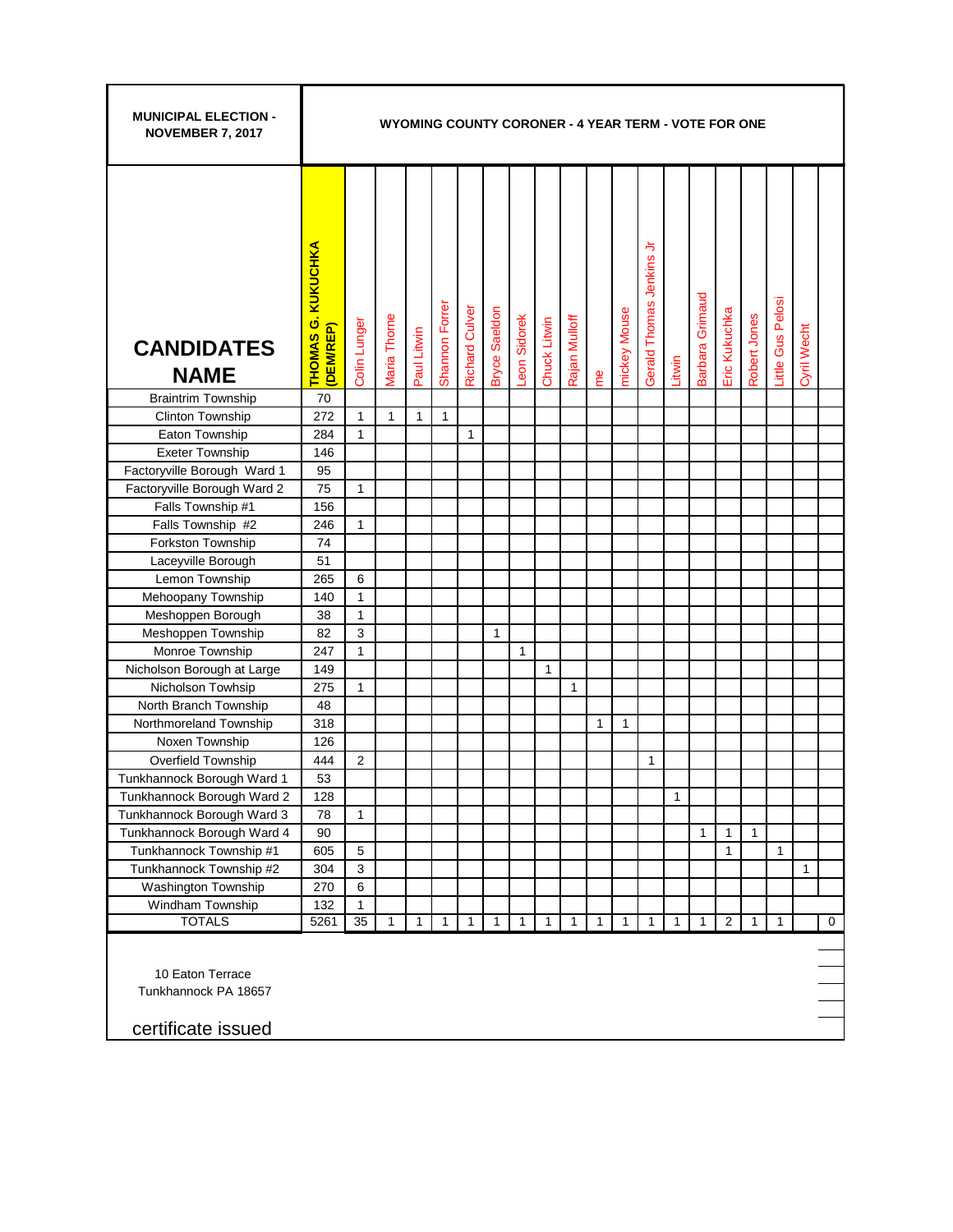| <b>MUNICIPAL ELECTION -</b><br><b>NOVEMBER 7, 2017</b>         |                                                  | WYOMING COUNTY CORONER - 4 YEAR TERM - VOTE FOR ONE |              |              |                |                       |                      |              |              |               |              |              |                            |              |                 |               |              |                   |              |             |
|----------------------------------------------------------------|--------------------------------------------------|-----------------------------------------------------|--------------|--------------|----------------|-----------------------|----------------------|--------------|--------------|---------------|--------------|--------------|----------------------------|--------------|-----------------|---------------|--------------|-------------------|--------------|-------------|
| <b>CANDIDATES</b><br><b>NAME</b>                               | <b>KUKUCHKA</b><br><b>THOMAS G.</b><br>(DEM/REP) | Colin Lunger                                        | Maria Thorne | Paul Litwin  | Shannon Forrer | <b>Richard Culver</b> | <b>Bryce Saeldon</b> | Leon Sidorek | Chuck Litwin | Rajan Mulloff | e            | mickey Mouse | ⋾<br>Gerald Thomas Jenkins | Litwin       | Barbara Grimaud | Eric Kukuchka | Robert Jones | Little Gus Pelosi | Cyril Wecht  |             |
| <b>Braintrim Township</b>                                      | 70                                               |                                                     |              |              |                |                       |                      |              |              |               |              |              |                            |              |                 |               |              |                   |              |             |
| Clinton Township                                               | 272                                              | $\mathbf{1}$                                        | 1            | 1            | $\mathbf{1}$   |                       |                      |              |              |               |              |              |                            |              |                 |               |              |                   |              |             |
| Eaton Township                                                 | 284                                              | 1                                                   |              |              |                | 1                     |                      |              |              |               |              |              |                            |              |                 |               |              |                   |              |             |
| <b>Exeter Township</b>                                         | 146                                              |                                                     |              |              |                |                       |                      |              |              |               |              |              |                            |              |                 |               |              |                   |              |             |
| Factoryville Borough Ward 1                                    | 95                                               |                                                     |              |              |                |                       |                      |              |              |               |              |              |                            |              |                 |               |              |                   |              |             |
| Factoryville Borough Ward 2                                    | 75                                               | $\mathbf{1}$                                        |              |              |                |                       |                      |              |              |               |              |              |                            |              |                 |               |              |                   |              |             |
| Falls Township #1                                              | 156                                              |                                                     |              |              |                |                       |                      |              |              |               |              |              |                            |              |                 |               |              |                   |              |             |
| Falls Township #2                                              | 246                                              | 1                                                   |              |              |                |                       |                      |              |              |               |              |              |                            |              |                 |               |              |                   |              |             |
| Forkston Township                                              | 74                                               |                                                     |              |              |                |                       |                      |              |              |               |              |              |                            |              |                 |               |              |                   |              |             |
| Laceyville Borough                                             | 51                                               |                                                     |              |              |                |                       |                      |              |              |               |              |              |                            |              |                 |               |              |                   |              |             |
| Lemon Township                                                 | 265                                              | 6                                                   |              |              |                |                       |                      |              |              |               |              |              |                            |              |                 |               |              |                   |              |             |
| Mehoopany Township                                             | 140                                              | $\mathbf{1}$                                        |              |              |                |                       |                      |              |              |               |              |              |                            |              |                 |               |              |                   |              |             |
| Meshoppen Borough                                              | 38                                               | $\mathbf{1}$                                        |              |              |                |                       |                      |              |              |               |              |              |                            |              |                 |               |              |                   |              |             |
| Meshoppen Township                                             | 82                                               | $\mathbf{3}$                                        |              |              |                |                       | $\mathbf{1}$         |              |              |               |              |              |                            |              |                 |               |              |                   |              |             |
| Monroe Township                                                | 247                                              | 1                                                   |              |              |                |                       |                      | 1            |              |               |              |              |                            |              |                 |               |              |                   |              |             |
| Nicholson Borough at Large                                     | 149                                              |                                                     |              |              |                |                       |                      |              | $\mathbf{1}$ |               |              |              |                            |              |                 |               |              |                   |              |             |
| Nicholson Towhsip                                              | 275                                              | 1                                                   |              |              |                |                       |                      |              |              | 1             |              |              |                            |              |                 |               |              |                   |              |             |
| North Branch Township                                          | 48                                               |                                                     |              |              |                |                       |                      |              |              |               |              |              |                            |              |                 |               |              |                   |              |             |
| Northmoreland Township                                         | 318                                              |                                                     |              |              |                |                       |                      |              |              |               | 1            | 1            |                            |              |                 |               |              |                   |              |             |
| Noxen Township                                                 | 126                                              |                                                     |              |              |                |                       |                      |              |              |               |              |              |                            |              |                 |               |              |                   |              |             |
| Overfield Township                                             | 444                                              | $\overline{2}$                                      |              |              |                |                       |                      |              |              |               |              |              | 1                          |              |                 |               |              |                   |              |             |
| Tunkhannock Borough Ward 1                                     | 53                                               |                                                     |              |              |                |                       |                      |              |              |               |              |              |                            |              |                 |               |              |                   |              |             |
| Tunkhannock Borough Ward 2                                     | 128                                              |                                                     |              |              |                |                       |                      |              |              |               |              |              |                            | 1            |                 |               |              |                   |              |             |
| Tunkhannock Borough Ward 3                                     | 78                                               | 1                                                   |              |              |                |                       |                      |              |              |               |              |              |                            |              |                 |               |              |                   |              |             |
| Tunkhannock Borough Ward 4                                     | 90                                               |                                                     |              |              |                |                       |                      |              |              |               |              |              |                            |              | 1               | 1             | 1            |                   |              |             |
| Tunkhannock Township #1                                        | 605                                              | 5                                                   |              |              |                |                       |                      |              |              |               |              |              |                            |              |                 | $\mathbf{1}$  |              | $\mathbf{1}$      |              |             |
| Tunkhannock Township #2                                        | 304                                              | 3                                                   |              |              |                |                       |                      |              |              |               |              |              |                            |              |                 |               |              |                   | $\mathbf{1}$ |             |
| Washington Township<br>Windham Township                        | 270                                              | 6                                                   |              |              |                |                       |                      |              |              |               |              |              |                            |              |                 |               |              |                   |              |             |
| <b>TOTALS</b>                                                  | 132<br>5261                                      | $\mathbf{1}$<br>35                                  | $\mathbf{1}$ | $\mathbf{1}$ | $\mathbf{1}$   | 1                     | $\mathbf{1}$         | $\mathbf{1}$ | $\mathbf{1}$ | $\mathbf{1}$  | $\mathbf{1}$ | $\mathbf{1}$ | 1                          | $\mathbf{1}$ | $\mathbf{1}$    | 2             | $\mathbf{1}$ | $\mathbf{1}$      |              | $\mathbf 0$ |
|                                                                |                                                  |                                                     |              |              |                |                       |                      |              |              |               |              |              |                            |              |                 |               |              |                   |              |             |
| 10 Eaton Terrace<br>Tunkhannock PA 18657<br>certificate issued |                                                  |                                                     |              |              |                |                       |                      |              |              |               |              |              |                            |              |                 |               |              |                   |              |             |

Г

т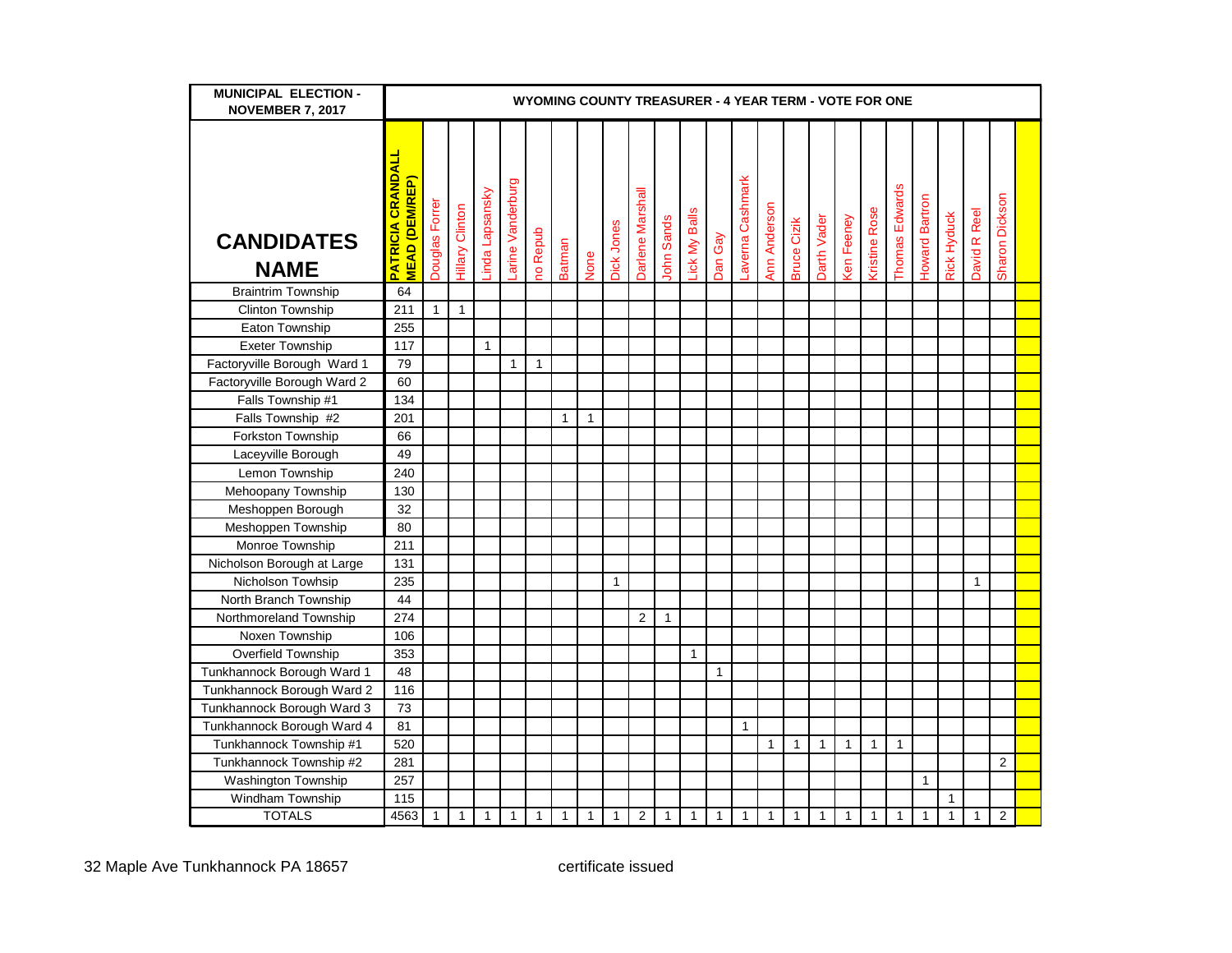| <b>MUNICIPAL ELECTION -</b><br><b>NOVEMBER 7, 2017</b> | WYOMING COUNTY TREASURER - 4 YEAR TERM - VOTE FOR ONE |                |                        |                 |                  |                 |               |              |              |                  |                   |               |              |                  |              |                    |             |                   |                      |                |                |              |              |                |  |
|--------------------------------------------------------|-------------------------------------------------------|----------------|------------------------|-----------------|------------------|-----------------|---------------|--------------|--------------|------------------|-------------------|---------------|--------------|------------------|--------------|--------------------|-------------|-------------------|----------------------|----------------|----------------|--------------|--------------|----------------|--|
| <b>CANDIDATES</b><br><b>NAME</b>                       | <b>PATRICIA CRANDAL</b><br><b>MEAD (DEM/REP)</b>      | Douglas Forrer | <b>Hillary Clinton</b> | Linda Lapsansky | arine Vanderburg | <b>10 Repub</b> | <b>Batman</b> | None         | Dick Jones   | Darlene Marshall | <b>John Sands</b> | Lick My Balls | Dan Gay      | Laverna Cashmark | Ann Anderson | <b>Bruce Cizik</b> | Darth Vader | <b>Ken Feeney</b> | <b>Kristine Rose</b> | Thomas Edwards | Howard Bartron | Rick Hyduck  | David R Reel | Sharon Dickson |  |
| <b>Braintrim Township</b>                              | 64                                                    |                |                        |                 |                  |                 |               |              |              |                  |                   |               |              |                  |              |                    |             |                   |                      |                |                |              |              |                |  |
| <b>Clinton Township</b>                                | 211                                                   | $\mathbf{1}$   | $\mathbf{1}$           |                 |                  |                 |               |              |              |                  |                   |               |              |                  |              |                    |             |                   |                      |                |                |              |              |                |  |
| Eaton Township                                         | 255                                                   |                |                        |                 |                  |                 |               |              |              |                  |                   |               |              |                  |              |                    |             |                   |                      |                |                |              |              |                |  |
| <b>Exeter Township</b>                                 | 117                                                   |                |                        | $\mathbf{1}$    |                  |                 |               |              |              |                  |                   |               |              |                  |              |                    |             |                   |                      |                |                |              |              |                |  |
| Factoryville Borough Ward 1                            | 79                                                    |                |                        |                 | $\mathbf{1}$     | $\mathbf{1}$    |               |              |              |                  |                   |               |              |                  |              |                    |             |                   |                      |                |                |              |              |                |  |
| Factoryville Borough Ward 2                            | 60                                                    |                |                        |                 |                  |                 |               |              |              |                  |                   |               |              |                  |              |                    |             |                   |                      |                |                |              |              |                |  |
| Falls Township #1                                      | 134                                                   |                |                        |                 |                  |                 |               |              |              |                  |                   |               |              |                  |              |                    |             |                   |                      |                |                |              |              |                |  |
| Falls Township #2                                      | 201                                                   |                |                        |                 |                  |                 | $\mathbf{1}$  | $\mathbf{1}$ |              |                  |                   |               |              |                  |              |                    |             |                   |                      |                |                |              |              |                |  |
| Forkston Township                                      | 66                                                    |                |                        |                 |                  |                 |               |              |              |                  |                   |               |              |                  |              |                    |             |                   |                      |                |                |              |              |                |  |
| Laceyville Borough                                     | 49                                                    |                |                        |                 |                  |                 |               |              |              |                  |                   |               |              |                  |              |                    |             |                   |                      |                |                |              |              |                |  |
| Lemon Township                                         | 240                                                   |                |                        |                 |                  |                 |               |              |              |                  |                   |               |              |                  |              |                    |             |                   |                      |                |                |              |              |                |  |
| Mehoopany Township                                     | 130                                                   |                |                        |                 |                  |                 |               |              |              |                  |                   |               |              |                  |              |                    |             |                   |                      |                |                |              |              |                |  |
| Meshoppen Borough                                      | 32                                                    |                |                        |                 |                  |                 |               |              |              |                  |                   |               |              |                  |              |                    |             |                   |                      |                |                |              |              |                |  |
| Meshoppen Township                                     | 80                                                    |                |                        |                 |                  |                 |               |              |              |                  |                   |               |              |                  |              |                    |             |                   |                      |                |                |              |              |                |  |
| Monroe Township                                        | 211                                                   |                |                        |                 |                  |                 |               |              |              |                  |                   |               |              |                  |              |                    |             |                   |                      |                |                |              |              |                |  |
| Nicholson Borough at Large                             | 131                                                   |                |                        |                 |                  |                 |               |              |              |                  |                   |               |              |                  |              |                    |             |                   |                      |                |                |              |              |                |  |
| Nicholson Towhsip                                      | 235                                                   |                |                        |                 |                  |                 |               |              | $\mathbf{1}$ |                  |                   |               |              |                  |              |                    |             |                   |                      |                |                |              | $\mathbf{1}$ |                |  |
| North Branch Township                                  | 44                                                    |                |                        |                 |                  |                 |               |              |              |                  |                   |               |              |                  |              |                    |             |                   |                      |                |                |              |              |                |  |
| Northmoreland Township                                 | 274                                                   |                |                        |                 |                  |                 |               |              |              | 2                | $\mathbf{1}$      |               |              |                  |              |                    |             |                   |                      |                |                |              |              |                |  |
| Noxen Township                                         | 106                                                   |                |                        |                 |                  |                 |               |              |              |                  |                   |               |              |                  |              |                    |             |                   |                      |                |                |              |              |                |  |
| Overfield Township                                     | 353                                                   |                |                        |                 |                  |                 |               |              |              |                  |                   | $\mathbf{1}$  |              |                  |              |                    |             |                   |                      |                |                |              |              |                |  |
| Tunkhannock Borough Ward 1                             | 48                                                    |                |                        |                 |                  |                 |               |              |              |                  |                   |               | $\mathbf{1}$ |                  |              |                    |             |                   |                      |                |                |              |              |                |  |
| Tunkhannock Borough Ward 2                             | 116                                                   |                |                        |                 |                  |                 |               |              |              |                  |                   |               |              |                  |              |                    |             |                   |                      |                |                |              |              |                |  |
| Tunkhannock Borough Ward 3                             | 73                                                    |                |                        |                 |                  |                 |               |              |              |                  |                   |               |              |                  |              |                    |             |                   |                      |                |                |              |              |                |  |
| Tunkhannock Borough Ward 4                             | 81                                                    |                |                        |                 |                  |                 |               |              |              |                  |                   |               |              | $\mathbf{1}$     |              |                    |             |                   |                      |                |                |              |              |                |  |
| Tunkhannock Township #1                                | 520                                                   |                |                        |                 |                  |                 |               |              |              |                  |                   |               |              |                  | 1            | $\overline{1}$     | 1           | 1                 | $\mathbf{1}$         | $\mathbf{1}$   |                |              |              |                |  |
| Tunkhannock Township #2                                | 281                                                   |                |                        |                 |                  |                 |               |              |              |                  |                   |               |              |                  |              |                    |             |                   |                      |                |                |              |              | 2              |  |
| Washington Township                                    | 257                                                   |                |                        |                 |                  |                 |               |              |              |                  |                   |               |              |                  |              |                    |             |                   |                      |                | $\mathbf{1}$   |              |              |                |  |
| Windham Township                                       | 115                                                   |                |                        |                 |                  |                 |               |              |              |                  |                   |               |              |                  |              |                    |             |                   |                      |                |                | 1            |              |                |  |
| <b>TOTALS</b>                                          | 4563                                                  | 1              | $\mathbf{1}$           | $\mathbf{1}$    | 1                | 1               | 1             | 1            | 1            | 2                | 1                 | 1             | 1            | 1                | $\mathbf{1}$ | $\mathbf{1}$       | 1           | 1                 | 1                    | 1              | 1              | $\mathbf{1}$ | 1            | $\overline{2}$ |  |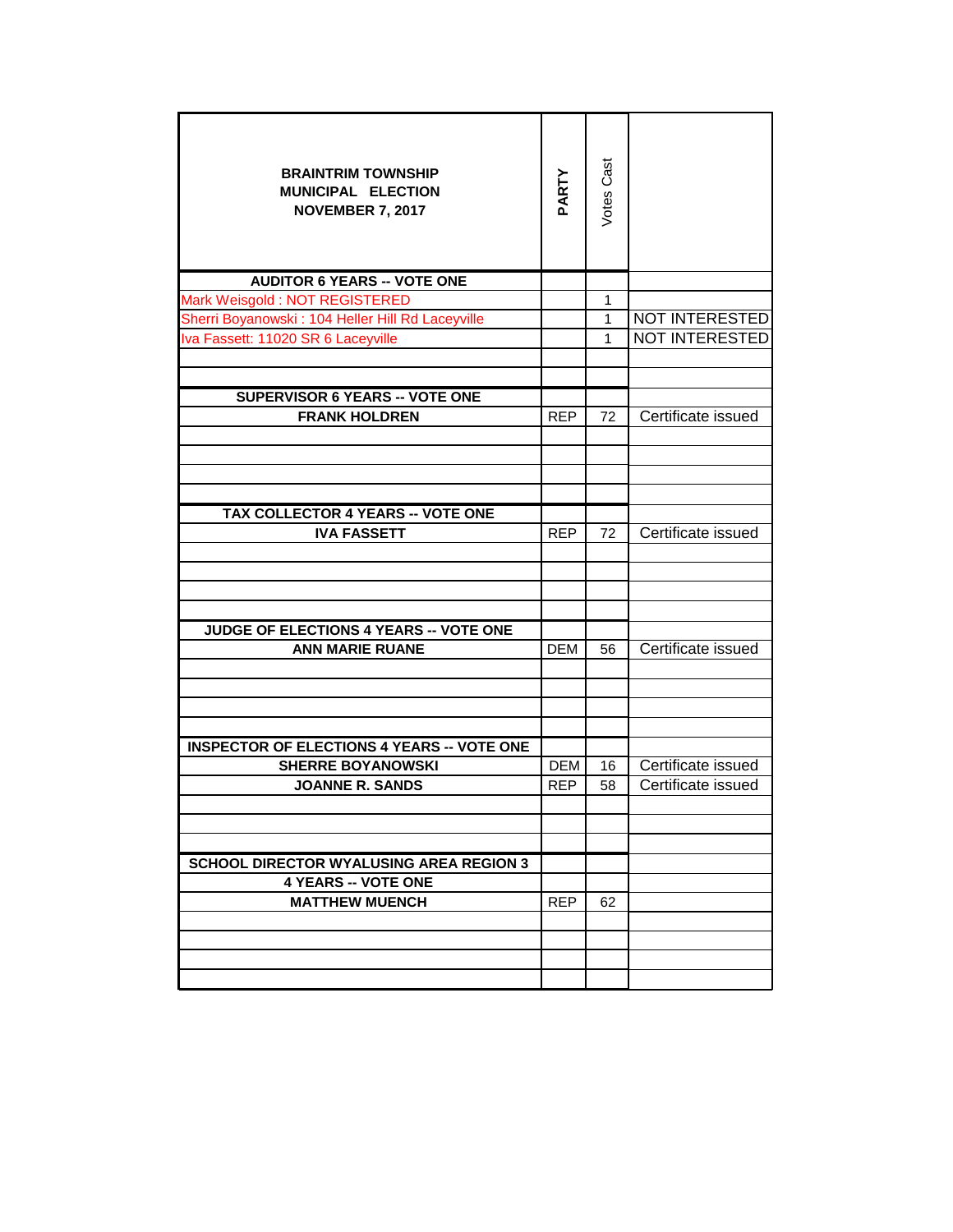| <b>BRAINTRIM TOWNSHIP</b><br>MUNICIPAL ELECTION<br><b>NOVEMBER 7, 2017</b> | PARTY      | Votes Cast   |                       |
|----------------------------------------------------------------------------|------------|--------------|-----------------------|
| <b>AUDITOR 6 YEARS -- VOTE ONE</b>                                         |            |              |                       |
| Mark Weisgold: NOT REGISTERED                                              |            | 1            |                       |
| Sherri Boyanowski: 104 Heller Hill Rd Laceyville                           |            | 1            | <b>NOT INTERESTED</b> |
| Iva Fassett: 11020 SR 6 Laceyville                                         |            | $\mathbf{1}$ | <b>NOT INTERESTED</b> |
| <b>SUPERVISOR 6 YEARS -- VOTE ONE</b>                                      |            |              |                       |
| <b>FRANK HOLDREN</b>                                                       | <b>REP</b> | 72           | Certificate issued    |
|                                                                            |            |              |                       |
|                                                                            |            |              |                       |
| <b>TAX COLLECTOR 4 YEARS -- VOTE ONE</b>                                   |            |              |                       |
| <b>IVA FASSETT</b>                                                         | <b>REP</b> | 72           | Certificate issued    |
|                                                                            |            |              |                       |
| <b>JUDGE OF ELECTIONS 4 YEARS -- VOTE ONE</b>                              |            |              |                       |
| <b>ANN MARIE RUANE</b>                                                     | DEM        | 56           | Certificate issued    |
|                                                                            |            |              |                       |
|                                                                            |            |              |                       |
| <b>INSPECTOR OF ELECTIONS 4 YEARS -- VOTE ONE</b>                          |            |              |                       |
| <b>SHERRE BOYANOWSKI</b>                                                   | <b>DEM</b> | 16           | Certificate issued    |
| <b>JOANNE R. SANDS</b>                                                     | <b>REP</b> | 58           | Certificate issued    |
|                                                                            |            |              |                       |
|                                                                            |            |              |                       |
| <b>SCHOOL DIRECTOR WYALUSING AREA REGION 3</b>                             |            |              |                       |
| <b>4 YEARS -- VOTE ONE</b>                                                 |            |              |                       |
| <b>MATTHEW MUENCH</b>                                                      | <b>REP</b> | 62           |                       |
|                                                                            |            |              |                       |
|                                                                            |            |              |                       |
|                                                                            |            |              |                       |
|                                                                            |            |              |                       |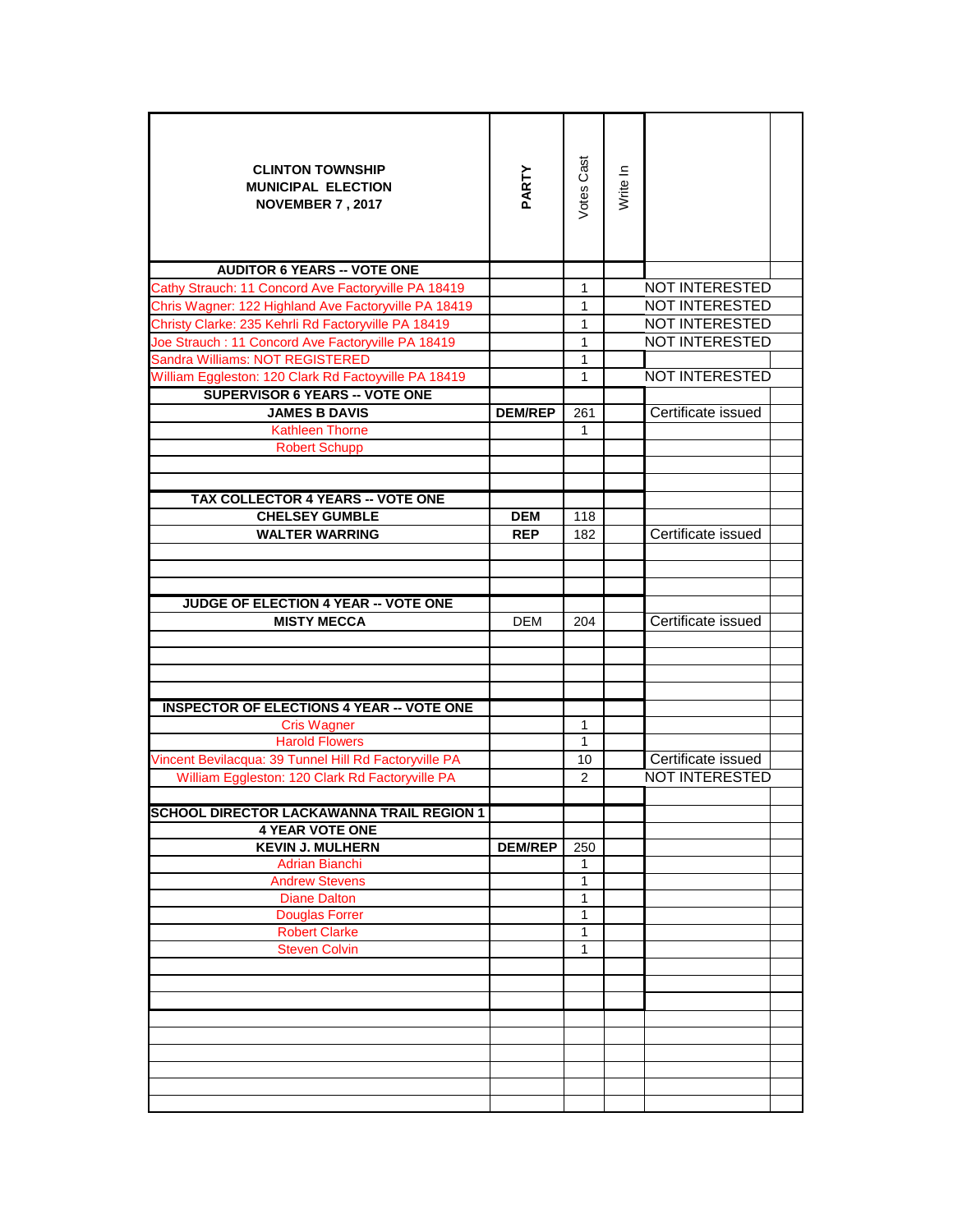| <b>CLINTON TOWNSHIP</b><br><b>MUNICIPAL ELECTION</b><br><b>NOVEMBER 7, 2017</b> | PARTY          | Votes Cast     | Write In |                       |  |
|---------------------------------------------------------------------------------|----------------|----------------|----------|-----------------------|--|
| <b>AUDITOR 6 YEARS -- VOTE ONE</b>                                              |                |                |          |                       |  |
| Cathy Strauch: 11 Concord Ave Factoryville PA 18419                             |                | 1              |          | <b>NOT INTERESTED</b> |  |
| Chris Wagner: 122 Highland Ave Factoryville PA 18419                            |                | 1              |          | <b>NOT INTERESTED</b> |  |
| Christy Clarke: 235 Kehrli Rd Factoryville PA 18419                             |                | 1              |          | <b>NOT INTERESTED</b> |  |
| Joe Strauch: 11 Concord Ave Factoryville PA 18419                               |                | $\mathbf 1$    |          | <b>NOT INTERESTED</b> |  |
| Sandra Williams: NOT REGISTERED                                                 |                | $\mathbf 1$    |          |                       |  |
| William Eggleston: 120 Clark Rd Factoyville PA 18419                            |                | $\mathbf{1}$   |          | <b>NOT INTERESTED</b> |  |
| <b>SUPERVISOR 6 YEARS -- VOTE ONE</b>                                           |                |                |          |                       |  |
| <b>JAMES B DAVIS</b>                                                            | <b>DEM/REP</b> | 261            |          | Certificate issued    |  |
| <b>Kathleen Thorne</b>                                                          |                | $\mathbf{1}$   |          |                       |  |
| <b>Robert Schupp</b>                                                            |                |                |          |                       |  |
|                                                                                 |                |                |          |                       |  |
| <b>TAX COLLECTOR 4 YEARS -- VOTE ONE</b>                                        |                |                |          |                       |  |
| <b>CHELSEY GUMBLE</b>                                                           | <b>DEM</b>     | 118            |          |                       |  |
| <b>WALTER WARRING</b>                                                           | <b>REP</b>     | 182            |          | Certificate issued    |  |
|                                                                                 |                |                |          |                       |  |
|                                                                                 |                |                |          |                       |  |
| JUDGE OF ELECTION 4 YEAR -- VOTE ONE                                            |                |                |          |                       |  |
| <b>MISTY MECCA</b>                                                              | <b>DEM</b>     | 204            |          | Certificate issued    |  |
|                                                                                 |                |                |          |                       |  |
|                                                                                 |                |                |          |                       |  |
|                                                                                 |                |                |          |                       |  |
| <b>INSPECTOR OF ELECTIONS 4 YEAR -- VOTE ONE</b>                                |                |                |          |                       |  |
| <b>Cris Wagner</b>                                                              |                | 1              |          |                       |  |
| <b>Harold Flowers</b>                                                           |                | $\mathbf{1}$   |          |                       |  |
| Vincent Bevilacqua: 39 Tunnel Hill Rd Factoryville PA                           |                | 10             |          | Certificate issued    |  |
| William Eggleston: 120 Clark Rd Factoryville PA                                 |                | $\overline{2}$ |          | <b>NOT INTERESTED</b> |  |
|                                                                                 |                |                |          |                       |  |
| <b>SCHOOL DIRECTOR LACKAWANNA TRAIL REGION 1</b>                                |                |                |          |                       |  |
| <b>4 YEAR VOTE ONE</b>                                                          |                |                |          |                       |  |
| <b>KEVIN J. MULHERN</b>                                                         | <b>DEM/REP</b> | 250            |          |                       |  |
| <b>Adrian Bianchi</b>                                                           |                | 1              |          |                       |  |
| <b>Andrew Stevens</b><br><b>Diane Dalton</b>                                    |                | 1<br>1         |          |                       |  |
| <b>Douglas Forrer</b>                                                           |                | 1              |          |                       |  |
| <b>Robert Clarke</b>                                                            |                | 1              |          |                       |  |
| <b>Steven Colvin</b>                                                            |                | $\mathbf{1}$   |          |                       |  |
|                                                                                 |                |                |          |                       |  |
|                                                                                 |                |                |          |                       |  |
|                                                                                 |                |                |          |                       |  |
|                                                                                 |                |                |          |                       |  |
|                                                                                 |                |                |          |                       |  |
|                                                                                 |                |                |          |                       |  |
|                                                                                 |                |                |          |                       |  |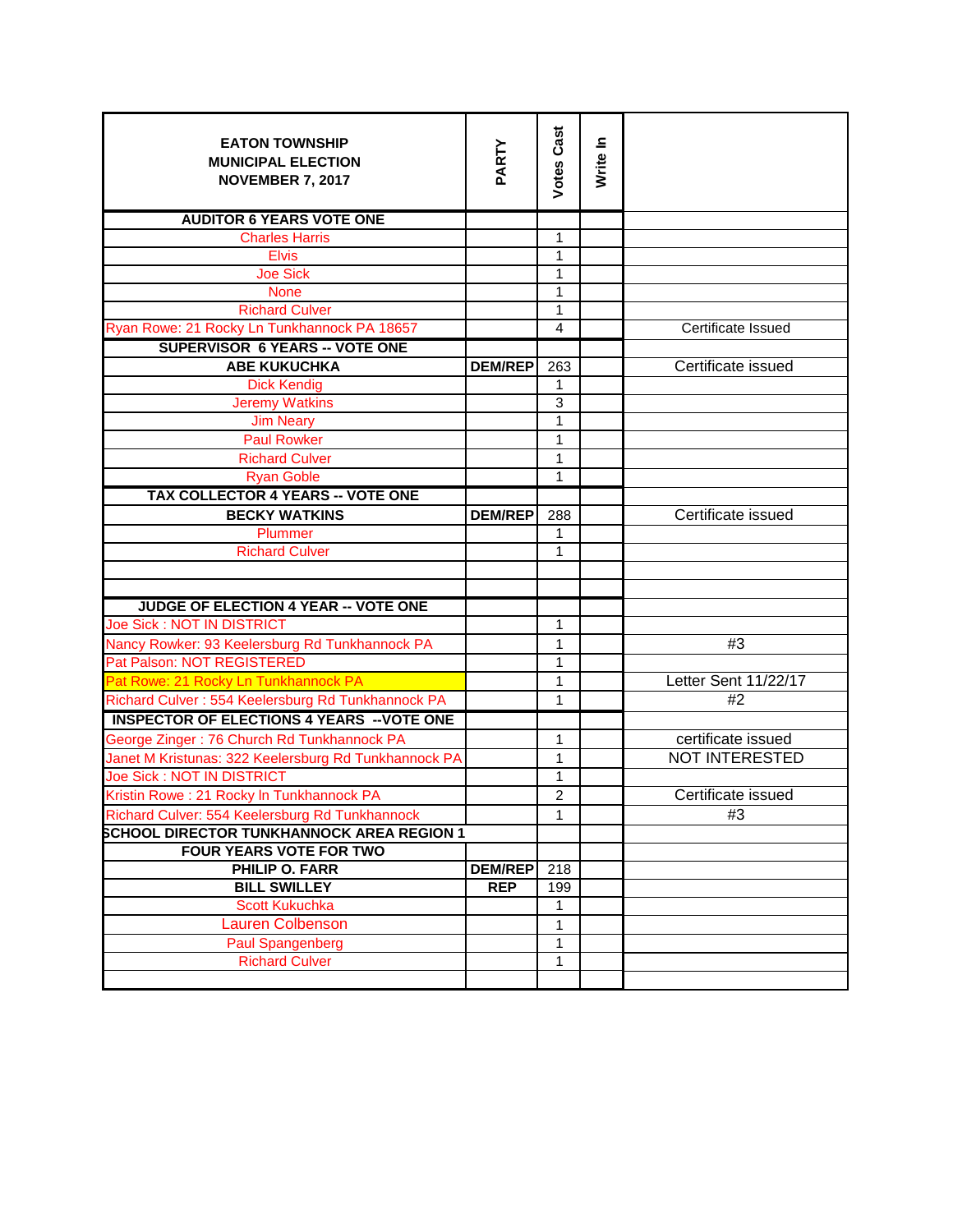| <b>EATON TOWNSHIP</b><br><b>MUNICIPAL ELECTION</b><br><b>NOVEMBER 7, 2017</b>             | PARTY                        | <b>Votes Cast</b> | Write In |                           |
|-------------------------------------------------------------------------------------------|------------------------------|-------------------|----------|---------------------------|
| <b>AUDITOR 6 YEARS VOTE ONE</b>                                                           |                              |                   |          |                           |
| <b>Charles Harris</b>                                                                     |                              | 1                 |          |                           |
| <b>Elvis</b>                                                                              |                              | $\mathbf{1}$      |          |                           |
| <b>Joe Sick</b>                                                                           |                              | 1                 |          |                           |
| <b>None</b>                                                                               |                              | $\mathbf{1}$      |          |                           |
| <b>Richard Culver</b>                                                                     |                              | 1                 |          | <b>Certificate Issued</b> |
| Ryan Rowe: 21 Rocky Ln Tunkhannock PA 18657                                               |                              | $\overline{4}$    |          |                           |
| <b>SUPERVISOR 6 YEARS -- VOTE ONE</b>                                                     |                              |                   |          |                           |
| <b>ABE KUKUCHKA</b>                                                                       | <b>DEM/REP</b>               | 263               |          | Certificate issued        |
| <b>Dick Kendig</b>                                                                        |                              | 1                 |          |                           |
| <b>Jeremy Watkins</b>                                                                     |                              | 3                 |          |                           |
| <b>Jim Neary</b>                                                                          |                              | 1                 |          |                           |
| <b>Paul Rowker</b>                                                                        |                              | 1                 |          |                           |
| <b>Richard Culver</b>                                                                     |                              | 1<br>$\mathbf{1}$ |          |                           |
| <b>Ryan Goble</b>                                                                         |                              |                   |          |                           |
| <b>TAX COLLECTOR 4 YEARS -- VOTE ONE</b>                                                  |                              |                   |          |                           |
| <b>BECKY WATKINS</b>                                                                      | <b>DEM/REP</b>               | 288               |          | Certificate issued        |
| Plummer                                                                                   |                              | 1                 |          |                           |
| <b>Richard Culver</b>                                                                     |                              | 1                 |          |                           |
|                                                                                           |                              |                   |          |                           |
|                                                                                           |                              |                   |          |                           |
| JUDGE OF ELECTION 4 YEAR -- VOTE ONE<br>Joe Sick: NOT IN DISTRICT                         |                              | 1                 |          |                           |
|                                                                                           |                              |                   |          | #3                        |
| Nancy Rowker: 93 Keelersburg Rd Tunkhannock PA<br>Pat Palson: NOT REGISTERED              |                              | 1<br>1            |          |                           |
|                                                                                           |                              |                   |          | Letter Sent 11/22/17      |
| Pat Rowe: 21 Rocky Ln Tunkhannock PA<br>Richard Culver: 554 Keelersburg Rd Tunkhannock PA |                              | 1<br>1            |          | #2                        |
|                                                                                           |                              |                   |          |                           |
| <b>INSPECTOR OF ELECTIONS 4 YEARS -- VOTE ONE</b>                                         |                              |                   |          |                           |
| George Zinger: 76 Church Rd Tunkhannock PA                                                |                              | $\mathbf{1}$      |          | certificate issued        |
| Janet M Kristunas: 322 Keelersburg Rd Tunkhannock PA                                      |                              | 1                 |          | <b>NOT INTERESTED</b>     |
| Joe Sick: NOT IN DISTRICT                                                                 |                              | $\mathbf{1}$      |          |                           |
| Kristin Rowe: 21 Rocky In Tunkhannock PA                                                  |                              | $\overline{c}$    |          | Certificate issued        |
| Richard Culver: 554 Keelersburg Rd Tunkhannock                                            |                              | 1                 |          | #3                        |
| <b>SCHOOL DIRECTOR TUNKHANNOCK AREA REGION 1</b>                                          |                              |                   |          |                           |
| FOUR YEARS VOTE FOR TWO                                                                   |                              |                   |          |                           |
| PHILIP O. FARR<br><b>BILL SWILLEY</b>                                                     | <b>DEM/REP</b><br><b>REP</b> | 218<br>199        |          |                           |
| <b>Scott Kukuchka</b>                                                                     |                              | 1                 |          |                           |
| Lauren Colbenson                                                                          |                              | 1                 |          |                           |
| <b>Paul Spangenberg</b>                                                                   |                              | 1                 |          |                           |
| <b>Richard Culver</b>                                                                     |                              | 1                 |          |                           |
|                                                                                           |                              |                   |          |                           |
|                                                                                           |                              |                   |          |                           |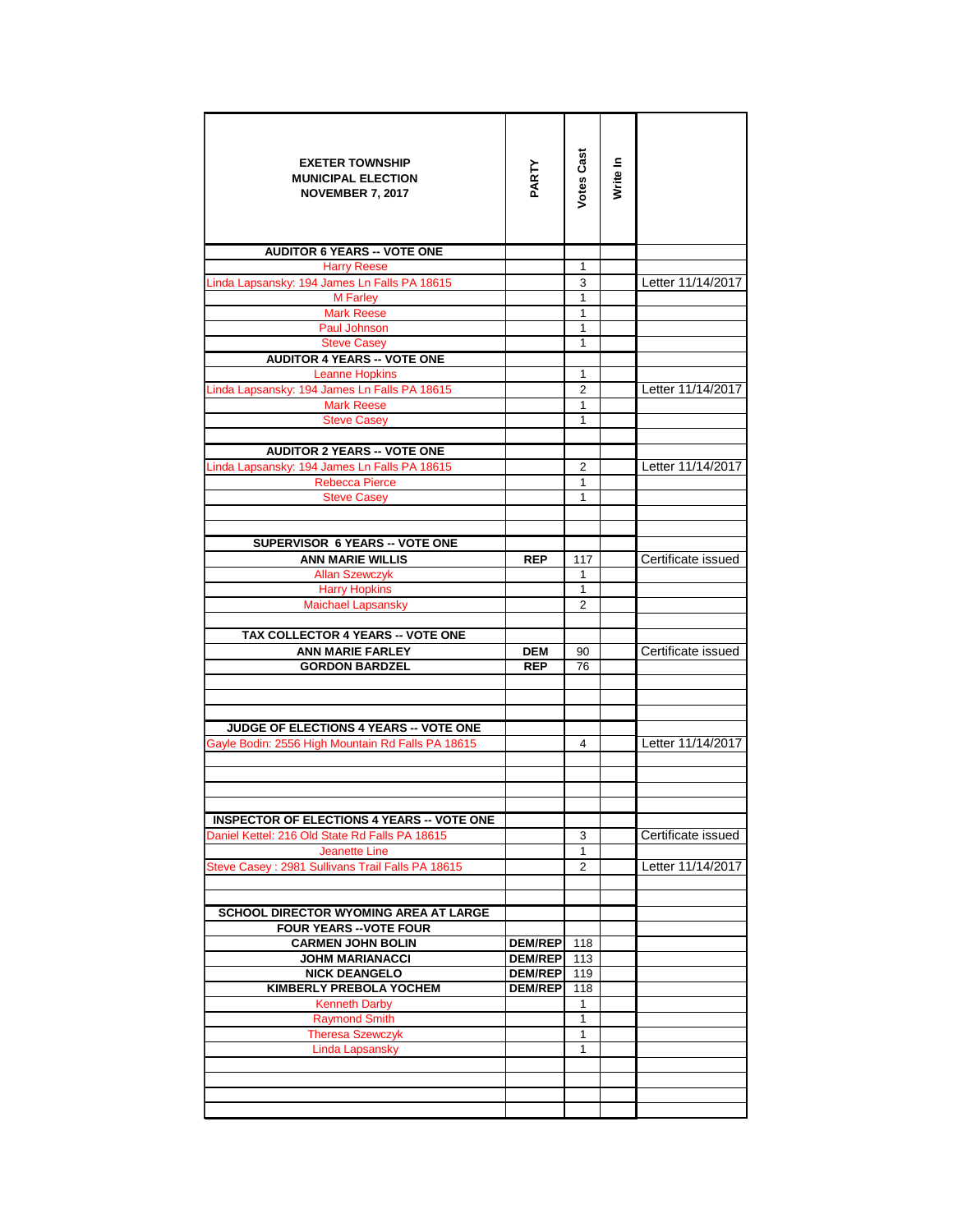| <b>EXETER TOWNSHIP</b><br><b>MUNICIPAL ELECTION</b><br><b>NOVEMBER 7, 2017</b> | PARTY                            | Votes Cast     | Write In |                    |
|--------------------------------------------------------------------------------|----------------------------------|----------------|----------|--------------------|
| <b>AUDITOR 6 YEARS -- VOTE ONE</b>                                             |                                  |                |          |                    |
| <b>Harry Reese</b>                                                             |                                  | 1              |          |                    |
| Linda Lapsansky: 194 James Ln Falls PA 18615                                   |                                  | 3              |          | Letter 11/14/2017  |
| M Farley                                                                       |                                  | 1              |          |                    |
| <b>Mark Reese</b>                                                              |                                  | 1              |          |                    |
| Paul Johnson<br><b>Steve Casey</b>                                             |                                  | 1<br>1         |          |                    |
| <b>AUDITOR 4 YEARS -- VOTE ONE</b>                                             |                                  |                |          |                    |
| <b>Leanne Hopkins</b>                                                          |                                  | 1              |          |                    |
| Linda Lapsansky: 194 James Ln Falls PA 18615                                   |                                  | $\overline{2}$ |          | Letter 11/14/2017  |
| <b>Mark Reese</b>                                                              |                                  | 1              |          |                    |
| <b>Steve Casey</b>                                                             |                                  | 1              |          |                    |
|                                                                                |                                  |                |          |                    |
| <b>AUDITOR 2 YEARS -- VOTE ONE</b>                                             |                                  |                |          |                    |
| Linda Lapsansky: 194 James Ln Falls PA 18615                                   |                                  | 2              |          | Letter 11/14/2017  |
| <b>Rebecca Pierce</b>                                                          |                                  | $\mathbf{1}$   |          |                    |
| <b>Steve Casey</b>                                                             |                                  | 1              |          |                    |
|                                                                                |                                  |                |          |                    |
|                                                                                |                                  |                |          |                    |
| <b>SUPERVISOR 6 YEARS -- VOTE ONE</b>                                          |                                  |                |          |                    |
| <b>ANN MARIE WILLIS</b>                                                        | <b>REP</b>                       | 117            |          | Certificate issued |
| <b>Allan Szewczyk</b><br><b>Harry Hopkins</b>                                  |                                  | 1<br>1         |          |                    |
| <b>Maichael Lapsansky</b>                                                      |                                  | $\overline{2}$ |          |                    |
|                                                                                |                                  |                |          |                    |
| TAX COLLECTOR 4 YEARS -- VOTE ONE                                              |                                  |                |          |                    |
| <b>ANN MARIE FARLEY</b>                                                        | <b>DEM</b>                       | 90             |          | Certificate issued |
| <b>GORDON BARDZEL</b>                                                          | <b>REP</b>                       | 76             |          |                    |
|                                                                                |                                  |                |          |                    |
|                                                                                |                                  |                |          |                    |
|                                                                                |                                  |                |          |                    |
| <b>JUDGE OF ELECTIONS 4 YEARS -- VOTE ONE</b>                                  |                                  |                |          |                    |
| Gayle Bodin: 2556 High Mountain Rd Falls PA 18615                              |                                  | 4              |          | Letter 11/14/2017  |
|                                                                                |                                  |                |          |                    |
|                                                                                |                                  |                |          |                    |
|                                                                                |                                  |                |          |                    |
| <b>INSPECTOR OF ELECTIONS 4 YEARS -- VOTE ONE</b>                              |                                  |                |          |                    |
| Daniel Kettel: 216 Old State Rd Falls PA 18615                                 |                                  | 3              |          | Certificate issued |
| <b>Jeanette Line</b>                                                           |                                  | $\mathbf{1}$   |          |                    |
| Steve Casey: 2981 Sullivans Trail Falls PA 18615                               |                                  | $\overline{2}$ |          | Letter 11/14/2017  |
|                                                                                |                                  |                |          |                    |
|                                                                                |                                  |                |          |                    |
| <b>SCHOOL DIRECTOR WYOMING AREA AT LARGE</b>                                   |                                  |                |          |                    |
| <b>FOUR YEARS -- VOTE FOUR</b>                                                 |                                  |                |          |                    |
| <b>CARMEN JOHN BOLIN</b><br><b>JOHM MARIANACCI</b>                             | <b>DEM/REP</b><br><b>DEM/REP</b> | 118<br>113     |          |                    |
| <b>NICK DEANGELO</b>                                                           | <b>DEM/REP</b>                   | 119            |          |                    |
| KIMBERLY PREBOLA YOCHEM                                                        | <b>DEM/REP</b>                   | 118            |          |                    |
| <b>Kenneth Darby</b>                                                           |                                  | 1              |          |                    |
| <b>Raymond Smith</b>                                                           |                                  | 1              |          |                    |
| <b>Theresa Szewczyk</b>                                                        |                                  | 1              |          |                    |
| <b>Linda Lapsansky</b>                                                         |                                  | 1              |          |                    |
|                                                                                |                                  |                |          |                    |
|                                                                                |                                  |                |          |                    |
|                                                                                |                                  |                |          |                    |
|                                                                                |                                  |                |          |                    |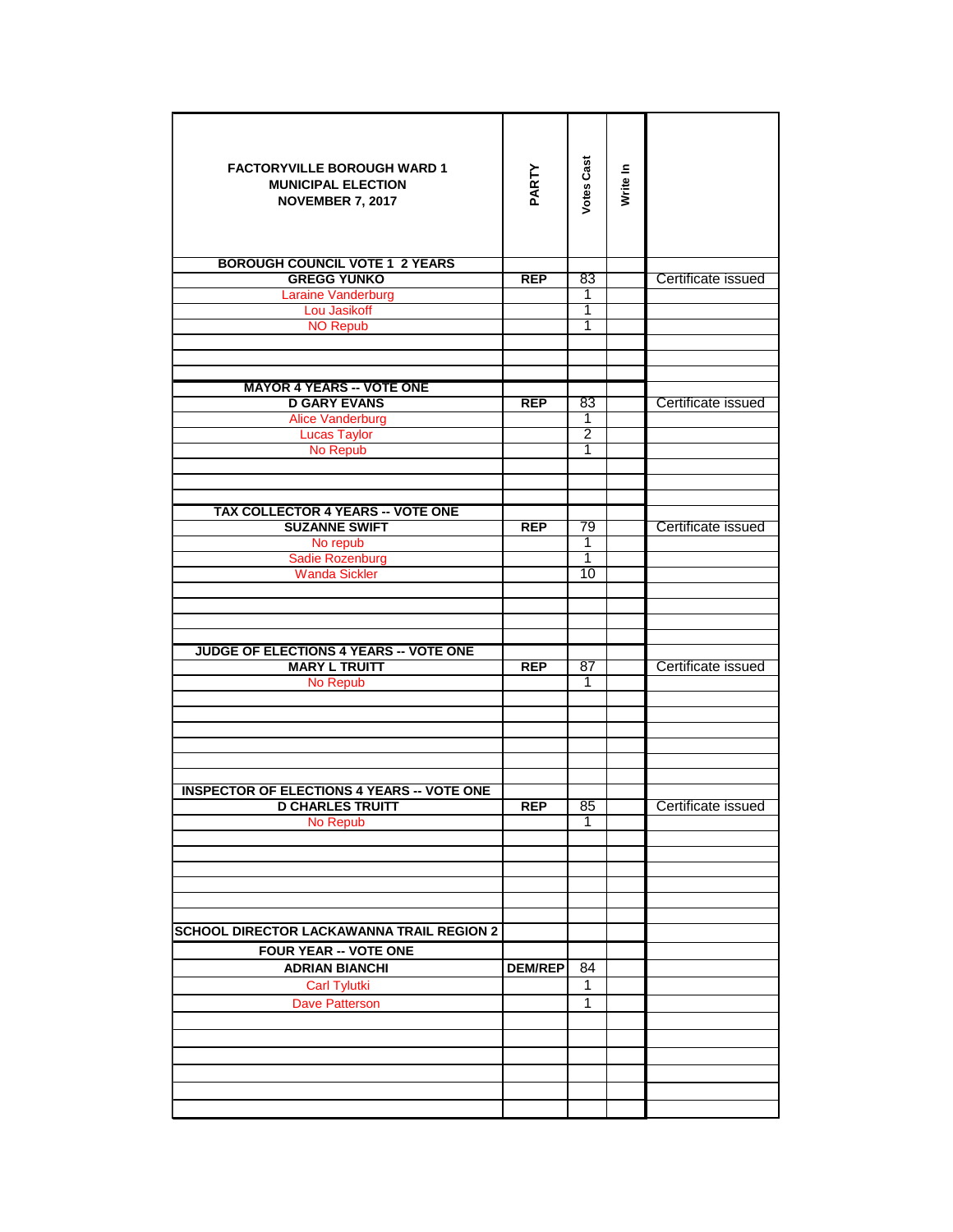| <b>FACTORYVILLE BOROUGH WARD 1</b><br><b>MUNICIPAL ELECTION</b><br><b>NOVEMBER 7, 2017</b> | PARTY          | <b>Votes Cast</b> | Write In |                    |
|--------------------------------------------------------------------------------------------|----------------|-------------------|----------|--------------------|
| <b>BOROUGH COUNCIL VOTE 1 2 YEARS</b>                                                      |                |                   |          |                    |
| <b>GREGG YUNKO</b>                                                                         | <b>REP</b>     | 83                |          | Certificate issued |
| Laraine Vanderburg                                                                         |                | 1                 |          |                    |
| Lou Jasikoff                                                                               |                | 1<br>1            |          |                    |
| <b>NO Repub</b>                                                                            |                |                   |          |                    |
|                                                                                            |                |                   |          |                    |
|                                                                                            |                |                   |          |                    |
| <b>MAYOR 4 YEARS -- VOTE ONE</b>                                                           |                |                   |          |                    |
| <b>D GARY EVANS</b>                                                                        | <b>REP</b>     | 83                |          | Certificate issued |
| <b>Alice Vanderburg</b><br><b>Lucas Taylor</b>                                             |                | 1<br>2            |          |                    |
| No Repub                                                                                   |                | 1                 |          |                    |
|                                                                                            |                |                   |          |                    |
|                                                                                            |                |                   |          |                    |
|                                                                                            |                |                   |          |                    |
| TAX COLLECTOR 4 YEARS -- VOTE ONE<br><b>SUZANNE SWIFT</b>                                  | <b>REP</b>     | 79                |          | Certificate issued |
| No repub                                                                                   |                | 1                 |          |                    |
| Sadie Rozenburg                                                                            |                | 1                 |          |                    |
| <b>Wanda Sickler</b>                                                                       |                | 10                |          |                    |
|                                                                                            |                |                   |          |                    |
|                                                                                            |                |                   |          |                    |
|                                                                                            |                |                   |          |                    |
| <b>JUDGE OF ELECTIONS 4 YEARS -- VOTE ONE</b>                                              |                |                   |          |                    |
| <b>MARY L TRUITT</b>                                                                       | <b>REP</b>     | 87                |          | Certificate issued |
| No Repub                                                                                   |                | 1                 |          |                    |
|                                                                                            |                |                   |          |                    |
|                                                                                            |                |                   |          |                    |
|                                                                                            |                |                   |          |                    |
|                                                                                            |                |                   |          |                    |
|                                                                                            |                |                   |          |                    |
| <b>INSPECTOR OF ELECTIONS 4 YEARS -- VOTE ONE</b><br><b>D CHARLES TRUITT</b>               |                |                   |          |                    |
| No Repub                                                                                   | <b>REP</b>     | 85<br>1           |          | Certificate issued |
|                                                                                            |                |                   |          |                    |
|                                                                                            |                |                   |          |                    |
|                                                                                            |                |                   |          |                    |
|                                                                                            |                |                   |          |                    |
|                                                                                            |                |                   |          |                    |
| <b>SCHOOL DIRECTOR LACKAWANNA TRAIL REGION 2</b>                                           |                |                   |          |                    |
| FOUR YEAR -- VOTE ONE                                                                      |                |                   |          |                    |
| <b>ADRIAN BIANCHI</b>                                                                      | <b>DEM/REP</b> | 84                |          |                    |
| <b>Carl Tylutki</b>                                                                        |                | 1                 |          |                    |
| <b>Dave Patterson</b>                                                                      |                | $\mathbf{1}$      |          |                    |
|                                                                                            |                |                   |          |                    |
|                                                                                            |                |                   |          |                    |
|                                                                                            |                |                   |          |                    |
|                                                                                            |                |                   |          |                    |
|                                                                                            |                |                   |          |                    |
|                                                                                            |                |                   |          |                    |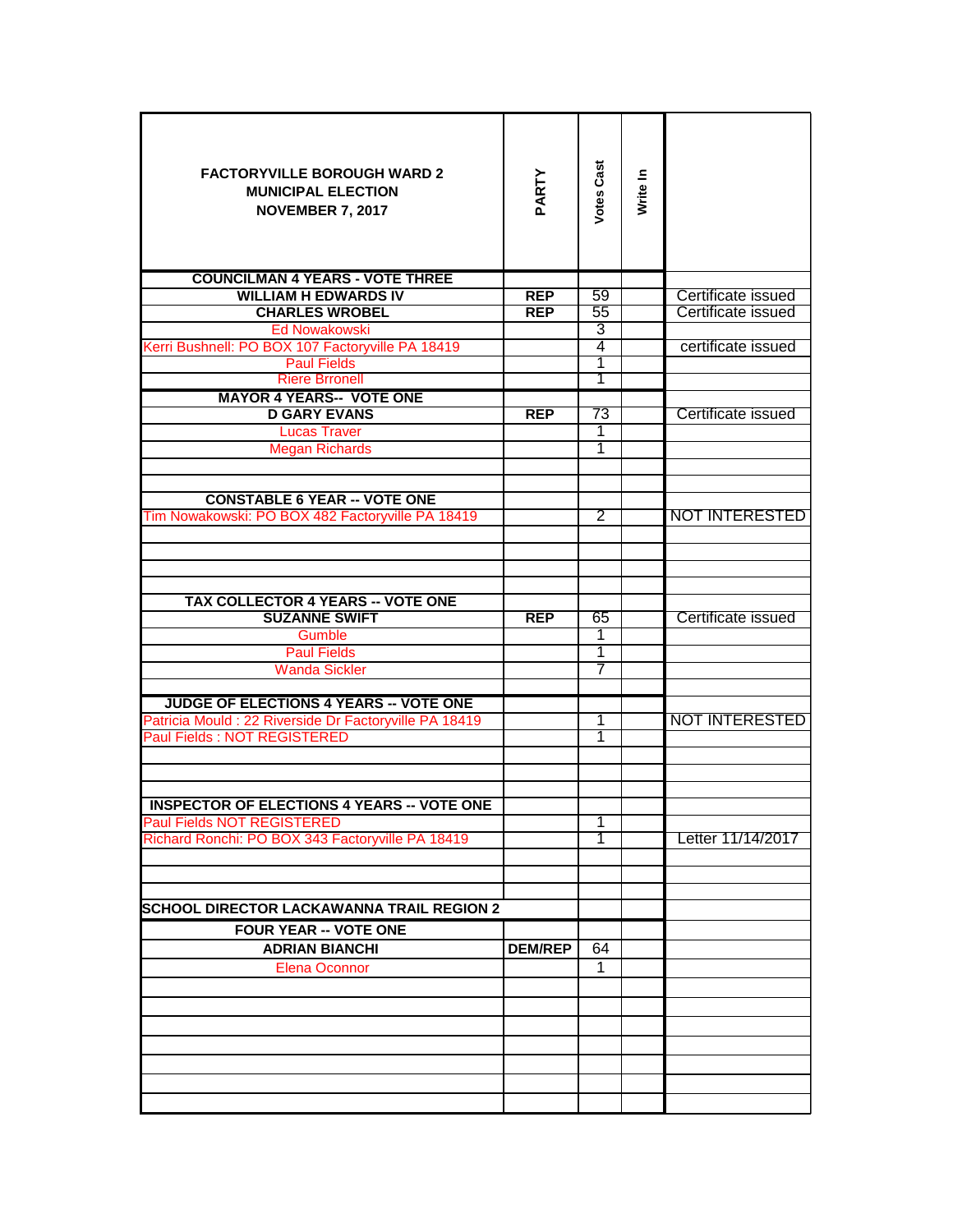| <b>FACTORYVILLE BOROUGH WARD 2</b><br><b>MUNICIPAL ELECTION</b><br><b>NOVEMBER 7, 2017</b><br><b>COUNCILMAN 4 YEARS - VOTE THREE</b> | PARTY          | <b>Votes Cast</b> | Write In |                       |
|--------------------------------------------------------------------------------------------------------------------------------------|----------------|-------------------|----------|-----------------------|
|                                                                                                                                      |                |                   |          |                       |
| <b>WILLIAM H EDWARDS IV</b>                                                                                                          | <b>REP</b>     | 59                |          | Certificate issued    |
| <b>CHARLES WROBEL</b>                                                                                                                | <b>REP</b>     | 55                |          | Certificate issued    |
| <b>Ed Nowakowski</b>                                                                                                                 |                | 3                 |          |                       |
| Kerri Bushnell: PO BOX 107 Factoryville PA 18419                                                                                     |                | 4                 |          | certificate issued    |
| <b>Paul Fields</b>                                                                                                                   |                | 1                 |          |                       |
| <b>Riere Brronell</b>                                                                                                                |                | Τ                 |          |                       |
| <b>MAYOR 4 YEARS-- VOTE ONE</b>                                                                                                      |                |                   |          |                       |
| <b>D GARY EVANS</b>                                                                                                                  | <b>REP</b>     | 73                |          | Certificate issued    |
| <b>Lucas Traver</b>                                                                                                                  |                | 1                 |          |                       |
| <b>Megan Richards</b>                                                                                                                |                | 1                 |          |                       |
|                                                                                                                                      |                |                   |          |                       |
|                                                                                                                                      |                |                   |          |                       |
| <b>CONSTABLE 6 YEAR -- VOTE ONE</b>                                                                                                  |                |                   |          |                       |
| Tim Nowakowski: PO BOX 482 Factoryville PA 18419                                                                                     |                | $\overline{2}$    |          | <b>NOT INTERESTED</b> |
|                                                                                                                                      |                |                   |          |                       |
|                                                                                                                                      |                |                   |          |                       |
|                                                                                                                                      |                |                   |          |                       |
|                                                                                                                                      |                |                   |          |                       |
| <b>TAX COLLECTOR 4 YEARS -- VOTE ONE</b>                                                                                             |                |                   |          |                       |
| <b>SUZANNE SWIFT</b>                                                                                                                 | <b>REP</b>     | 65                |          | Certificate issued    |
| Gumble                                                                                                                               |                | 1                 |          |                       |
| <b>Paul Fields</b>                                                                                                                   |                | 1                 |          |                       |
| <b>Wanda Sickler</b>                                                                                                                 |                | 7                 |          |                       |
|                                                                                                                                      |                |                   |          |                       |
| JUDGE OF ELECTIONS 4 YEARS -- VOTE ONE                                                                                               |                |                   |          |                       |
| Patricia Mould : 22 Riverside Dr Factoryville PA 18419                                                                               |                | 1                 |          | NOT INTERESTED        |
| <b>Paul Fields: NOT REGISTERED</b>                                                                                                   |                | 1                 |          |                       |
|                                                                                                                                      |                |                   |          |                       |
|                                                                                                                                      |                |                   |          |                       |
|                                                                                                                                      |                |                   |          |                       |
| <b>INSPECTOR OF ELECTIONS 4 YEARS -- VOTE ONE</b>                                                                                    |                |                   |          |                       |
| <b>Paul Fields NOT REGISTERED</b>                                                                                                    |                | 1                 |          |                       |
| Richard Ronchi: PO BOX 343 Factoryville PA 18419                                                                                     |                | 1                 |          | Letter 11/14/2017     |
|                                                                                                                                      |                |                   |          |                       |
|                                                                                                                                      |                |                   |          |                       |
|                                                                                                                                      |                |                   |          |                       |
|                                                                                                                                      |                |                   |          |                       |
| <b>SCHOOL DIRECTOR LACKAWANNA TRAIL REGION 2</b>                                                                                     |                |                   |          |                       |
| <b>FOUR YEAR -- VOTE ONE</b>                                                                                                         |                |                   |          |                       |
| <b>ADRIAN BIANCHI</b>                                                                                                                | <b>DEM/REP</b> | 64                |          |                       |
| <b>Elena Oconnor</b>                                                                                                                 |                | 1                 |          |                       |
|                                                                                                                                      |                |                   |          |                       |
|                                                                                                                                      |                |                   |          |                       |
|                                                                                                                                      |                |                   |          |                       |
|                                                                                                                                      |                |                   |          |                       |
|                                                                                                                                      |                |                   |          |                       |
|                                                                                                                                      |                |                   |          |                       |
|                                                                                                                                      |                |                   |          |                       |
|                                                                                                                                      |                |                   |          |                       |
|                                                                                                                                      |                |                   |          |                       |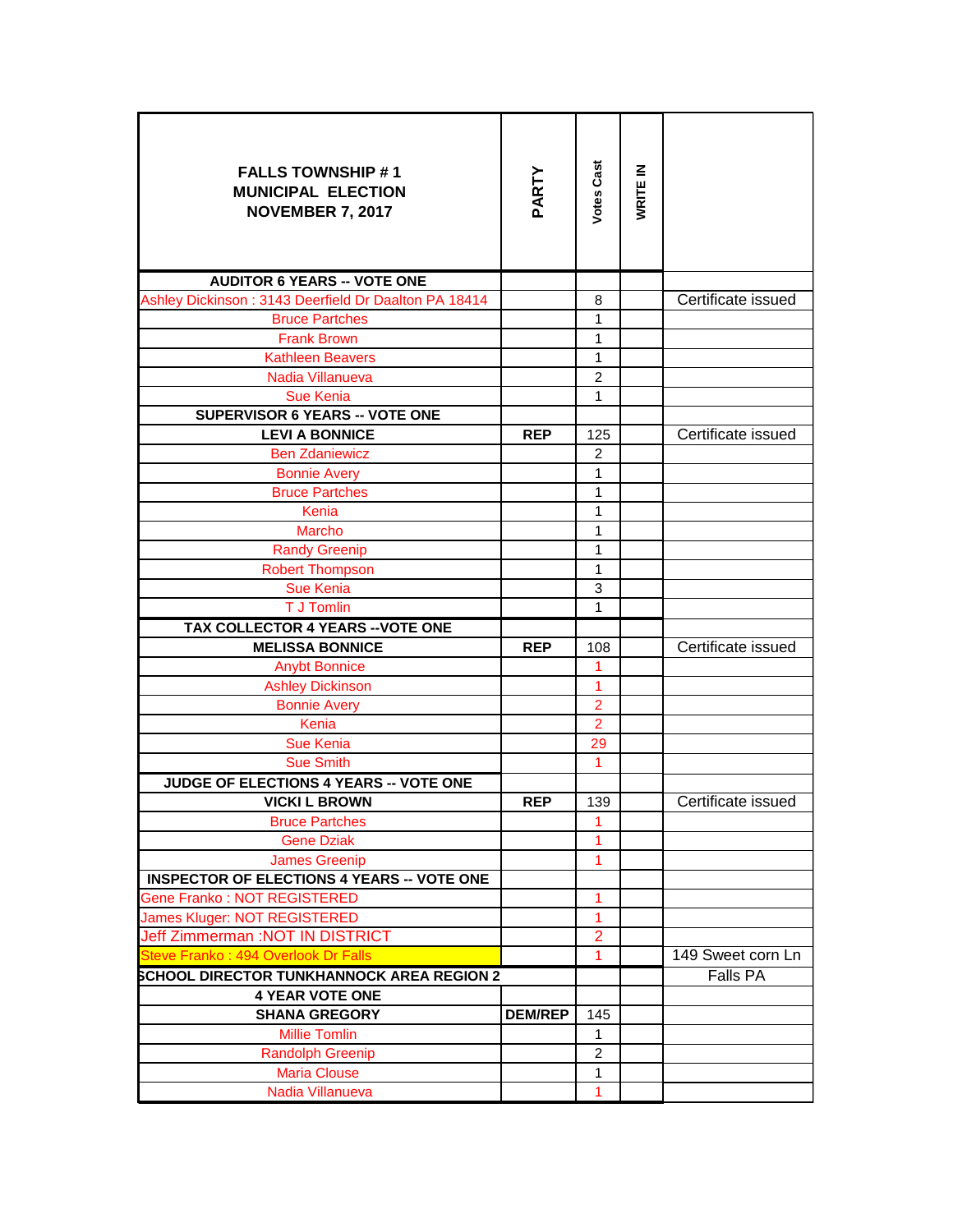| <b>FALLS TOWNSHIP #1</b><br><b>MUNICIPAL ELECTION</b><br><b>NOVEMBER 7, 2017</b> | PARTY          | Votes Cast                     | WRITE IN |                    |
|----------------------------------------------------------------------------------|----------------|--------------------------------|----------|--------------------|
| <b>AUDITOR 6 YEARS -- VOTE ONE</b>                                               |                |                                |          |                    |
| Ashley Dickinson: 3143 Deerfield Dr Daalton PA 18414                             |                | 8                              |          | Certificate issued |
| <b>Bruce Partches</b>                                                            |                | 1                              |          |                    |
| <b>Frank Brown</b>                                                               |                | 1                              |          |                    |
| <b>Kathleen Beavers</b>                                                          |                | 1                              |          |                    |
| Nadia Villanueva                                                                 |                | $\overline{2}$                 |          |                    |
| <b>Sue Kenia</b>                                                                 |                | 1                              |          |                    |
| <b>SUPERVISOR 6 YEARS -- VOTE ONE</b>                                            |                |                                |          | Certificate issued |
| <b>LEVI A BONNICE</b>                                                            | <b>REP</b>     | 125                            |          |                    |
| <b>Ben Zdaniewicz</b>                                                            |                | $\overline{c}$<br>$\mathbf{1}$ |          |                    |
| <b>Bonnie Avery</b>                                                              |                | 1                              |          |                    |
| <b>Bruce Partches</b><br>Kenia                                                   |                | 1                              |          |                    |
| Marcho                                                                           |                | 1                              |          |                    |
| <b>Randy Greenip</b>                                                             |                | 1                              |          |                    |
| <b>Robert Thompson</b>                                                           |                | 1                              |          |                    |
| <b>Sue Kenia</b>                                                                 |                | 3                              |          |                    |
| T J Tomlin                                                                       |                | 1                              |          |                    |
| TAX COLLECTOR 4 YEARS -- VOTE ONE                                                |                |                                |          |                    |
| <b>MELISSA BONNICE</b>                                                           | <b>REP</b>     | 108                            |          | Certificate issued |
| <b>Anybt Bonnice</b>                                                             |                | 1                              |          |                    |
| <b>Ashley Dickinson</b>                                                          |                | 1                              |          |                    |
| <b>Bonnie Avery</b>                                                              |                | $\overline{2}$                 |          |                    |
| Kenia                                                                            |                | $\overline{2}$                 |          |                    |
| <b>Sue Kenia</b>                                                                 |                | 29                             |          |                    |
| <b>Sue Smith</b>                                                                 |                | 1                              |          |                    |
| JUDGE OF ELECTIONS 4 YEARS -- VOTE ONE                                           |                |                                |          |                    |
| <b>VICKI L BROWN</b>                                                             | <b>REP</b>     | 139                            |          | Certificate issued |
| <b>Bruce Partches</b>                                                            |                | 1                              |          |                    |
| <b>Gene Dziak</b>                                                                |                | 1                              |          |                    |
| <b>James Greenip</b>                                                             |                | 1                              |          |                    |
| <b>INSPECTOR OF ELECTIONS 4 YEARS -- VOTE ONE</b>                                |                |                                |          |                    |
| Gene Franko: NOT REGISTERED                                                      |                | 1                              |          |                    |
| James Kluger: NOT REGISTERED                                                     |                | $\mathbf{1}$                   |          |                    |
| Jeff Zimmerman :NOT IN DISTRICT                                                  |                | $\overline{2}$                 |          |                    |
| Steve Franko: 494 Overlook Dr Falls                                              |                | $\mathbf{1}$                   |          | 149 Sweet corn Ln  |
| <b>SCHOOL DIRECTOR TUNKHANNOCK AREA REGION 2</b>                                 |                |                                |          | Falls PA           |
| <b>4 YEAR VOTE ONE</b>                                                           |                |                                |          |                    |
| <b>SHANA GREGORY</b>                                                             | <b>DEM/REP</b> | 145                            |          |                    |
| <b>Millie Tomlin</b>                                                             |                | 1                              |          |                    |
| <b>Randolph Greenip</b>                                                          |                | $\overline{2}$                 |          |                    |
| <b>Maria Clouse</b>                                                              |                | 1                              |          |                    |
| Nadia Villanueva                                                                 |                | 1                              |          |                    |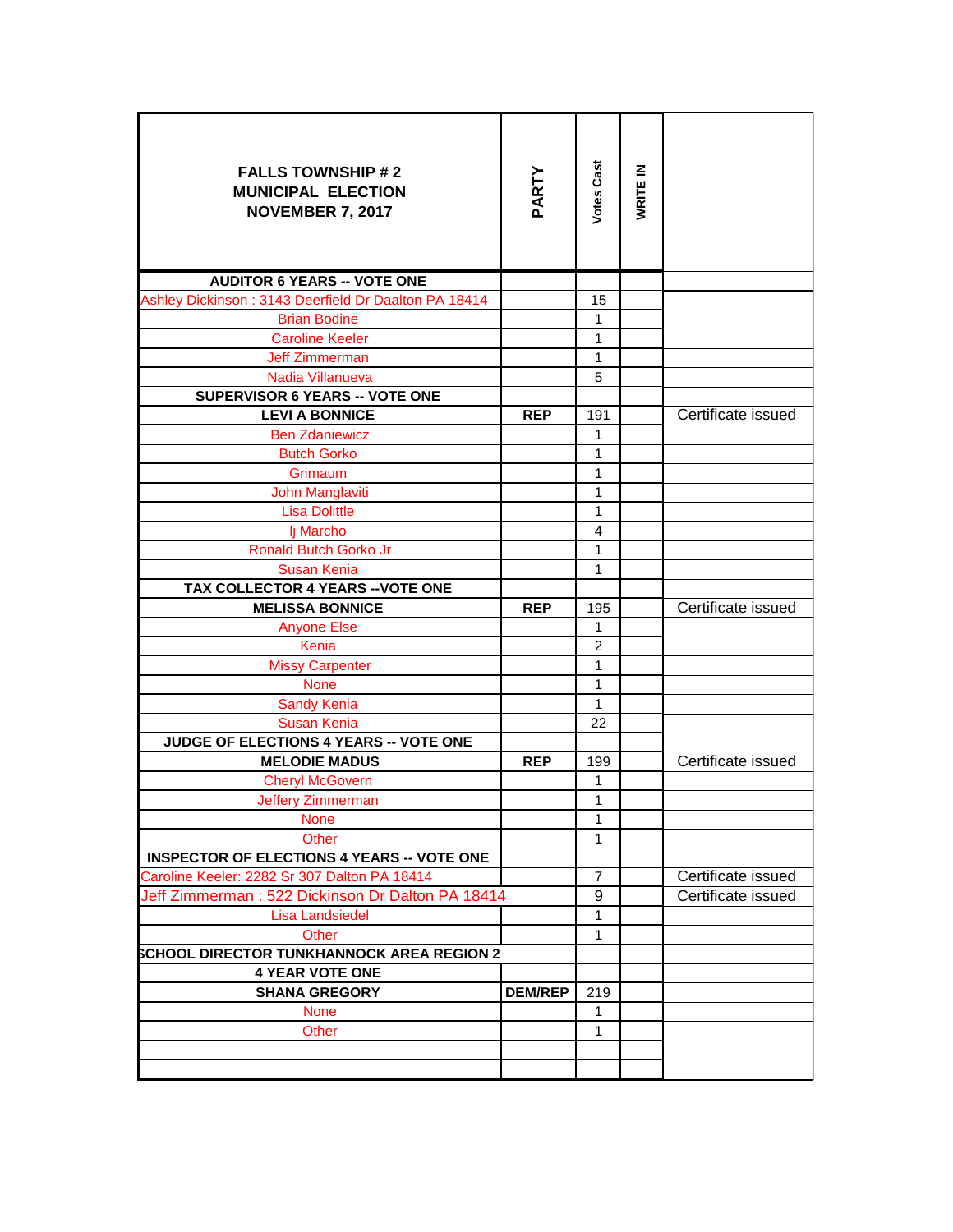| <b>FALLS TOWNSHIP #2</b><br><b>MUNICIPAL ELECTION</b><br><b>NOVEMBER 7, 2017</b> | PARTY          | Votes Cast        | WRITE IN |                    |
|----------------------------------------------------------------------------------|----------------|-------------------|----------|--------------------|
| <b>AUDITOR 6 YEARS -- VOTE ONE</b>                                               |                |                   |          |                    |
| Ashley Dickinson: 3143 Deerfield Dr Daalton PA 18414                             |                | 15                |          |                    |
| <b>Brian Bodine</b>                                                              |                | $\mathbf{1}$      |          |                    |
| <b>Caroline Keeler</b>                                                           |                | $\mathbf{1}$      |          |                    |
| <b>Jeff Zimmerman</b>                                                            |                | $\mathbf{1}$      |          |                    |
| Nadia Villanueva                                                                 |                | 5                 |          |                    |
| <b>SUPERVISOR 6 YEARS -- VOTE ONE</b>                                            |                |                   |          |                    |
| <b>LEVI A BONNICE</b>                                                            | <b>REP</b>     | 191               |          | Certificate issued |
| <b>Ben Zdaniewicz</b>                                                            |                | 1                 |          |                    |
| <b>Butch Gorko</b>                                                               |                | $\mathbf{1}$<br>1 |          |                    |
| Grimaum<br>John Manglaviti                                                       |                | 1                 |          |                    |
| <b>Lisa Dolittle</b>                                                             |                | 1                 |          |                    |
| lj Marcho                                                                        |                | 4                 |          |                    |
| Ronald Butch Gorko Jr                                                            |                | 1                 |          |                    |
| <b>Susan Kenia</b>                                                               |                | 1                 |          |                    |
| TAX COLLECTOR 4 YEARS -- VOTE ONE                                                |                |                   |          |                    |
| <b>MELISSA BONNICE</b>                                                           | <b>REP</b>     | 195               |          | Certificate issued |
| <b>Anyone Else</b>                                                               |                | 1                 |          |                    |
| Kenia                                                                            |                | 2                 |          |                    |
| <b>Missy Carpenter</b>                                                           |                | 1                 |          |                    |
| <b>None</b>                                                                      |                | $\mathbf{1}$      |          |                    |
| <b>Sandy Kenia</b>                                                               |                | $\mathbf{1}$      |          |                    |
| <b>Susan Kenia</b>                                                               |                | 22                |          |                    |
| JUDGE OF ELECTIONS 4 YEARS -- VOTE ONE                                           |                |                   |          |                    |
| <b>MELODIE MADUS</b>                                                             | <b>REP</b>     | 199               |          | Certificate issued |
| <b>Cheryl McGovern</b>                                                           |                | 1                 |          |                    |
| <b>Jeffery Zimmerman</b>                                                         |                | 1                 |          |                    |
| <b>None</b>                                                                      |                | 1                 |          |                    |
| Other                                                                            |                | $\mathbf{1}$      |          |                    |
| <b>INSPECTOR OF ELECTIONS 4 YEARS -- VOTE ONE</b>                                |                |                   |          |                    |
| Caroline Keeler: 2282 Sr 307 Dalton PA 18414                                     |                | $\overline{7}$    |          | Certificate issued |
| Jeff Zimmerman: 522 Dickinson Dr Dalton PA 18414                                 |                | 9                 |          | Certificate issued |
| Lisa Landsiedel                                                                  |                | $\mathbf{1}$      |          |                    |
| <b>Other</b>                                                                     |                | 1                 |          |                    |
| <b>SCHOOL DIRECTOR TUNKHANNOCK AREA REGION 2</b><br><b>4 YEAR VOTE ONE</b>       |                |                   |          |                    |
| <b>SHANA GREGORY</b>                                                             | <b>DEM/REP</b> | 219               |          |                    |
| <b>None</b>                                                                      |                | 1                 |          |                    |
| Other                                                                            |                | $\mathbf{1}$      |          |                    |
|                                                                                  |                |                   |          |                    |
|                                                                                  |                |                   |          |                    |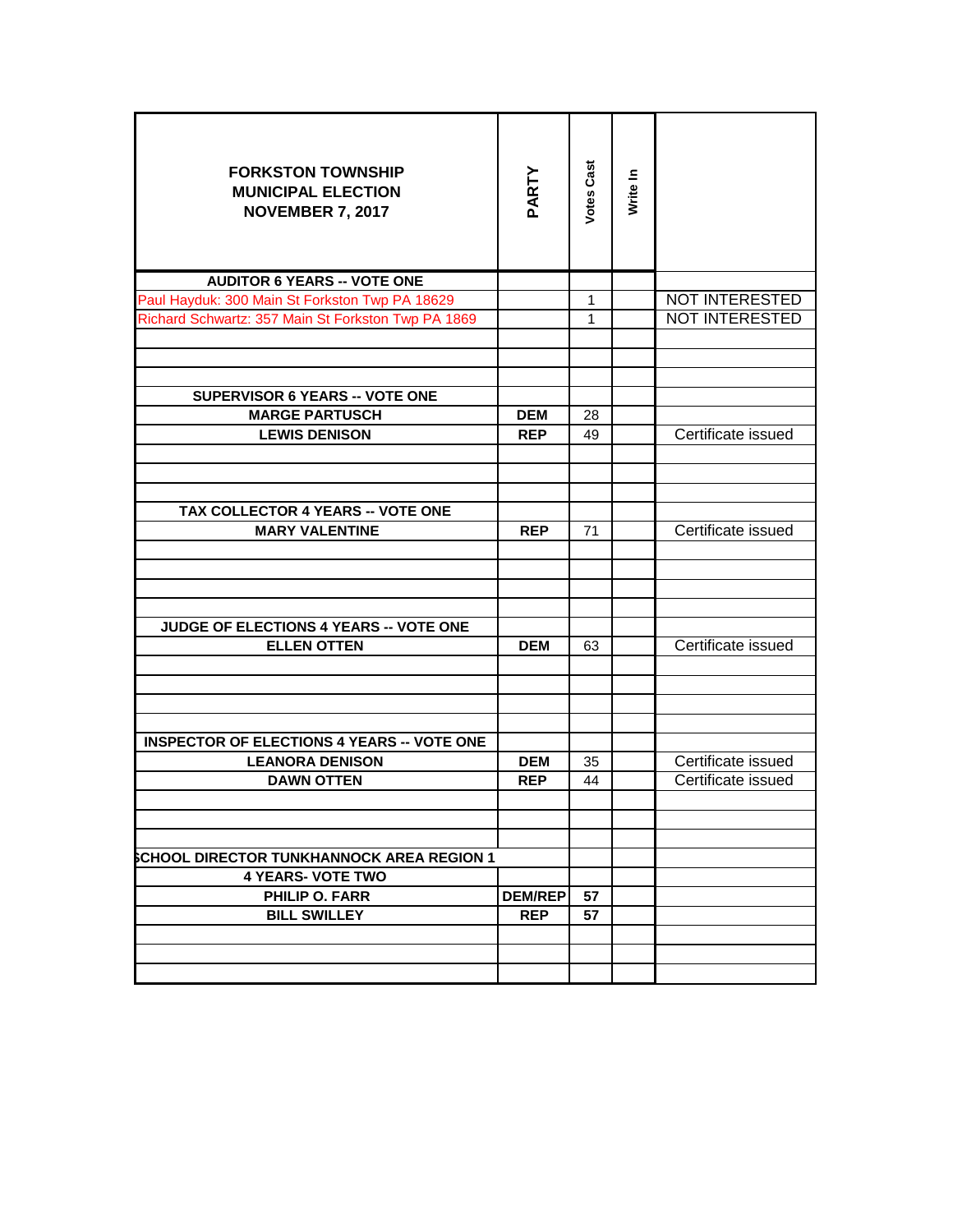| <b>FORKSTON TOWNSHIP</b><br><b>MUNICIPAL ELECTION</b><br><b>NOVEMBER 7, 2017</b> | PARTY          | <b>Votes Cast</b> | Write In |                       |
|----------------------------------------------------------------------------------|----------------|-------------------|----------|-----------------------|
| <b>AUDITOR 6 YEARS -- VOTE ONE</b>                                               |                |                   |          |                       |
| Paul Hayduk: 300 Main St Forkston Twp PA 18629                                   |                | 1                 |          | <b>NOT INTERESTED</b> |
| Richard Schwartz: 357 Main St Forkston Twp PA 1869                               |                | 1                 |          | <b>NOT INTERESTED</b> |
|                                                                                  |                |                   |          |                       |
| <b>SUPERVISOR 6 YEARS -- VOTE ONE</b>                                            |                |                   |          |                       |
| <b>MARGE PARTUSCH</b>                                                            | <b>DEM</b>     | 28                |          |                       |
| <b>LEWIS DENISON</b>                                                             | <b>REP</b>     | 49                |          | Certificate issued    |
|                                                                                  |                |                   |          |                       |
|                                                                                  |                |                   |          |                       |
| TAX COLLECTOR 4 YEARS -- VOTE ONE                                                |                |                   |          | Certificate issued    |
| <b>MARY VALENTINE</b>                                                            | <b>REP</b>     | 71                |          |                       |
| JUDGE OF ELECTIONS 4 YEARS -- VOTE ONE<br><b>ELLEN OTTEN</b>                     | <b>DEM</b>     | 63                |          | Certificate issued    |
|                                                                                  |                |                   |          |                       |
| <b>INSPECTOR OF ELECTIONS 4 YEARS -- VOTE ONE</b>                                |                |                   |          |                       |
| <b>LEANORA DENISON</b>                                                           | <b>DEM</b>     | 35                |          | Certificate issued    |
| <b>DAWN OTTEN</b>                                                                | <b>REP</b>     | 44                |          | Certificate issued    |
|                                                                                  |                |                   |          |                       |
| <b>SCHOOL DIRECTOR TUNKHANNOCK AREA REGION 1</b>                                 |                |                   |          |                       |
| <b>4 YEARS- VOTE TWO</b>                                                         |                |                   |          |                       |
| <b>PHILIP O. FARR</b>                                                            | <b>DEM/REP</b> | 57                |          |                       |
| <b>BILL SWILLEY</b>                                                              | <b>REP</b>     | 57                |          |                       |
|                                                                                  |                |                   |          |                       |
|                                                                                  |                |                   |          |                       |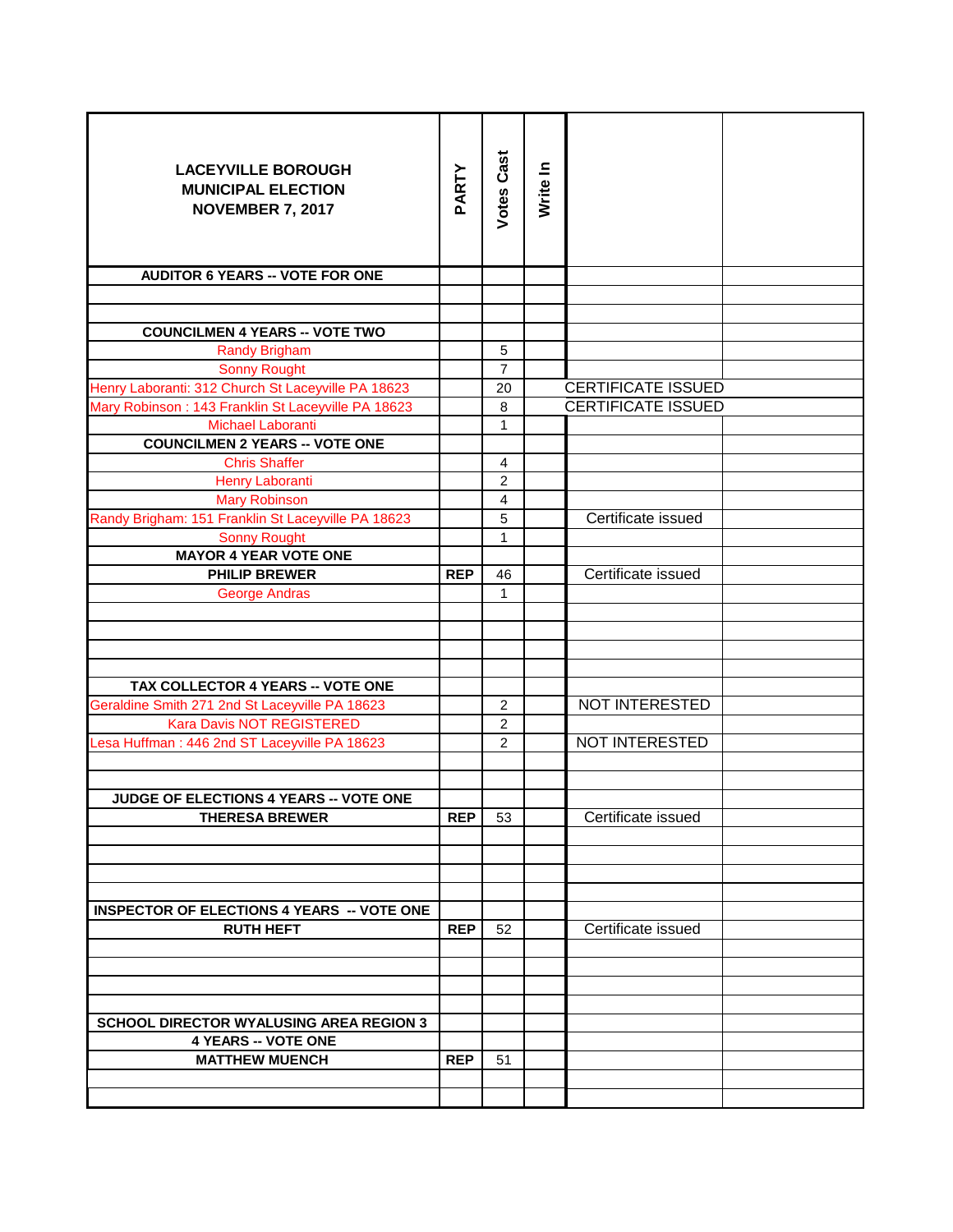| <b>LACEYVILLE BOROUGH</b><br><b>MUNICIPAL ELECTION</b><br><b>NOVEMBER 7, 2017</b> | PARTY      | <b>Votes Cast</b>       | Write In |                           |
|-----------------------------------------------------------------------------------|------------|-------------------------|----------|---------------------------|
| <b>AUDITOR 6 YEARS -- VOTE FOR ONE</b>                                            |            |                         |          |                           |
|                                                                                   |            |                         |          |                           |
|                                                                                   |            |                         |          |                           |
| <b>COUNCILMEN 4 YEARS -- VOTE TWO</b>                                             |            |                         |          |                           |
| <b>Randy Brigham</b>                                                              |            | 5                       |          |                           |
| <b>Sonny Rought</b>                                                               |            | $\overline{7}$          |          |                           |
| Henry Laboranti: 312 Church St Laceyville PA 18623                                |            | 20                      |          | <b>CERTIFICATE ISSUED</b> |
| Mary Robinson: 143 Franklin St Laceyville PA 18623                                |            | 8                       |          | <b>CERTIFICATE ISSUED</b> |
| Michael Laboranti                                                                 |            | 1                       |          |                           |
| <b>COUNCILMEN 2 YEARS -- VOTE ONE</b>                                             |            |                         |          |                           |
| <b>Chris Shaffer</b>                                                              |            | 4                       |          |                           |
| Henry Laboranti                                                                   |            | 2                       |          |                           |
| <b>Mary Robinson</b>                                                              |            | $\overline{\mathbf{4}}$ |          |                           |
| Randy Brigham: 151 Franklin St Laceyville PA 18623                                |            | 5                       |          | Certificate issued        |
| <b>Sonny Rought</b>                                                               |            | $\mathbf{1}$            |          |                           |
| <b>MAYOR 4 YEAR VOTE ONE</b>                                                      |            |                         |          |                           |
| <b>PHILIP BREWER</b>                                                              | <b>REP</b> | 46                      |          | Certificate issued        |
| <b>George Andras</b>                                                              |            | 1                       |          |                           |
|                                                                                   |            |                         |          |                           |
|                                                                                   |            |                         |          |                           |
|                                                                                   |            |                         |          |                           |
|                                                                                   |            |                         |          |                           |
| TAX COLLECTOR 4 YEARS -- VOTE ONE                                                 |            |                         |          |                           |
| Geraldine Smith 271 2nd St Laceyville PA 18623                                    |            | 2                       |          | NOT INTERESTED            |
| Kara Davis NOT REGISTERED                                                         |            | 2                       |          |                           |
| Lesa Huffman: 446 2nd ST Laceyville PA 18623                                      |            | $\overline{2}$          |          | NOT INTERESTED            |
|                                                                                   |            |                         |          |                           |
|                                                                                   |            |                         |          |                           |
| JUDGE OF ELECTIONS 4 YEARS -- VOTE ONE                                            |            |                         |          |                           |
| <b>THERESA BREWER</b>                                                             | <b>REP</b> | 53                      |          | Certificate issued        |
|                                                                                   |            |                         |          |                           |
|                                                                                   |            |                         |          |                           |
|                                                                                   |            |                         |          |                           |
|                                                                                   |            |                         |          |                           |
| <b>INSPECTOR OF ELECTIONS 4 YEARS -- VOTE ONE</b>                                 |            |                         |          |                           |
| <b>RUTH HEFT</b>                                                                  | <b>REP</b> | 52                      |          | Certificate issued        |
|                                                                                   |            |                         |          |                           |
|                                                                                   |            |                         |          |                           |
|                                                                                   |            |                         |          |                           |
|                                                                                   |            |                         |          |                           |
| <b>SCHOOL DIRECTOR WYALUSING AREA REGION 3</b>                                    |            |                         |          |                           |
| <b>4 YEARS -- VOTE ONE</b>                                                        |            |                         |          |                           |
| <b>MATTHEW MUENCH</b>                                                             | <b>REP</b> | 51                      |          |                           |
|                                                                                   |            |                         |          |                           |
|                                                                                   |            |                         |          |                           |
|                                                                                   |            |                         |          |                           |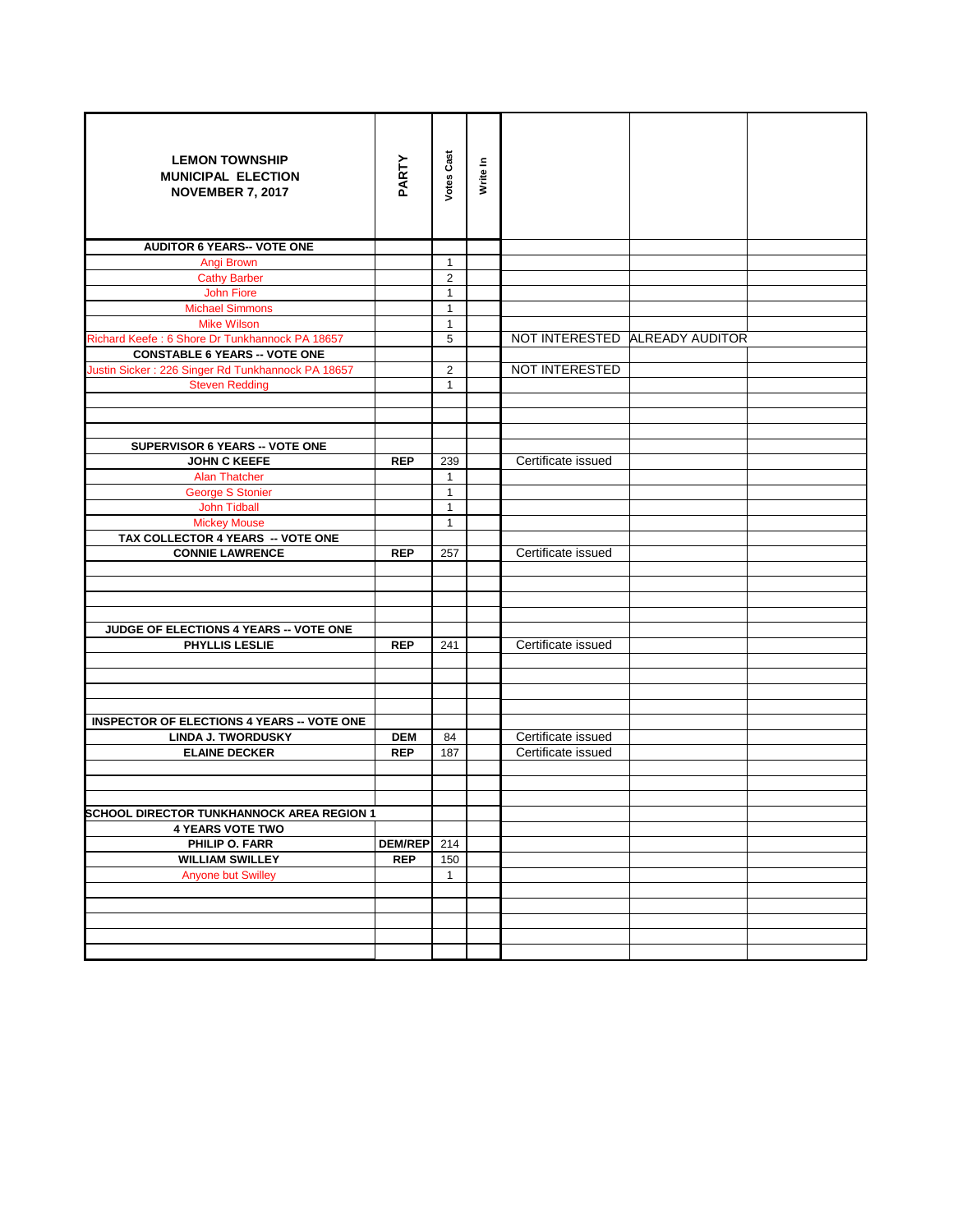| <b>LEMON TOWNSHIP</b><br><b>MUNICIPAL ELECTION</b><br><b>NOVEMBER 7, 2017</b> | PARTY          | <b>Votes Cast</b> | Write In |                    |                                |  |
|-------------------------------------------------------------------------------|----------------|-------------------|----------|--------------------|--------------------------------|--|
| <b>AUDITOR 6 YEARS-- VOTE ONE</b>                                             |                |                   |          |                    |                                |  |
| Angi Brown                                                                    |                | $\mathbf{1}$      |          |                    |                                |  |
| <b>Cathy Barber</b>                                                           |                | $\overline{2}$    |          |                    |                                |  |
| <b>John Fiore</b>                                                             |                | $\mathbf{1}$      |          |                    |                                |  |
| <b>Michael Simmons</b>                                                        |                | $\mathbf{1}$      |          |                    |                                |  |
| <b>Mike Wilson</b>                                                            |                | $\mathbf{1}$      |          |                    |                                |  |
| Richard Keefe: 6 Shore Dr Tunkhannock PA 18657                                |                | 5                 |          |                    | NOT INTERESTED ALREADY AUDITOR |  |
| <b>CONSTABLE 6 YEARS -- VOTE ONE</b>                                          |                |                   |          |                    |                                |  |
| Justin Sicker: 226 Singer Rd Tunkhannock PA 18657                             |                | $\overline{2}$    |          | NOT INTERESTED     |                                |  |
| <b>Steven Redding</b>                                                         |                | $\mathbf{1}$      |          |                    |                                |  |
|                                                                               |                |                   |          |                    |                                |  |
|                                                                               |                |                   |          |                    |                                |  |
|                                                                               |                |                   |          |                    |                                |  |
| <b>SUPERVISOR 6 YEARS -- VOTE ONE</b>                                         |                |                   |          |                    |                                |  |
| <b>JOHN C KEEFE</b>                                                           | <b>REP</b>     | 239               |          | Certificate issued |                                |  |
| <b>Alan Thatcher</b>                                                          |                | $\mathbf{1}$      |          |                    |                                |  |
| <b>George S Stonier</b>                                                       |                | $\mathbf{1}$      |          |                    |                                |  |
| <b>John Tidball</b>                                                           |                | $\mathbf{1}$      |          |                    |                                |  |
| <b>Mickey Mouse</b>                                                           |                | $\mathbf{1}$      |          |                    |                                |  |
| TAX COLLECTOR 4 YEARS -- VOTE ONE                                             |                |                   |          |                    |                                |  |
| <b>CONNIE LAWRENCE</b>                                                        | <b>REP</b>     | 257               |          | Certificate issued |                                |  |
|                                                                               |                |                   |          |                    |                                |  |
|                                                                               |                |                   |          |                    |                                |  |
|                                                                               |                |                   |          |                    |                                |  |
|                                                                               |                |                   |          |                    |                                |  |
| JUDGE OF ELECTIONS 4 YEARS -- VOTE ONE                                        |                |                   |          |                    |                                |  |
| PHYLLIS LESLIE                                                                | <b>REP</b>     | 241               |          | Certificate issued |                                |  |
|                                                                               |                |                   |          |                    |                                |  |
|                                                                               |                |                   |          |                    |                                |  |
|                                                                               |                |                   |          |                    |                                |  |
| <b>INSPECTOR OF ELECTIONS 4 YEARS -- VOTE ONE</b>                             |                |                   |          |                    |                                |  |
| <b>LINDA J. TWORDUSKY</b>                                                     | <b>DEM</b>     | 84                |          | Certificate issued |                                |  |
| <b>ELAINE DECKER</b>                                                          | <b>REP</b>     | 187               |          | Certificate issued |                                |  |
|                                                                               |                |                   |          |                    |                                |  |
|                                                                               |                |                   |          |                    |                                |  |
|                                                                               |                |                   |          |                    |                                |  |
| <b>SCHOOL DIRECTOR TUNKHANNOCK AREA REGION 1</b>                              |                |                   |          |                    |                                |  |
| <b>4 YEARS VOTE TWO</b>                                                       |                |                   |          |                    |                                |  |
| PHILIP O. FARR                                                                | <b>DEM/REP</b> | 214               |          |                    |                                |  |
| <b>WILLIAM SWILLEY</b>                                                        | <b>REP</b>     | 150               |          |                    |                                |  |
| <b>Anyone but Swilley</b>                                                     |                | $\mathbf{1}$      |          |                    |                                |  |
|                                                                               |                |                   |          |                    |                                |  |
|                                                                               |                |                   |          |                    |                                |  |
|                                                                               |                |                   |          |                    |                                |  |
|                                                                               |                |                   |          |                    |                                |  |
|                                                                               |                |                   |          |                    |                                |  |
|                                                                               |                |                   |          |                    |                                |  |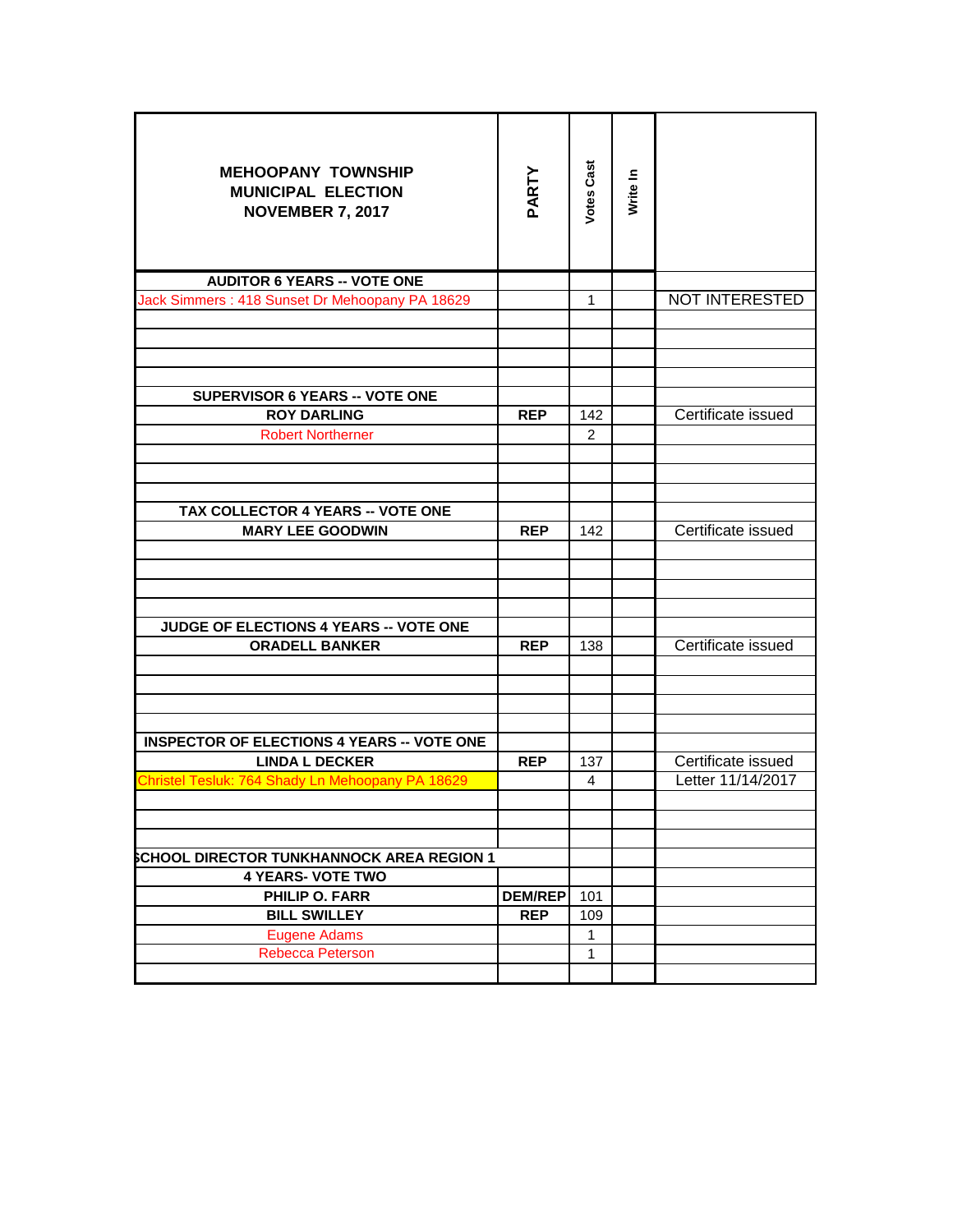| <b>MEHOOPANY TOWNSHIP</b><br><b>MUNICIPAL ELECTION</b><br><b>NOVEMBER 7, 2017</b> | PARTY          | <b>Votes Cast</b> | Write In |                       |
|-----------------------------------------------------------------------------------|----------------|-------------------|----------|-----------------------|
| <b>AUDITOR 6 YEARS -- VOTE ONE</b>                                                |                |                   |          |                       |
| Jack Simmers: 418 Sunset Dr Mehoopany PA 18629                                    |                | $\mathbf{1}$      |          | <b>NOT INTERESTED</b> |
|                                                                                   |                |                   |          |                       |
| <b>SUPERVISOR 6 YEARS -- VOTE ONE</b>                                             |                |                   |          |                       |
| <b>ROY DARLING</b>                                                                | <b>REP</b>     | 142               |          | Certificate issued    |
| <b>Robert Northerner</b>                                                          |                | $\mathcal{P}$     |          |                       |
|                                                                                   |                |                   |          |                       |
|                                                                                   |                |                   |          |                       |
|                                                                                   |                |                   |          |                       |
| TAX COLLECTOR 4 YEARS -- VOTE ONE                                                 |                |                   |          | Certificate issued    |
| <b>MARY LEE GOODWIN</b>                                                           | <b>REP</b>     | 142               |          |                       |
| JUDGE OF ELECTIONS 4 YEARS -- VOTE ONE                                            |                |                   |          |                       |
| <b>ORADELL BANKER</b>                                                             | <b>REP</b>     | 138               |          | Certificate issued    |
|                                                                                   |                |                   |          |                       |
| <b>INSPECTOR OF ELECTIONS 4 YEARS -- VOTE ONE</b>                                 |                |                   |          |                       |
| <b>LINDA L DECKER</b>                                                             | <b>REP</b>     | 137               |          | Certificate issued    |
| Christel Tesluk: 764 Shady Ln Mehoopany PA 18629                                  |                | 4                 |          | Letter 11/14/2017     |
|                                                                                   |                |                   |          |                       |
|                                                                                   |                |                   |          |                       |
|                                                                                   |                |                   |          |                       |
| <b>SCHOOL DIRECTOR TUNKHANNOCK AREA REGION 1</b>                                  |                |                   |          |                       |
| <b>4 YEARS- VOTE TWO</b>                                                          |                |                   |          |                       |
| <b>PHILIP O. FARR</b>                                                             | <b>DEM/REP</b> | 101               |          |                       |
| <b>BILL SWILLEY</b>                                                               | <b>REP</b>     | 109               |          |                       |
| <b>Eugene Adams</b>                                                               |                | 1                 |          |                       |
| <b>Rebecca Peterson</b>                                                           |                | $\mathbf{1}$      |          |                       |
|                                                                                   |                |                   |          |                       |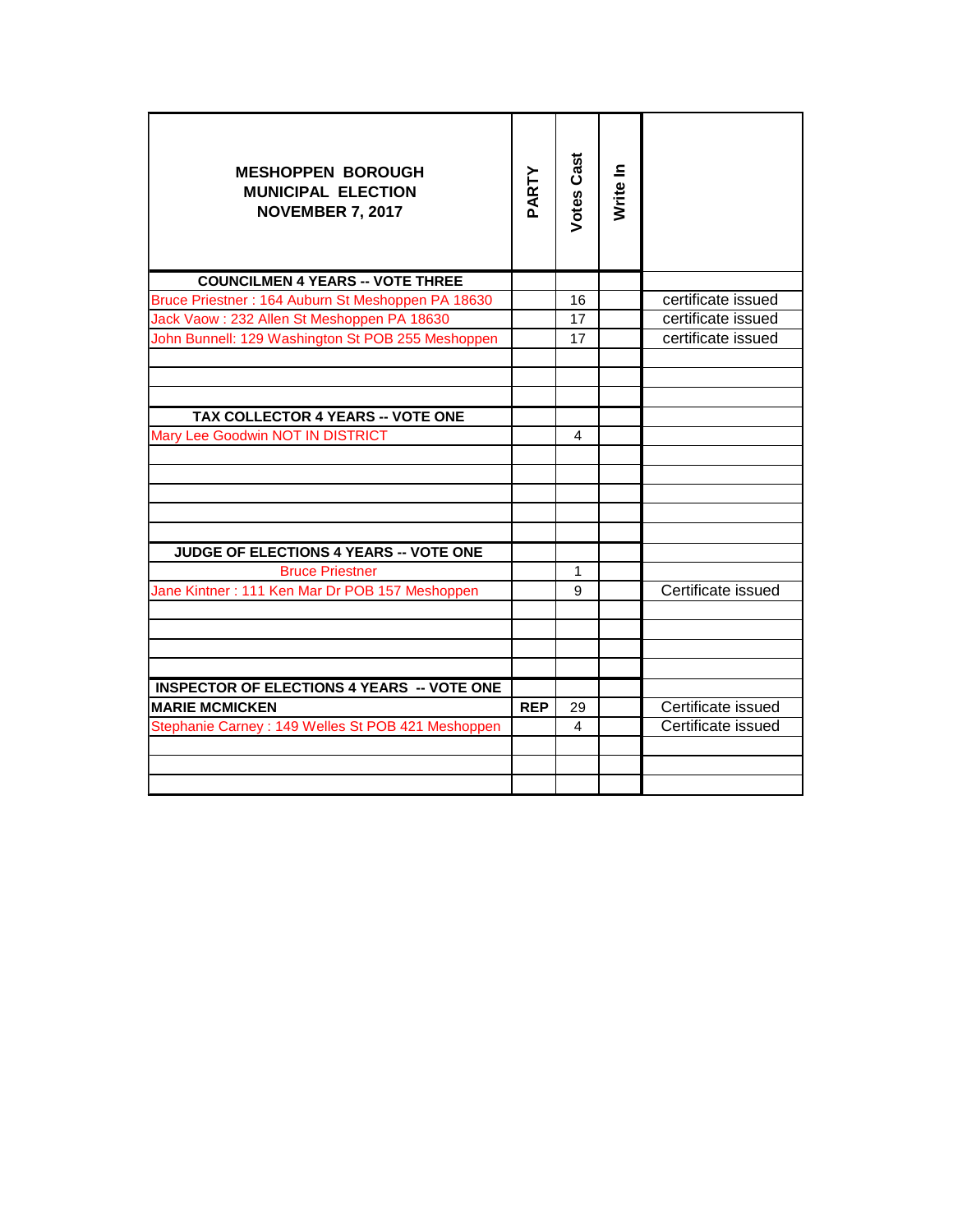| <b>MESHOPPEN BOROUGH</b><br><b>MUNICIPAL ELECTION</b><br><b>NOVEMBER 7, 2017</b> | PARTY      | <b>Votes Cast</b> | Write In |                    |
|----------------------------------------------------------------------------------|------------|-------------------|----------|--------------------|
| <b>COUNCILMEN 4 YEARS -- VOTE THREE</b>                                          |            |                   |          |                    |
| Bruce Priestner: 164 Auburn St Meshoppen PA 18630                                |            | 16                |          | certificate issued |
| Jack Vaow: 232 Allen St Meshoppen PA 18630                                       |            | 17                |          | certificate issued |
| John Bunnell: 129 Washington St POB 255 Meshoppen                                |            | 17                |          | certificate issued |
|                                                                                  |            |                   |          |                    |
| TAX COLLECTOR 4 YEARS -- VOTE ONE                                                |            |                   |          |                    |
| Mary Lee Goodwin NOT IN DISTRICT                                                 |            | 4                 |          |                    |
|                                                                                  |            |                   |          |                    |
| <b>JUDGE OF ELECTIONS 4 YEARS -- VOTE ONE</b>                                    |            |                   |          |                    |
| <b>Bruce Priestner</b>                                                           |            | $\mathbf{1}$      |          |                    |
| Jane Kintner: 111 Ken Mar Dr POB 157 Meshoppen                                   |            | 9                 |          | Certificate issued |
|                                                                                  |            |                   |          |                    |
|                                                                                  |            |                   |          |                    |
| <b>INSPECTOR OF ELECTIONS 4 YEARS -- VOTE ONE</b>                                |            |                   |          |                    |
| <b>MARIE MCMICKEN</b>                                                            | <b>REP</b> | 29                |          | Certificate issued |
| Stephanie Carney: 149 Welles St POB 421 Meshoppen                                |            | $\overline{4}$    |          | Certificate issued |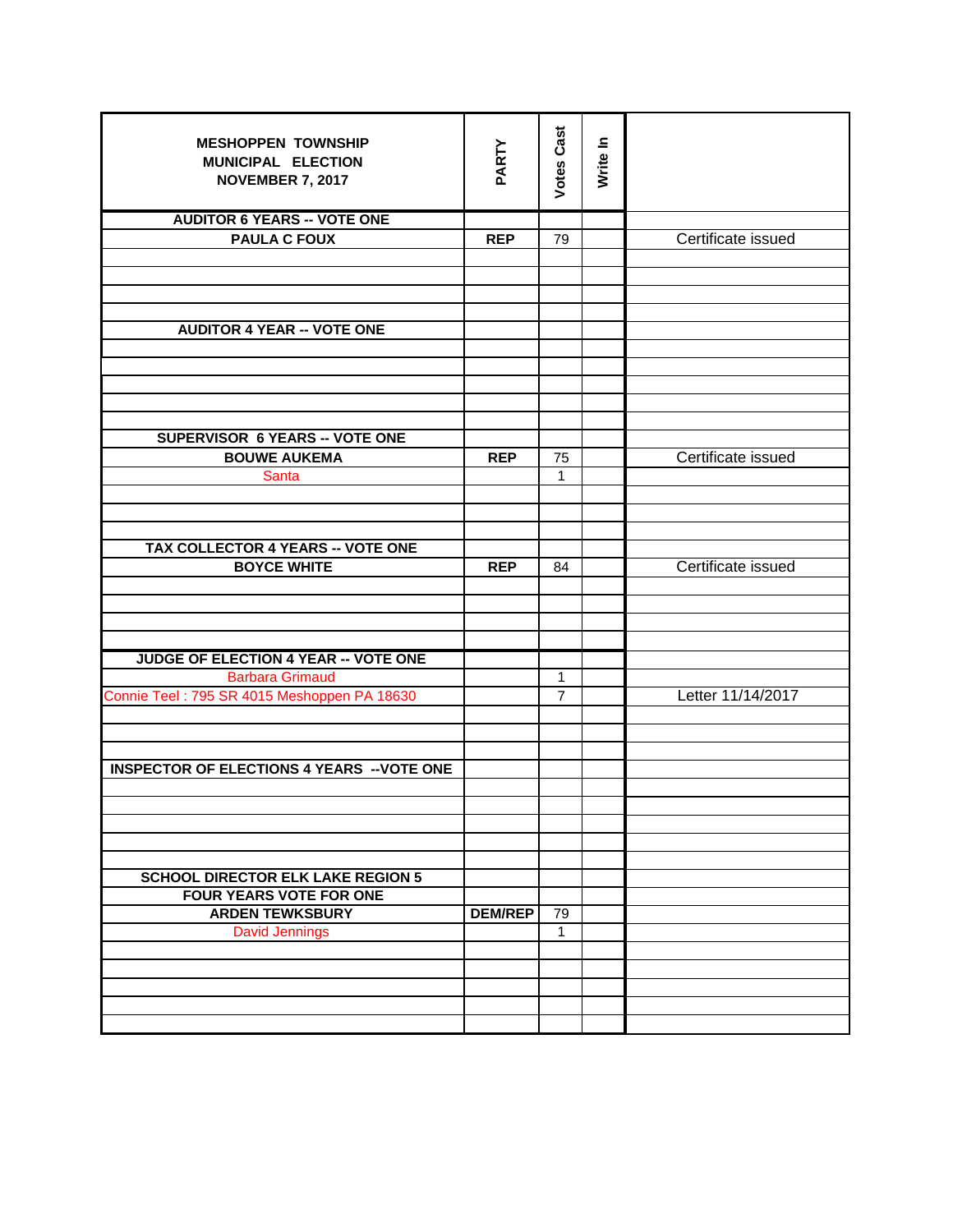| <b>MESHOPPEN TOWNSHIP</b>                         |                | <b>Votes Cast</b> |          |                    |
|---------------------------------------------------|----------------|-------------------|----------|--------------------|
| MUNICIPAL ELECTION                                | PARTY          |                   | Write In |                    |
| <b>NOVEMBER 7, 2017</b>                           |                |                   |          |                    |
|                                                   |                |                   |          |                    |
| <b>AUDITOR 6 YEARS -- VOTE ONE</b>                |                |                   |          |                    |
| <b>PAULA C FOUX</b>                               | <b>REP</b>     | 79                |          | Certificate issued |
|                                                   |                |                   |          |                    |
|                                                   |                |                   |          |                    |
|                                                   |                |                   |          |                    |
|                                                   |                |                   |          |                    |
| <b>AUDITOR 4 YEAR -- VOTE ONE</b>                 |                |                   |          |                    |
|                                                   |                |                   |          |                    |
|                                                   |                |                   |          |                    |
|                                                   |                |                   |          |                    |
|                                                   |                |                   |          |                    |
| <b>SUPERVISOR 6 YEARS -- VOTE ONE</b>             |                |                   |          |                    |
| <b>BOUWE AUKEMA</b>                               | <b>REP</b>     | 75                |          | Certificate issued |
| Santa                                             |                | 1                 |          |                    |
|                                                   |                |                   |          |                    |
|                                                   |                |                   |          |                    |
| TAX COLLECTOR 4 YEARS -- VOTE ONE                 |                |                   |          |                    |
| <b>BOYCE WHITE</b>                                | <b>REP</b>     | 84                |          | Certificate issued |
|                                                   |                |                   |          |                    |
|                                                   |                |                   |          |                    |
|                                                   |                |                   |          |                    |
|                                                   |                |                   |          |                    |
| JUDGE OF ELECTION 4 YEAR -- VOTE ONE              |                |                   |          |                    |
| <b>Barbara Grimaud</b>                            |                | $\mathbf{1}$      |          |                    |
| Connie Teel: 795 SR 4015 Meshoppen PA 18630       |                | $\overline{7}$    |          | Letter 11/14/2017  |
|                                                   |                |                   |          |                    |
|                                                   |                |                   |          |                    |
| <b>INSPECTOR OF ELECTIONS 4 YEARS -- VOTE ONE</b> |                |                   |          |                    |
|                                                   |                |                   |          |                    |
|                                                   |                |                   |          |                    |
|                                                   |                |                   |          |                    |
|                                                   |                |                   |          |                    |
|                                                   |                |                   |          |                    |
| <b>SCHOOL DIRECTOR ELK LAKE REGION 5</b>          |                |                   |          |                    |
| <b>FOUR YEARS VOTE FOR ONE</b>                    |                |                   |          |                    |
| <b>ARDEN TEWKSBURY</b>                            | <b>DEM/REP</b> | 79                |          |                    |
| <b>David Jennings</b>                             |                | $\mathbf{1}$      |          |                    |
|                                                   |                |                   |          |                    |
|                                                   |                |                   |          |                    |
|                                                   |                |                   |          |                    |
|                                                   |                |                   |          |                    |
|                                                   |                |                   |          |                    |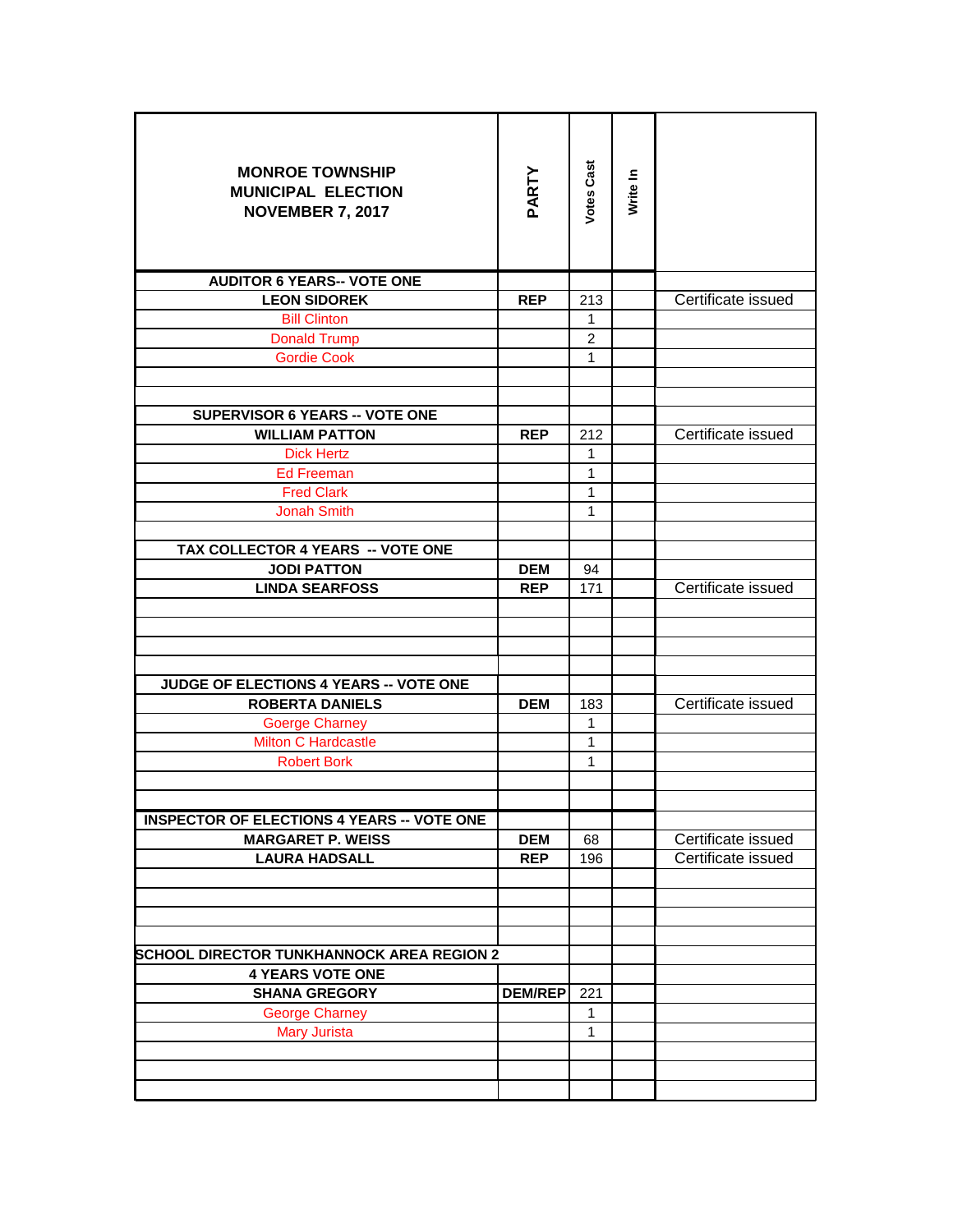| <b>MONROE TOWNSHIP</b><br><b>MUNICIPAL ELECTION</b><br><b>NOVEMBER 7, 2017</b> | PARTY          | <b>Votes Cast</b> | Write In |                    |
|--------------------------------------------------------------------------------|----------------|-------------------|----------|--------------------|
| <b>AUDITOR 6 YEARS-- VOTE ONE</b>                                              |                |                   |          |                    |
| <b>LEON SIDOREK</b>                                                            | <b>REP</b>     | 213               |          | Certificate issued |
| <b>Bill Clinton</b>                                                            |                | 1                 |          |                    |
| <b>Donald Trump</b>                                                            |                | $\overline{2}$    |          |                    |
| <b>Gordie Cook</b>                                                             |                | $\mathbf{1}$      |          |                    |
|                                                                                |                |                   |          |                    |
| <b>SUPERVISOR 6 YEARS -- VOTE ONE</b>                                          |                |                   |          |                    |
| <b>WILLIAM PATTON</b>                                                          | <b>REP</b>     | 212               |          | Certificate issued |
| <b>Dick Hertz</b>                                                              |                | 1                 |          |                    |
| <b>Ed Freeman</b>                                                              |                | 1                 |          |                    |
| <b>Fred Clark</b>                                                              |                | 1                 |          |                    |
| <b>Jonah Smith</b>                                                             |                | 1                 |          |                    |
|                                                                                |                |                   |          |                    |
| TAX COLLECTOR 4 YEARS -- VOTE ONE                                              |                |                   |          |                    |
| <b>JODI PATTON</b>                                                             | <b>DEM</b>     | 94                |          |                    |
| <b>LINDA SEARFOSS</b>                                                          | <b>REP</b>     | 171               |          | Certificate issued |
|                                                                                |                |                   |          |                    |
|                                                                                |                |                   |          |                    |
|                                                                                |                |                   |          |                    |
| JUDGE OF ELECTIONS 4 YEARS -- VOTE ONE                                         |                |                   |          |                    |
| <b>ROBERTA DANIELS</b>                                                         | <b>DEM</b>     | 183               |          | Certificate issued |
| <b>Goerge Charney</b>                                                          |                | 1                 |          |                    |
| <b>Milton C Hardcastle</b>                                                     |                | $\mathbf{1}$      |          |                    |
| <b>Robert Bork</b>                                                             |                | 1                 |          |                    |
|                                                                                |                |                   |          |                    |
|                                                                                |                |                   |          |                    |
| <b>INSPECTOR OF ELECTIONS 4 YEARS -- VOTE ONE</b>                              |                |                   |          |                    |
| <b>MARGARET P. WEISS</b>                                                       | <b>DEM</b>     | 68                |          | Certificate issued |
| <b>LAURA HADSALL</b>                                                           | <b>REP</b>     | 196               |          | Certificate issued |
|                                                                                |                |                   |          |                    |
|                                                                                |                |                   |          |                    |
|                                                                                |                |                   |          |                    |
|                                                                                |                |                   |          |                    |
| <b>SCHOOL DIRECTOR TUNKHANNOCK AREA REGION 2</b><br><b>4 YEARS VOTE ONE</b>    |                |                   |          |                    |
| <b>SHANA GREGORY</b>                                                           | <b>DEM/REP</b> | 221               |          |                    |
| <b>George Charney</b>                                                          |                | 1                 |          |                    |
| <b>Mary Jurista</b>                                                            |                | $\mathbf{1}$      |          |                    |
|                                                                                |                |                   |          |                    |
|                                                                                |                |                   |          |                    |
|                                                                                |                |                   |          |                    |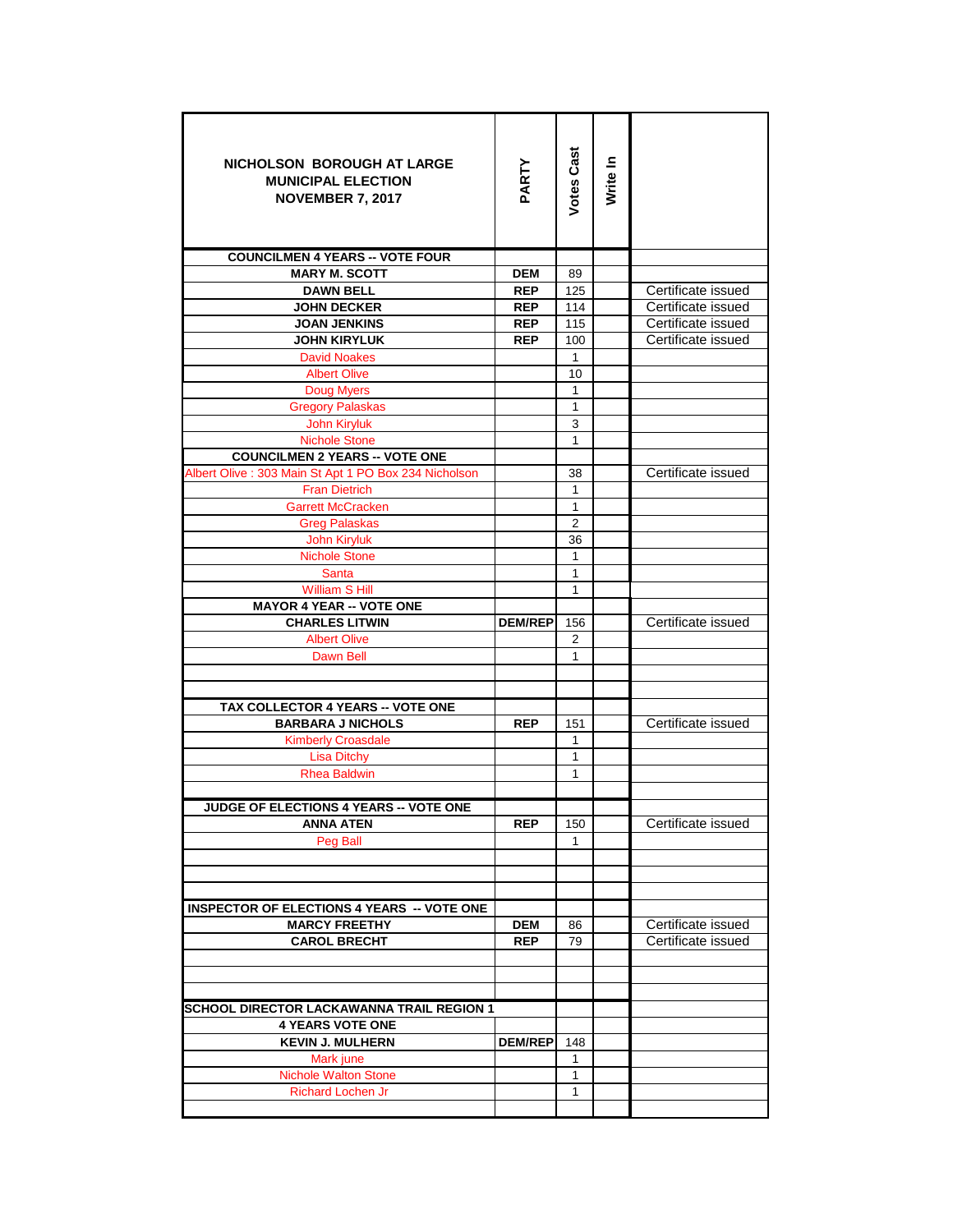| NICHOLSON BOROUGH AT LARGE<br><b>MUNICIPAL ELECTION</b><br><b>NOVEMBER 7, 2017</b> | PARTY          | Votes Cast     | Write In |                    |
|------------------------------------------------------------------------------------|----------------|----------------|----------|--------------------|
| <b>COUNCILMEN 4 YEARS -- VOTE FOUR</b>                                             |                |                |          |                    |
| <b>MARY M. SCOTT</b>                                                               | <b>DEM</b>     | 89             |          |                    |
| <b>DAWN BELL</b>                                                                   | <b>REP</b>     | 125            |          | Certificate issued |
| <b>JOHN DECKER</b>                                                                 | <b>REP</b>     | 114            |          | Certificate issued |
| <b>JOAN JENKINS</b>                                                                | <b>REP</b>     | 115            |          | Certificate issued |
| <b>JOHN KIRYLUK</b>                                                                | <b>REP</b>     | 100            |          | Certificate issued |
| <b>David Noakes</b>                                                                |                | 1              |          |                    |
| <b>Albert Olive</b>                                                                |                | 10             |          |                    |
| <b>Doug Myers</b>                                                                  |                | 1              |          |                    |
| <b>Gregory Palaskas</b>                                                            |                | 1              |          |                    |
| John Kiryluk                                                                       |                | 3              |          |                    |
| <b>Nichole Stone</b>                                                               |                | 1              |          |                    |
| <b>COUNCILMEN 2 YEARS -- VOTE ONE</b>                                              |                |                |          |                    |
| Albert Olive: 303 Main St Apt 1 PO Box 234 Nicholson                               |                | 38             |          | Certificate issued |
| <b>Fran Dietrich</b>                                                               |                | 1              |          |                    |
| <b>Garrett McCracken</b>                                                           |                | 1              |          |                    |
| <b>Greg Palaskas</b>                                                               |                | $\overline{2}$ |          |                    |
| John Kiryluk                                                                       |                | 36             |          |                    |
| <b>Nichole Stone</b>                                                               |                | 1              |          |                    |
| <b>Santa</b>                                                                       |                | $\mathbf{1}$   |          |                    |
| <b>William S Hill</b>                                                              |                | 1              |          |                    |
| <b>MAYOR 4 YEAR -- VOTE ONE</b>                                                    |                |                |          |                    |
| <b>CHARLES LITWIN</b>                                                              | <b>DEM/REP</b> | 156            |          | Certificate issued |
| <b>Albert Olive</b><br>Dawn Bell                                                   |                | 2<br>1         |          |                    |
|                                                                                    |                |                |          |                    |
|                                                                                    |                |                |          |                    |
| TAX COLLECTOR 4 YEARS -- VOTE ONE                                                  |                |                |          |                    |
| <b>BARBARA J NICHOLS</b>                                                           | <b>REP</b>     | 151            |          | Certificate issued |
| <b>Kimberly Croasdale</b>                                                          |                | 1              |          |                    |
| <b>Lisa Ditchy</b>                                                                 |                | 1              |          |                    |
| <b>Rhea Baldwin</b>                                                                |                | $\mathbf{1}$   |          |                    |
|                                                                                    |                |                |          |                    |
| JUDGE OF ELECTIONS 4 YEARS -- VOTE ONE                                             |                |                |          |                    |
| <b>ANNA ATEN</b>                                                                   | <b>REP</b>     | 150            |          | Certificate issued |
| Peg Ball                                                                           |                | 1              |          |                    |
|                                                                                    |                |                |          |                    |
|                                                                                    |                |                |          |                    |
|                                                                                    |                |                |          |                    |
| <b>INSPECTOR OF ELECTIONS 4 YEARS -- VOTE ONE</b>                                  |                |                |          |                    |
| <b>MARCY FREETHY</b>                                                               | DEM            | 86             |          | Certificate issued |
| <b>CAROL BRECHT</b>                                                                | <b>REP</b>     | 79             |          | Certificate issued |
|                                                                                    |                |                |          |                    |
|                                                                                    |                |                |          |                    |
|                                                                                    |                |                |          |                    |
| <b>SCHOOL DIRECTOR LACKAWANNA TRAIL REGION 1</b>                                   |                |                |          |                    |
| <b>4 YEARS VOTE ONE</b>                                                            |                |                |          |                    |
| <b>KEVIN J. MULHERN</b>                                                            | <b>DEM/REP</b> | 148            |          |                    |
| Mark june                                                                          |                | 1              |          |                    |
| <b>Nichole Walton Stone</b>                                                        |                | 1              |          |                    |
| <b>Richard Lochen Jr</b>                                                           |                | 1              |          |                    |
|                                                                                    |                |                |          |                    |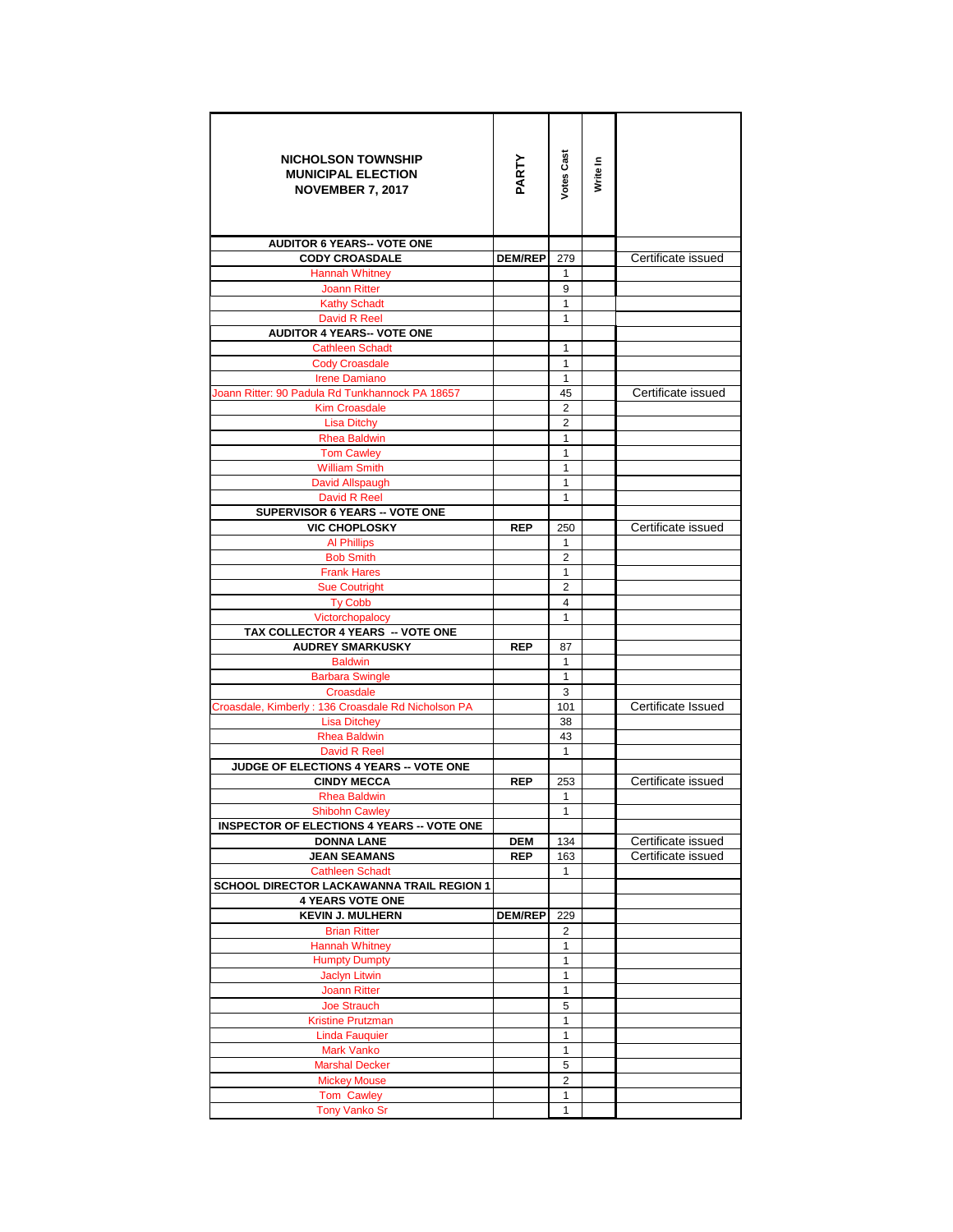| <b>NICHOLSON TOWNSHIP</b><br><b>MUNICIPAL ELECTION</b><br><b>NOVEMBER 7, 2017</b> | PARTY          | Votes Cast           | Write In |                    |
|-----------------------------------------------------------------------------------|----------------|----------------------|----------|--------------------|
| <b>AUDITOR 6 YEARS-- VOTE ONE</b>                                                 |                |                      |          |                    |
| <b>CODY CROASDALE</b>                                                             | <b>DEM/REP</b> | 279                  |          | Certificate issued |
| <b>Hannah Whitney</b>                                                             |                | $\mathbf{1}$         |          |                    |
| <b>Joann Ritter</b>                                                               |                | 9                    |          |                    |
| <b>Kathy Schadt</b>                                                               |                | 1                    |          |                    |
| David R Reel                                                                      |                | 1                    |          |                    |
| <b>AUDITOR 4 YEARS-- VOTE ONE</b>                                                 |                |                      |          |                    |
| <b>Cathleen Schadt</b>                                                            |                | 1                    |          |                    |
| <b>Cody Croasdale</b>                                                             |                | 1                    |          |                    |
| <b>Irene Damiano</b>                                                              |                | $\mathbf{1}$         |          |                    |
| Joann Ritter: 90 Padula Rd Tunkhannock PA 18657<br><b>Kim Croasdale</b>           |                | 45<br>$\overline{2}$ |          | Certificate issued |
| <b>Lisa Ditchy</b>                                                                |                | $\overline{2}$       |          |                    |
| <b>Rhea Baldwin</b>                                                               |                | 1                    |          |                    |
| <b>Tom Cawley</b>                                                                 |                | 1                    |          |                    |
| <b>William Smith</b>                                                              |                | 1                    |          |                    |
| David Allspaugh                                                                   |                | 1                    |          |                    |
| David R Reel                                                                      |                | 1                    |          |                    |
| SUPERVISOR 6 YEARS -- VOTE ONE                                                    |                |                      |          |                    |
| <b>VIC CHOPLOSKY</b>                                                              | <b>REP</b>     | 250                  |          | Certificate issued |
| <b>Al Phillips</b>                                                                |                | 1                    |          |                    |
| <b>Bob Smith</b>                                                                  |                | $\overline{2}$       |          |                    |
| <b>Frank Hares</b>                                                                |                | 1                    |          |                    |
| <b>Sue Coutright</b>                                                              |                | 2                    |          |                    |
| <b>Ty Cobb</b>                                                                    |                | 4                    |          |                    |
| Victorchopalocy                                                                   |                | 1                    |          |                    |
| TAX COLLECTOR 4 YEARS -- VOTE ONE                                                 |                |                      |          |                    |
| <b>AUDREY SMARKUSKY</b>                                                           | <b>REP</b>     | 87                   |          |                    |
| <b>Baldwin</b>                                                                    |                | 1<br>$\mathbf{1}$    |          |                    |
| <b>Barbara Swingle</b><br>Croasdale                                               |                | 3                    |          |                    |
| Croasdale, Kimberly : 136 Croasdale Rd Nicholson PA                               |                | 101                  |          | Certificate Issued |
| <b>Lisa Ditchey</b>                                                               |                | 38                   |          |                    |
| <b>Rhea Baldwin</b>                                                               |                | 43                   |          |                    |
| David R Reel                                                                      |                | $\mathbf{1}$         |          |                    |
| JUDGE OF ELECTIONS 4 YEARS -- VOTE ONE                                            |                |                      |          |                    |
| <b>CINDY MECCA</b>                                                                | <b>REP</b>     | 253                  |          | Certificate issued |
| <b>Rhea Baldwin</b>                                                               |                | 1                    |          |                    |
| Shibohn Cawley                                                                    |                | 1                    |          |                    |
| <b>INSPECTOR OF ELECTIONS 4 YEARS -- VOTE ONE</b>                                 |                |                      |          |                    |
| <b>DONNA LANE</b>                                                                 | <b>DEM</b>     | 134                  |          | Certificate issued |
| <b>JEAN SEAMANS</b>                                                               | <b>REP</b>     | 163                  |          | Certificate issued |
| <b>Cathleen Schadt</b>                                                            |                | $\mathbf{1}$         |          |                    |
| SCHOOL DIRECTOR LACKAWANNA TRAIL REGION 1                                         |                |                      |          |                    |
| <b>4 YEARS VOTE ONE</b>                                                           |                |                      |          |                    |
| <b>KEVIN J. MULHERN</b>                                                           | <b>DEM/REP</b> | 229                  |          |                    |
| <b>Brian Ritter</b><br><b>Hannah Whitney</b>                                      |                | 2<br>1               |          |                    |
| <b>Humpty Dumpty</b>                                                              |                | 1                    |          |                    |
| <b>Jaclyn Litwin</b>                                                              |                | 1                    |          |                    |
| <b>Joann Ritter</b>                                                               |                | 1                    |          |                    |
| Joe Strauch                                                                       |                | 5                    |          |                    |
| <b>Kristine Prutzman</b>                                                          |                | 1                    |          |                    |
| <b>Linda Fauquier</b>                                                             |                | 1                    |          |                    |
| Mark Vanko                                                                        |                | 1                    |          |                    |
| <b>Marshal Decker</b>                                                             |                | 5                    |          |                    |
| <b>Mickey Mouse</b>                                                               |                | $\overline{2}$       |          |                    |
| <b>Tom Cawley</b>                                                                 |                | 1                    |          |                    |
| <b>Tony Vanko Sr</b>                                                              |                | 1                    |          |                    |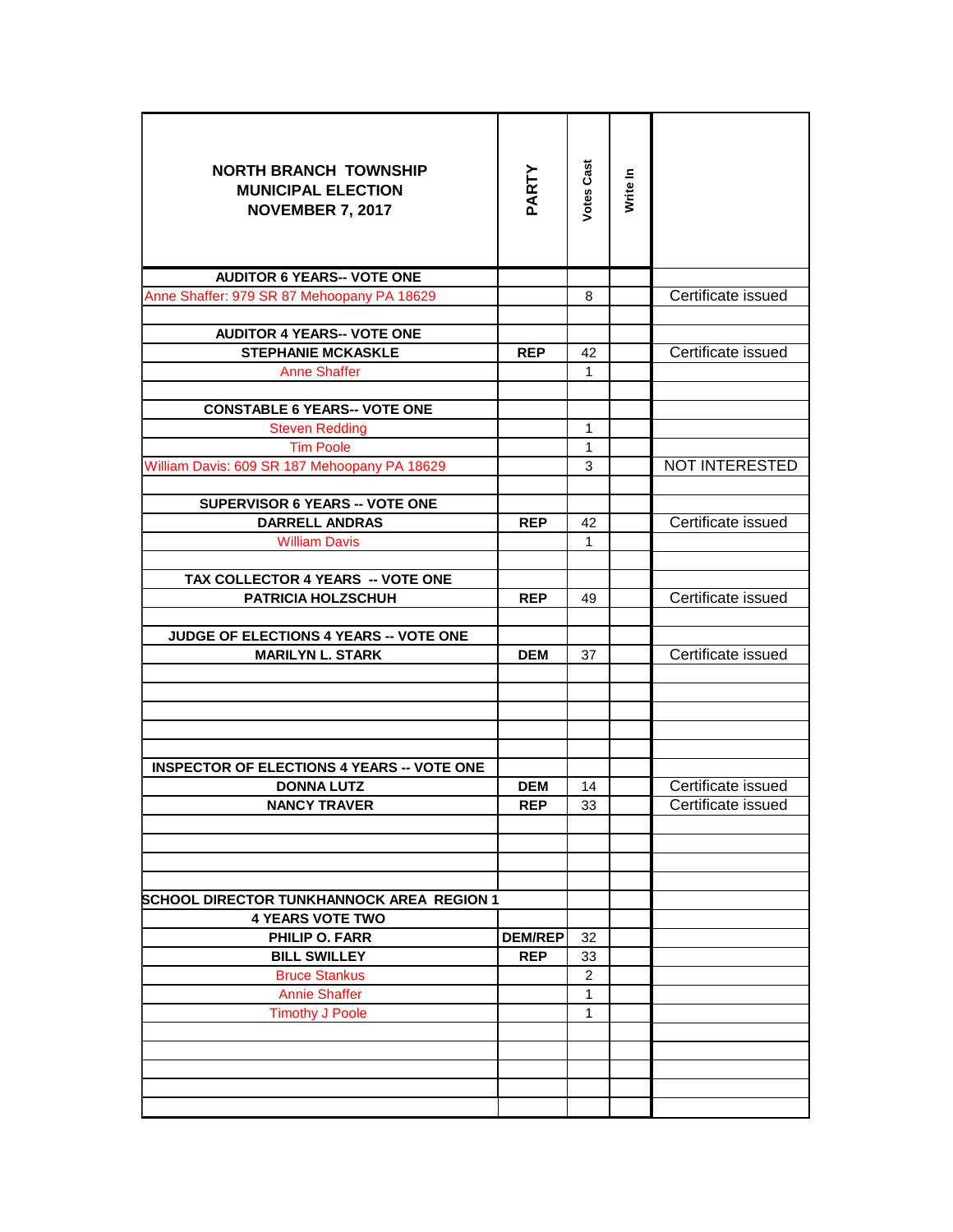| <b>NORTH BRANCH TOWNSHIP</b><br><b>MUNICIPAL ELECTION</b><br><b>NOVEMBER 7, 2017</b> | PARTY          | Votes Cast        | Write In |                       |
|--------------------------------------------------------------------------------------|----------------|-------------------|----------|-----------------------|
| <b>AUDITOR 6 YEARS-- VOTE ONE</b>                                                    |                |                   |          |                       |
| Anne Shaffer: 979 SR 87 Mehoopany PA 18629                                           |                | 8                 |          | Certificate issued    |
|                                                                                      |                |                   |          |                       |
| <b>AUDITOR 4 YEARS-- VOTE ONE</b>                                                    |                |                   |          |                       |
| <b>STEPHANIE MCKASKLE</b>                                                            | <b>REP</b>     | 42                |          | Certificate issued    |
| <b>Anne Shaffer</b>                                                                  |                | $\mathbf{1}$      |          |                       |
|                                                                                      |                |                   |          |                       |
| <b>CONSTABLE 6 YEARS-- VOTE ONE</b>                                                  |                |                   |          |                       |
| <b>Steven Redding</b><br><b>Tim Poole</b>                                            |                | $\mathbf{1}$<br>1 |          |                       |
| William Davis: 609 SR 187 Mehoopany PA 18629                                         |                | 3                 |          | <b>NOT INTERESTED</b> |
|                                                                                      |                |                   |          |                       |
| SUPERVISOR 6 YEARS -- VOTE ONE                                                       |                |                   |          |                       |
| <b>DARRELL ANDRAS</b>                                                                | <b>REP</b>     | 42                |          | Certificate issued    |
| <b>William Davis</b>                                                                 |                | 1                 |          |                       |
|                                                                                      |                |                   |          |                       |
| TAX COLLECTOR 4 YEARS -- VOTE ONE                                                    |                |                   |          |                       |
| <b>PATRICIA HOLZSCHUH</b>                                                            | <b>REP</b>     | 49                |          | Certificate issued    |
|                                                                                      |                |                   |          |                       |
| JUDGE OF ELECTIONS 4 YEARS -- VOTE ONE<br><b>MARILYN L. STARK</b>                    | <b>DEM</b>     |                   |          | Certificate issued    |
|                                                                                      |                | 37                |          |                       |
|                                                                                      |                |                   |          |                       |
|                                                                                      |                |                   |          |                       |
|                                                                                      |                |                   |          |                       |
|                                                                                      |                |                   |          |                       |
| <b>INSPECTOR OF ELECTIONS 4 YEARS -- VOTE ONE</b>                                    |                |                   |          |                       |
| <b>DONNA LUTZ</b>                                                                    | <b>DEM</b>     | 14                |          | Certificate issued    |
| <b>NANCY TRAVER</b>                                                                  | <b>REP</b>     | 33                |          | Certificate issued    |
|                                                                                      |                |                   |          |                       |
|                                                                                      |                |                   |          |                       |
|                                                                                      |                |                   |          |                       |
| <b>SCHOOL DIRECTOR TUNKHANNOCK AREA REGION 1</b>                                     |                |                   |          |                       |
| <b>4 YEARS VOTE TWO</b>                                                              |                |                   |          |                       |
| <b>PHILIP O. FARR</b>                                                                | <b>DEM/REP</b> | 32                |          |                       |
| <b>BILL SWILLEY</b>                                                                  | <b>REP</b>     | 33                |          |                       |
| <b>Bruce Stankus</b>                                                                 |                | $\overline{c}$    |          |                       |
| <b>Annie Shaffer</b>                                                                 |                | 1                 |          |                       |
| <b>Timothy J Poole</b>                                                               |                | 1                 |          |                       |
|                                                                                      |                |                   |          |                       |
|                                                                                      |                |                   |          |                       |
|                                                                                      |                |                   |          |                       |
|                                                                                      |                |                   |          |                       |
|                                                                                      |                |                   |          |                       |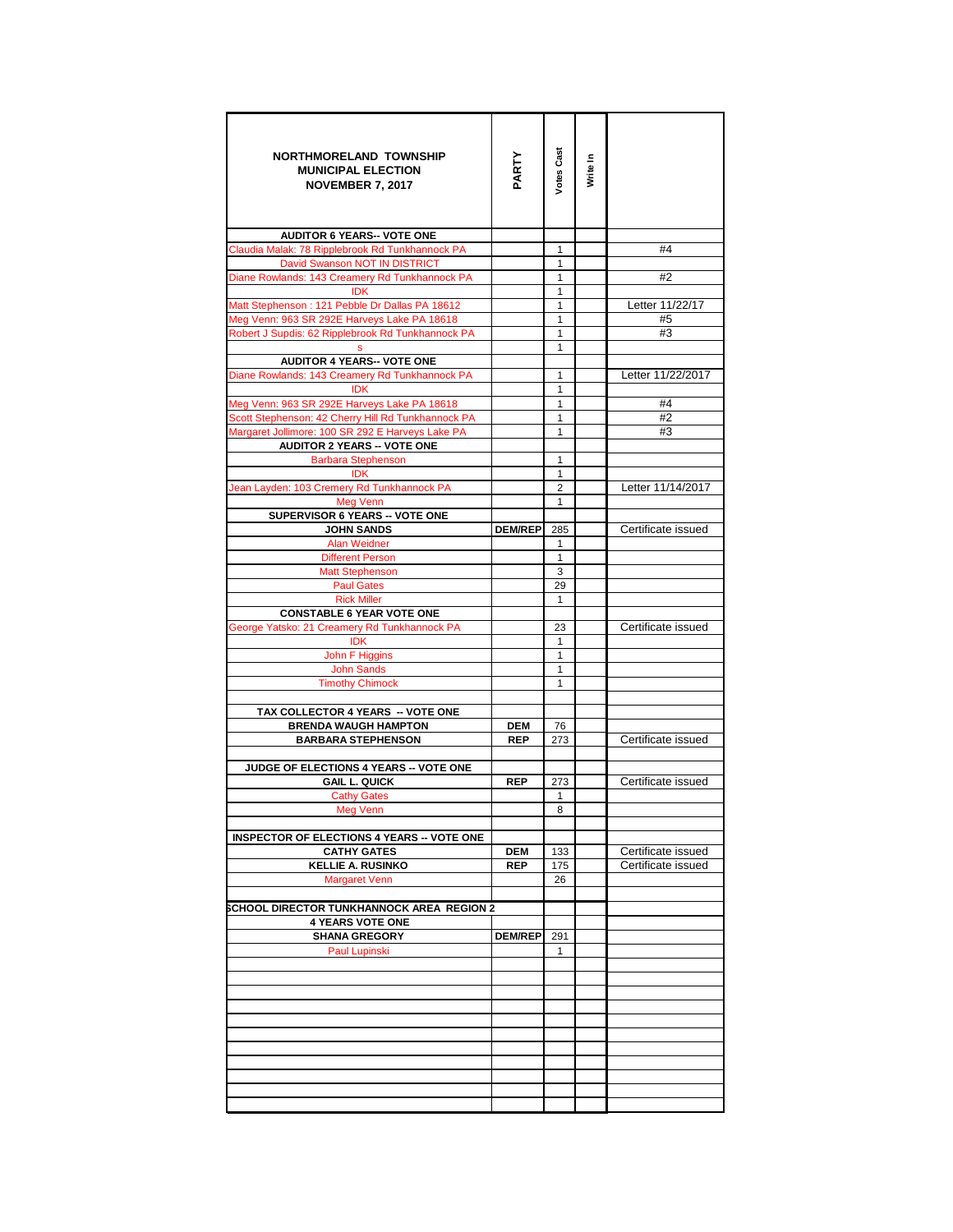| <b>NORTHMORELAND TOWNSHIP</b><br><b>MUNICIPAL ELECTION</b><br><b>NOVEMBER 7, 2017</b>  | PARTY          | Votes Cast                   | Write In |                    |
|----------------------------------------------------------------------------------------|----------------|------------------------------|----------|--------------------|
| <b>AUDITOR 6 YEARS-- VOTE ONE</b>                                                      |                |                              |          |                    |
| Claudia Malak: 78 Ripplebrook Rd Tunkhannock PA                                        |                | 1                            |          | #4                 |
| David Swanson NOT IN DISTRICT                                                          |                | 1                            |          |                    |
| Diane Rowlands: 143 Creamery Rd Tunkhannock PA<br><b>IDK</b>                           |                | 1<br>1                       |          | #2                 |
| Matt Stephenson: 121 Pebble Dr Dallas PA 18612                                         |                | $\mathbf{1}$                 |          | Letter 11/22/17    |
| Meg Venn: 963 SR 292E Harveys Lake PA 18618                                            |                | 1                            |          | #5                 |
| Robert J Supdis: 62 Ripplebrook Rd Tunkhannock PA                                      |                | $\mathbf{1}$                 |          | #3                 |
|                                                                                        |                | 1                            |          |                    |
| <b>AUDITOR 4 YEARS-- VOTE ONE</b>                                                      |                |                              |          |                    |
| Diane Rowlands: 143 Creamery Rd Tunkhannock PA                                         |                | 1                            |          | Letter 11/22/2017  |
| <b>IDK</b>                                                                             |                | $\mathbf{1}$                 |          |                    |
| Meg Venn: 963 SR 292E Harveys Lake PA 18618                                            |                | 1                            |          | #4                 |
| Scott Stephenson: 42 Cherry Hill Rd Tunkhannock PA                                     |                | 1<br>1                       |          | #2<br>#3           |
| Margaret Jollimore: 100 SR 292 E Harveys Lake PA<br><b>AUDITOR 2 YEARS -- VOTE ONE</b> |                |                              |          |                    |
| <b>Barbara Stephenson</b>                                                              |                | 1                            |          |                    |
| <b>IDK</b>                                                                             |                | 1                            |          |                    |
| Jean Layden: 103 Cremery Rd Tunkhannock PA                                             |                | $\overline{2}$               |          | Letter 11/14/2017  |
| Meg Venn                                                                               |                | $\mathbf{1}$                 |          |                    |
| SUPERVISOR 6 YEARS -- VOTE ONE                                                         |                |                              |          |                    |
| <b>JOHN SANDS</b>                                                                      | <b>DEM/REP</b> | 285                          |          | Certificate issued |
| <b>Alan Weidner</b><br><b>Different Person</b>                                         |                | $\mathbf{1}$<br>$\mathbf{1}$ |          |                    |
| <b>Matt Stephenson</b>                                                                 |                | 3                            |          |                    |
| <b>Paul Gates</b>                                                                      |                | 29                           |          |                    |
| <b>Rick Miller</b>                                                                     |                | $\mathbf{1}$                 |          |                    |
| <b>CONSTABLE 6 YEAR VOTE ONE</b>                                                       |                |                              |          |                    |
| George Yatsko: 21 Creamery Rd Tunkhannock PA                                           |                | 23                           |          | Certificate issued |
| <b>IDK</b>                                                                             |                | $\mathbf{1}$                 |          |                    |
| John F Higgins<br><b>John Sands</b>                                                    |                | $\mathbf{1}$<br>$\mathbf{1}$ |          |                    |
| <b>Timothy Chimock</b>                                                                 |                | 1                            |          |                    |
|                                                                                        |                |                              |          |                    |
| TAX COLLECTOR 4 YEARS -- VOTE ONE                                                      |                |                              |          |                    |
| <b>BRENDA WAUGH HAMPTON</b>                                                            | <b>DEM</b>     | 76                           |          |                    |
| <b>BARBARA STEPHENSON</b>                                                              | <b>REP</b>     | 273                          |          | Certificate issued |
|                                                                                        |                |                              |          |                    |
| JUDGE OF ELECTIONS 4 YEARS -- VOTE ONE<br><b>GAIL L. QUICK</b>                         |                |                              |          | Certificate issued |
| <b>Cathy Gates</b>                                                                     | <b>REP</b>     | 273<br>1                     |          |                    |
| <b>Meg Venn</b>                                                                        |                | 8                            |          |                    |
|                                                                                        |                |                              |          |                    |
| <b>INSPECTOR OF ELECTIONS 4 YEARS -- VOTE ONE</b>                                      |                |                              |          |                    |
| <b>CATHY GATES</b>                                                                     | DEM            | 133                          |          | Certificate issued |
| <b>KELLIE A. RUSINKO</b>                                                               | <b>REP</b>     | 175                          |          | Certificate issued |
| <b>Margaret Venn</b>                                                                   |                | 26                           |          |                    |
| SCHOOL DIRECTOR TUNKHANNOCK AREA REGION 2                                              |                |                              |          |                    |
| <b>4 YEARS VOTE ONE</b>                                                                |                |                              |          |                    |
| <b>SHANA GREGORY</b>                                                                   | <b>DEM/REP</b> | 291                          |          |                    |
| Paul Lupinski                                                                          |                | 1                            |          |                    |
|                                                                                        |                |                              |          |                    |
|                                                                                        |                |                              |          |                    |
|                                                                                        |                |                              |          |                    |
|                                                                                        |                |                              |          |                    |
|                                                                                        |                |                              |          |                    |
|                                                                                        |                |                              |          |                    |
|                                                                                        |                |                              |          |                    |
|                                                                                        |                |                              |          |                    |
|                                                                                        |                |                              |          |                    |
|                                                                                        |                |                              |          |                    |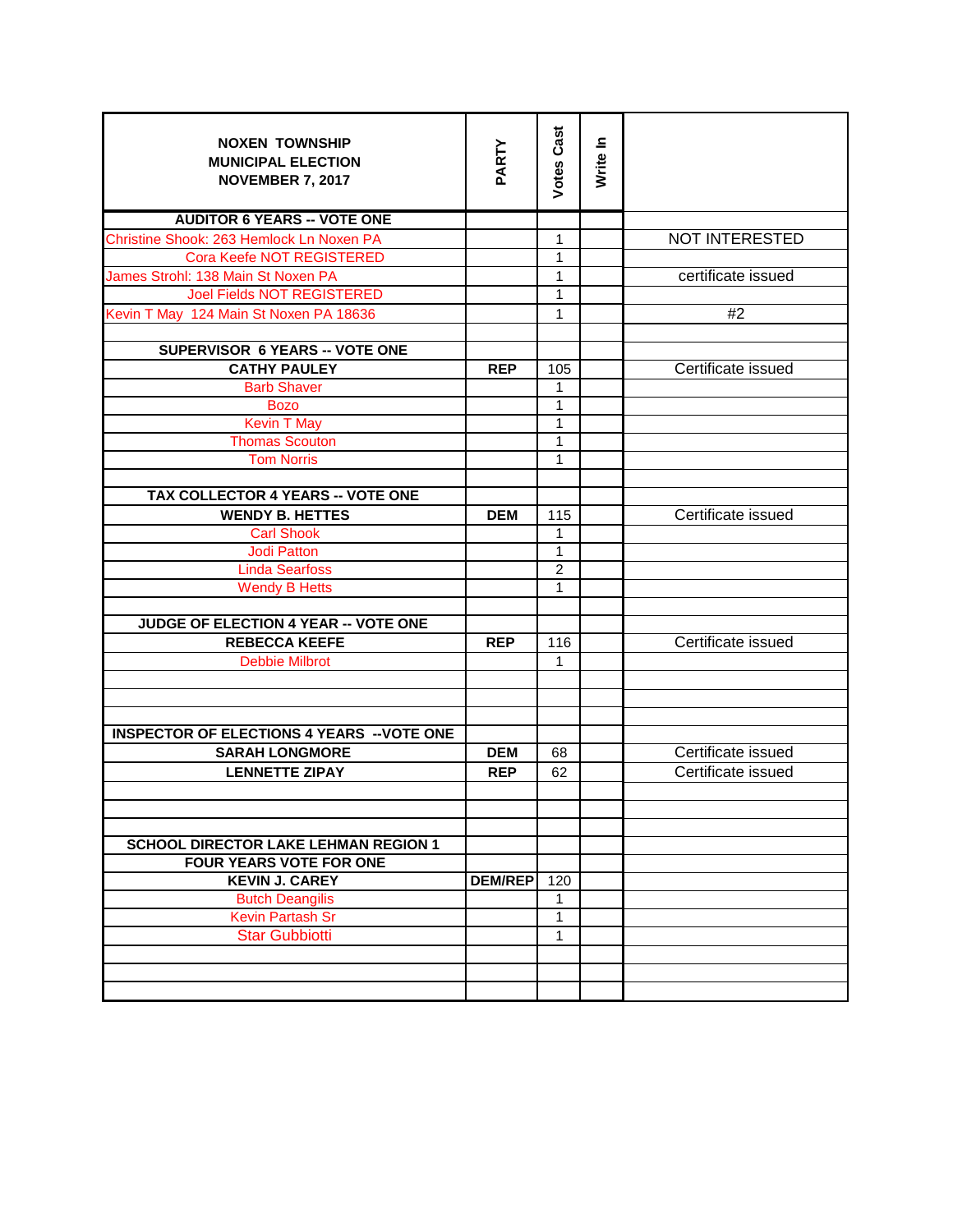| <b>NOXEN TOWNSHIP</b><br><b>MUNICIPAL ELECTION</b><br><b>NOVEMBER 7, 2017</b> | PARTY          | <b>Votes Cast</b> | Write In |                       |
|-------------------------------------------------------------------------------|----------------|-------------------|----------|-----------------------|
| <b>AUDITOR 6 YEARS -- VOTE ONE</b>                                            |                |                   |          |                       |
| Christine Shook: 263 Hemlock Ln Noxen PA                                      |                | $\mathbf{1}$      |          | <b>NOT INTERESTED</b> |
| Cora Keefe NOT REGISTERED                                                     |                | $\mathbf{1}$      |          |                       |
| James Strohl: 138 Main St Noxen PA                                            |                | 1                 |          | certificate issued    |
| <b>Joel Fields NOT REGISTERED</b>                                             |                | 1                 |          |                       |
| Kevin T May 124 Main St Noxen PA 18636                                        |                | 1                 |          | #2                    |
| <b>SUPERVISOR 6 YEARS -- VOTE ONE</b>                                         |                |                   |          |                       |
| <b>CATHY PAULEY</b>                                                           | <b>REP</b>     | 105               |          | Certificate issued    |
| <b>Barb Shaver</b>                                                            |                | 1                 |          |                       |
| <b>Bozo</b>                                                                   |                | $\mathbf{1}$      |          |                       |
| <b>Kevin T May</b>                                                            |                | $\overline{1}$    |          |                       |
| <b>Thomas Scouton</b>                                                         |                | $\mathbf{1}$      |          |                       |
| <b>Tom Norris</b>                                                             |                | $\overline{1}$    |          |                       |
|                                                                               |                |                   |          |                       |
| <b>TAX COLLECTOR 4 YEARS -- VOTE ONE</b>                                      |                |                   |          |                       |
| <b>WENDY B. HETTES</b>                                                        | <b>DEM</b>     | 115               |          | Certificate issued    |
| <b>Carl Shook</b>                                                             |                | $\mathbf{1}$      |          |                       |
| <b>Jodi Patton</b>                                                            |                | $\mathbf{1}$      |          |                       |
| <b>Linda Searfoss</b>                                                         |                | $\overline{2}$    |          |                       |
| <b>Wendy B Hetts</b>                                                          |                | 1                 |          |                       |
|                                                                               |                |                   |          |                       |
| JUDGE OF ELECTION 4 YEAR -- VOTE ONE                                          |                |                   |          |                       |
| <b>REBECCA KEEFE</b>                                                          | <b>REP</b>     | 116               |          | Certificate issued    |
| <b>Debbie Milbrot</b>                                                         |                | $\mathbf{1}$      |          |                       |
|                                                                               |                |                   |          |                       |
|                                                                               |                |                   |          |                       |
| <b>INSPECTOR OF ELECTIONS 4 YEARS -- VOTE ONE</b>                             |                |                   |          |                       |
| <b>SARAH LONGMORE</b>                                                         | <b>DEM</b>     | 68                |          | Certificate issued    |
| <b>LENNETTE ZIPAY</b>                                                         | <b>REP</b>     | 62                |          | Certificate issued    |
|                                                                               |                |                   |          |                       |
|                                                                               |                |                   |          |                       |
|                                                                               |                |                   |          |                       |
| <b>SCHOOL DIRECTOR LAKE LEHMAN REGION 1</b>                                   |                |                   |          |                       |
| <b>FOUR YEARS VOTE FOR ONE</b>                                                |                |                   |          |                       |
| <b>KEVIN J. CAREY</b>                                                         | <b>DEM/REP</b> | 120               |          |                       |
| <b>Butch Deangilis</b>                                                        |                | 1                 |          |                       |
| <b>Kevin Partash Sr</b>                                                       |                | $\overline{1}$    |          |                       |
| <b>Star Gubbiotti</b>                                                         |                | 1                 |          |                       |
|                                                                               |                |                   |          |                       |
|                                                                               |                |                   |          |                       |
|                                                                               |                |                   |          |                       |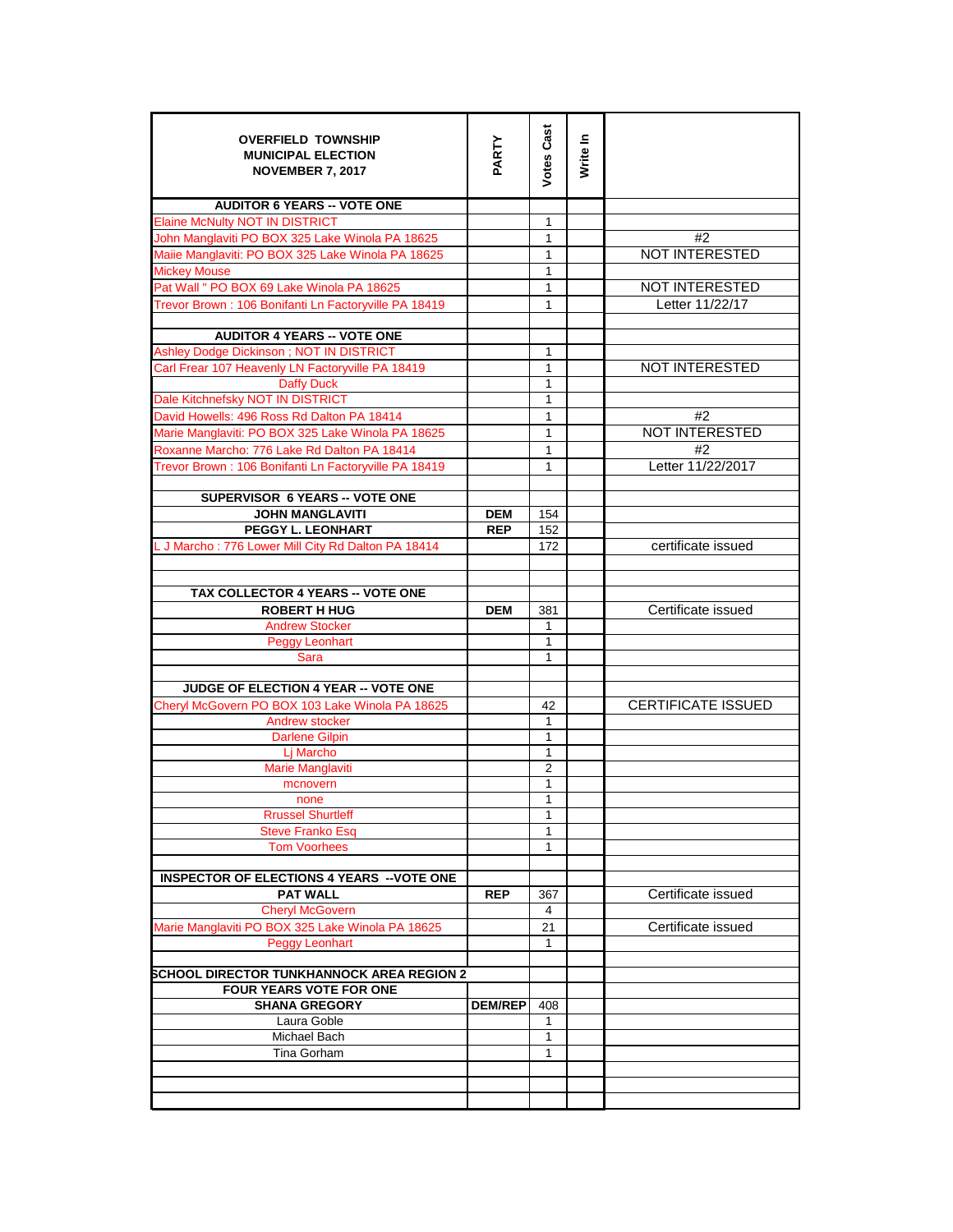| <b>OVERFIELD TOWNSHIP</b><br><b>MUNICIPAL ELECTION</b><br><b>NOVEMBER 7, 2017</b> | PARTY          | <b>Votes Cast</b> | Write In |                           |
|-----------------------------------------------------------------------------------|----------------|-------------------|----------|---------------------------|
| <b>AUDITOR 6 YEARS -- VOTE ONE</b>                                                |                |                   |          |                           |
| <b>Elaine McNulty NOT IN DISTRICT</b>                                             |                | 1                 |          |                           |
| John Manglaviti PO BOX 325 Lake Winola PA 18625                                   |                | $\mathbf{1}$      |          | #2                        |
| Maiie Manglaviti: PO BOX 325 Lake Winola PA 18625                                 |                | $\mathbf{1}$      |          | <b>NOT INTERESTED</b>     |
| <b>Mickey Mouse</b>                                                               |                | $\mathbf{1}$      |          |                           |
| Pat Wall " PO BOX 69 Lake Winola PA 18625                                         |                | 1                 |          | <b>NOT INTERESTED</b>     |
| Trevor Brown: 106 Bonifanti Ln Factoryville PA 18419                              |                | 1                 |          | Letter 11/22/17           |
| <b>AUDITOR 4 YEARS -- VOTE ONE</b>                                                |                |                   |          |                           |
| Ashley Dodge Dickinson; NOT IN DISTRICT                                           |                | $\mathbf{1}$      |          |                           |
| Carl Frear 107 Heavenly LN Factoryville PA 18419                                  |                | $\mathbf{1}$      |          | <b>NOT INTERESTED</b>     |
| <b>Daffy Duck</b>                                                                 |                | 1                 |          |                           |
| Dale Kitchnefsky NOT IN DISTRICT                                                  |                | 1                 |          |                           |
| David Howells: 496 Ross Rd Dalton PA 18414                                        |                | 1                 |          | #2                        |
| Marie Manglaviti: PO BOX 325 Lake Winola PA 18625                                 |                | 1                 |          | NOT INTERESTED            |
| Roxanne Marcho: 776 Lake Rd Dalton PA 18414                                       |                | $\mathbf{1}$      |          | #2                        |
| Trevor Brown: 106 Bonifanti Ln Factoryville PA 18419                              |                | 1                 |          | Letter 11/22/2017         |
| SUPERVISOR 6 YEARS -- VOTE ONE                                                    |                |                   |          |                           |
| <b>JOHN MANGLAVITI</b>                                                            | <b>DEM</b>     | 154               |          |                           |
| <b>PEGGY L. LEONHART</b>                                                          | <b>REP</b>     | 152               |          |                           |
| L J Marcho: 776 Lower Mill City Rd Dalton PA 18414                                |                | 172               |          | certificate issued        |
| TAX COLLECTOR 4 YEARS -- VOTE ONE                                                 |                |                   |          |                           |
| <b>ROBERT H HUG</b>                                                               | <b>DEM</b>     | 381               |          | Certificate issued        |
| <b>Andrew Stocker</b>                                                             |                | $\mathbf{1}$      |          |                           |
| <b>Peggy Leonhart</b>                                                             |                | 1                 |          |                           |
| Sara                                                                              |                | $\mathbf{1}$      |          |                           |
| JUDGE OF ELECTION 4 YEAR -- VOTE ONE                                              |                |                   |          |                           |
| Cheryl McGovern PO BOX 103 Lake Winola PA 18625                                   |                | 42                |          | <b>CERTIFICATE ISSUED</b> |
| Andrew stocker                                                                    |                | 1                 |          |                           |
| <b>Darlene Gilpin</b>                                                             |                | 1                 |          |                           |
| Lj Marcho                                                                         |                | 1                 |          |                           |
| Marie Manglaviti                                                                  |                | $\overline{2}$    |          |                           |
| mcnovern                                                                          |                | 1                 |          |                           |
| none                                                                              |                | 1                 |          |                           |
| <b>Rrussel Shurtleff</b>                                                          |                | 1                 |          |                           |
| <b>Steve Franko Esq</b>                                                           |                | 1                 |          |                           |
| <b>Tom Voorhees</b>                                                               |                | 1                 |          |                           |
| <b>INSPECTOR OF ELECTIONS 4 YEARS -- VOTE ONE</b>                                 |                |                   |          |                           |
| <b>PAT WALL</b>                                                                   | <b>REP</b>     | 367               |          | Certificate issued        |
| <b>Cheryl McGovern</b>                                                            |                | 4                 |          |                           |
| Marie Manglaviti PO BOX 325 Lake Winola PA 18625                                  |                | 21                |          | Certificate issued        |
| <b>Peggy Leonhart</b>                                                             |                | $\mathbf{1}$      |          |                           |
| <b>SCHOOL DIRECTOR TUNKHANNOCK AREA REGION 2</b>                                  |                |                   |          |                           |
| <b>FOUR YEARS VOTE FOR ONE</b>                                                    |                |                   |          |                           |
| <b>SHANA GREGORY</b>                                                              | <b>DEM/REP</b> | 408               |          |                           |
| Laura Goble                                                                       |                | $\mathbf{1}$      |          |                           |
| Michael Bach                                                                      |                | $\mathbf{1}$      |          |                           |
| Tina Gorham                                                                       |                | 1                 |          |                           |
|                                                                                   |                |                   |          |                           |
|                                                                                   |                |                   |          |                           |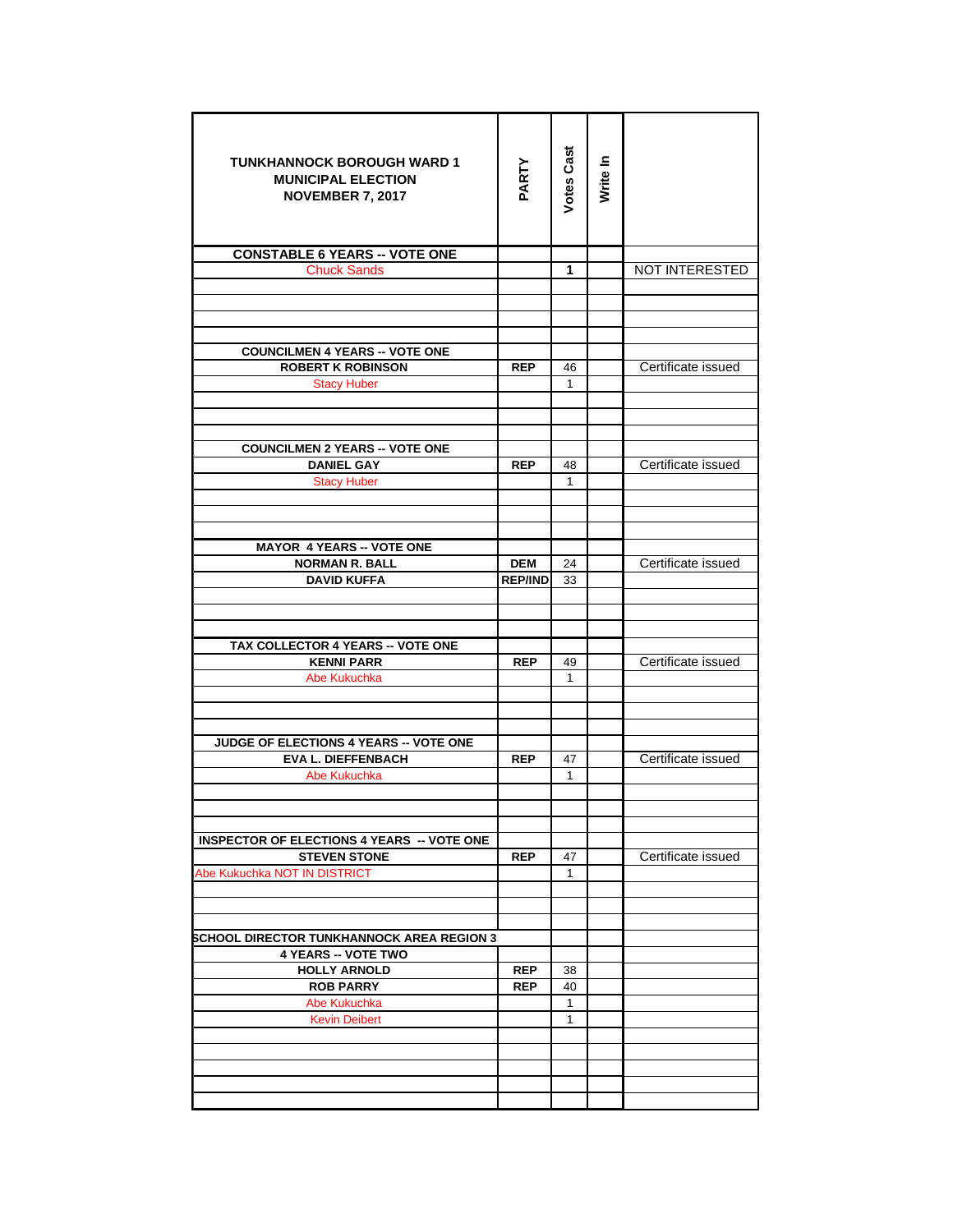| <b>TUNKHANNOCK BOROUGH WARD 1</b><br><b>MUNICIPAL ELECTION</b><br><b>NOVEMBER 7, 2017</b> | PARTY          | <b>Votes Cast</b> | Write In |                    |
|-------------------------------------------------------------------------------------------|----------------|-------------------|----------|--------------------|
| <b>CONSTABLE 6 YEARS -- VOTE ONE</b>                                                      |                |                   |          |                    |
| <b>Chuck Sands</b>                                                                        |                | 1                 |          | NOT INTERESTED     |
|                                                                                           |                |                   |          |                    |
|                                                                                           |                |                   |          |                    |
|                                                                                           |                |                   |          |                    |
| <b>COUNCILMEN 4 YEARS -- VOTE ONE</b>                                                     |                |                   |          |                    |
| <b>ROBERT K ROBINSON</b>                                                                  | <b>REP</b>     | 46                |          | Certificate issued |
| <b>Stacy Huber</b>                                                                        |                | 1                 |          |                    |
|                                                                                           |                |                   |          |                    |
|                                                                                           |                |                   |          |                    |
|                                                                                           |                |                   |          |                    |
| <b>COUNCILMEN 2 YEARS -- VOTE ONE</b>                                                     |                |                   |          |                    |
| <b>DANIEL GAY</b>                                                                         | <b>REP</b>     | 48                |          | Certificate issued |
| <b>Stacy Huber</b>                                                                        |                | $\mathbf{1}$      |          |                    |
|                                                                                           |                |                   |          |                    |
|                                                                                           |                |                   |          |                    |
| <b>MAYOR 4 YEARS -- VOTE ONE</b>                                                          |                |                   |          |                    |
| <b>NORMAN R. BALL</b>                                                                     | <b>DEM</b>     | 24                |          | Certificate issued |
| <b>DAVID KUFFA</b>                                                                        | <b>REP/IND</b> | 33                |          |                    |
|                                                                                           |                |                   |          |                    |
|                                                                                           |                |                   |          |                    |
|                                                                                           |                |                   |          |                    |
| TAX COLLECTOR 4 YEARS -- VOTE ONE                                                         |                |                   |          |                    |
| <b>KENNI PARR</b>                                                                         | <b>REP</b>     | 49                |          | Certificate issued |
| Abe Kukuchka                                                                              |                | $\mathbf{1}$      |          |                    |
|                                                                                           |                |                   |          |                    |
|                                                                                           |                |                   |          |                    |
| <b>JUDGE OF ELECTIONS 4 YEARS -- VOTE ONE</b>                                             |                |                   |          |                    |
| <b>EVA L. DIEFFENBACH</b>                                                                 | <b>REP</b>     | 47                |          | Certificate issued |
| Abe Kukuchka                                                                              |                | $\mathbf{1}$      |          |                    |
|                                                                                           |                |                   |          |                    |
|                                                                                           |                |                   |          |                    |
| <b>INSPECTOR OF ELECTIONS 4 YEARS -- VOTE ONE</b>                                         |                |                   |          |                    |
| <b>STEVEN STONE</b>                                                                       | <b>REP</b>     | 47                |          | Certificate issued |
| Abe Kukuchka NOT IN DISTRICT                                                              |                | $\mathbf{1}$      |          |                    |
|                                                                                           |                |                   |          |                    |
|                                                                                           |                |                   |          |                    |
|                                                                                           |                |                   |          |                    |
| <b>SCHOOL DIRECTOR TUNKHANNOCK AREA REGION 3</b>                                          |                |                   |          |                    |
| <b>4 YEARS -- VOTE TWO</b>                                                                |                |                   |          |                    |
| <b>HOLLY ARNOLD</b>                                                                       | <b>REP</b>     | 38                |          |                    |
| <b>ROB PARRY</b>                                                                          | <b>REP</b>     | 40                |          |                    |
| Abe Kukuchka<br><b>Kevin Deibert</b>                                                      |                | $\mathbf{1}$<br>1 |          |                    |
|                                                                                           |                |                   |          |                    |
|                                                                                           |                |                   |          |                    |
|                                                                                           |                |                   |          |                    |
|                                                                                           |                |                   |          |                    |
|                                                                                           |                |                   |          |                    |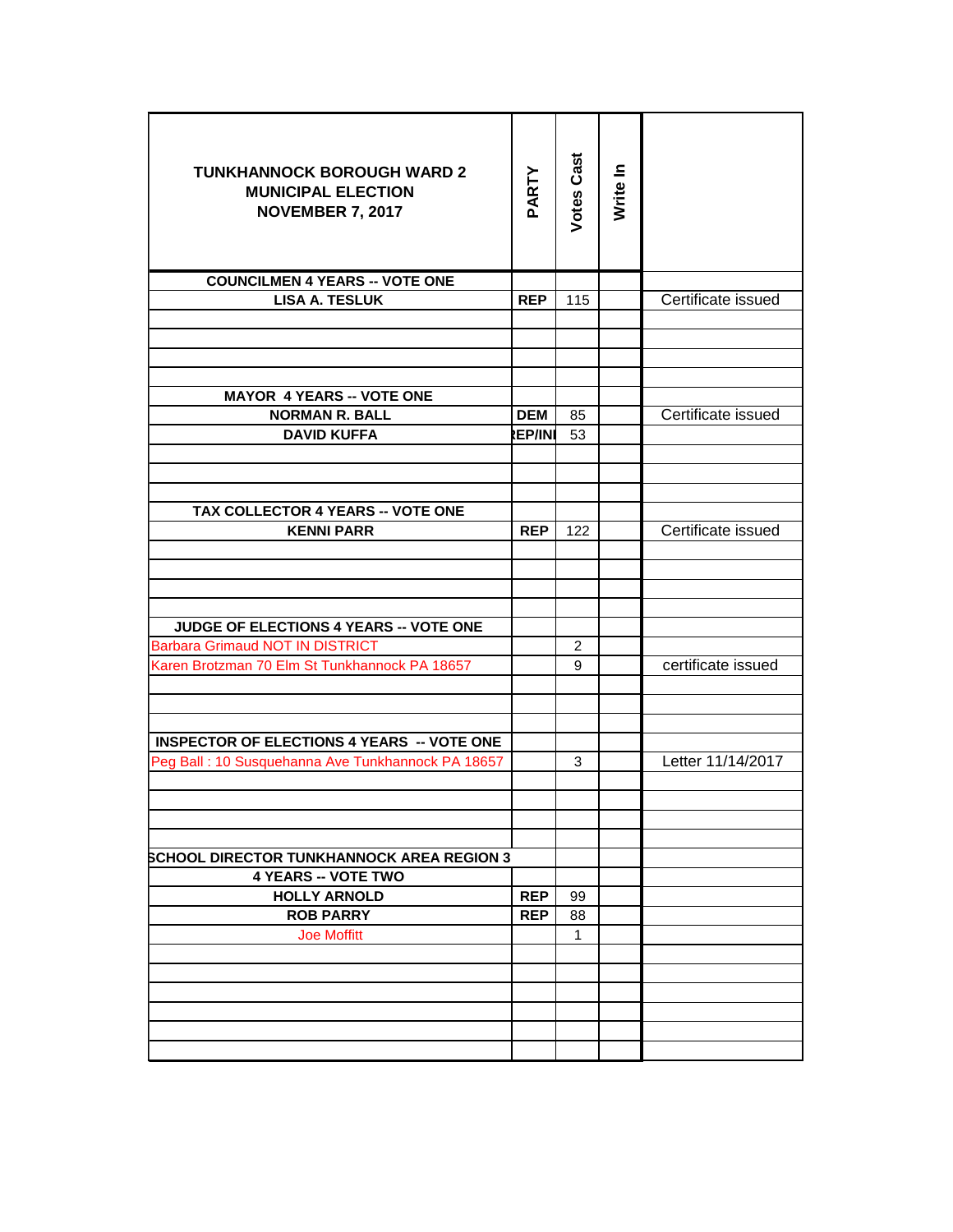| <b>TUNKHANNOCK BOROUGH WARD 2</b><br><b>MUNICIPAL ELECTION</b><br><b>NOVEMBER 7, 2017</b> | PARTY         | <b>Votes Cast</b> | Write In |                    |
|-------------------------------------------------------------------------------------------|---------------|-------------------|----------|--------------------|
| <b>COUNCILMEN 4 YEARS -- VOTE ONE</b>                                                     |               |                   |          |                    |
| <b>LISA A. TESLUK</b>                                                                     | <b>REP</b>    | 115               |          | Certificate issued |
|                                                                                           |               |                   |          |                    |
|                                                                                           |               |                   |          |                    |
| <b>MAYOR 4 YEARS -- VOTE ONE</b>                                                          |               |                   |          |                    |
| <b>NORMAN R. BALL</b>                                                                     | <b>DEM</b>    | 85                |          | Certificate issued |
| <b>DAVID KUFFA</b>                                                                        | <b>REP/IN</b> | 53                |          |                    |
|                                                                                           |               |                   |          |                    |
| TAX COLLECTOR 4 YEARS -- VOTE ONE                                                         |               |                   |          |                    |
| <b>KENNI PARR</b>                                                                         | <b>REP</b>    | 122               |          | Certificate issued |
|                                                                                           |               |                   |          |                    |
| JUDGE OF ELECTIONS 4 YEARS -- VOTE ONE                                                    |               |                   |          |                    |
| <b>Barbara Grimaud NOT IN DISTRICT</b>                                                    |               | $\overline{2}$    |          |                    |
| Karen Brotzman 70 Elm St Tunkhannock PA 18657                                             |               | 9                 |          | certificate issued |
| <b>INSPECTOR OF ELECTIONS 4 YEARS -- VOTE ONE</b>                                         |               |                   |          |                    |
| Peg Ball: 10 Susquehanna Ave Tunkhannock PA 18657                                         |               | 3                 |          | Letter 11/14/2017  |
|                                                                                           |               |                   |          |                    |
| <b>SCHOOL DIRECTOR TUNKHANNOCK AREA REGION 3</b>                                          |               |                   |          |                    |
| <b>4 YEARS -- VOTE TWO</b>                                                                |               |                   |          |                    |
| <b>HOLLY ARNOLD</b>                                                                       | <b>REP</b>    | 99                |          |                    |
| <b>ROB PARRY</b>                                                                          | <b>REP</b>    | 88                |          |                    |
| <b>Joe Moffitt</b>                                                                        |               | 1                 |          |                    |
|                                                                                           |               |                   |          |                    |
|                                                                                           |               |                   |          |                    |
|                                                                                           |               |                   |          |                    |
|                                                                                           |               |                   |          |                    |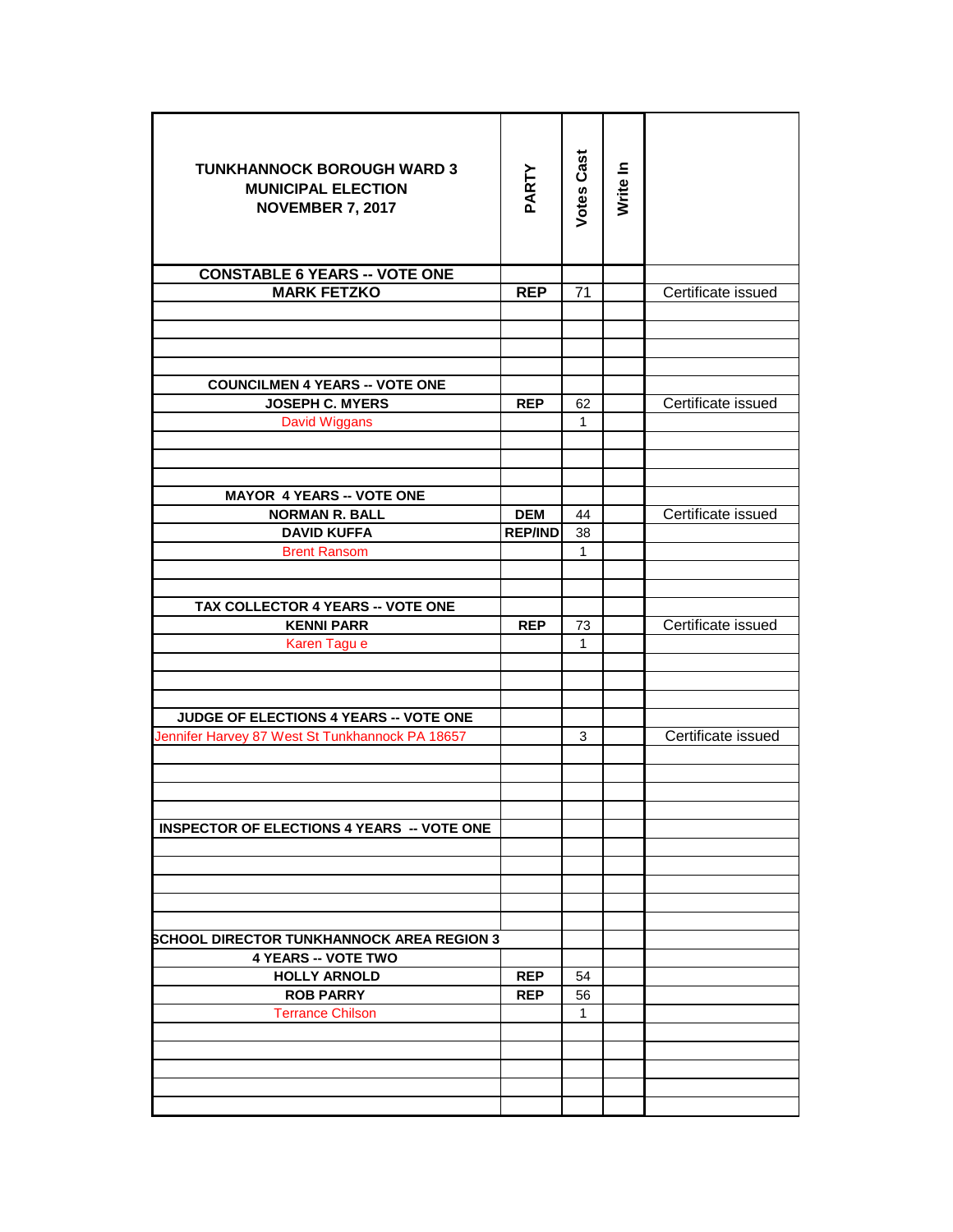| <b>TUNKHANNOCK BOROUGH WARD 3</b><br><b>MUNICIPAL ELECTION</b><br><b>NOVEMBER 7, 2017</b> | PARTY          | <b>Votes Cast</b> | Write In |                    |
|-------------------------------------------------------------------------------------------|----------------|-------------------|----------|--------------------|
| <b>CONSTABLE 6 YEARS -- VOTE ONE</b>                                                      |                |                   |          |                    |
| <b>MARK FETZKO</b>                                                                        | <b>REP</b>     | 71                |          | Certificate issued |
|                                                                                           |                |                   |          |                    |
|                                                                                           |                |                   |          |                    |
|                                                                                           |                |                   |          |                    |
|                                                                                           |                |                   |          |                    |
| <b>COUNCILMEN 4 YEARS -- VOTE ONE</b>                                                     |                |                   |          |                    |
| <b>JOSEPH C. MYERS</b>                                                                    | <b>REP</b>     | 62                |          | Certificate issued |
| David Wiggans                                                                             |                | 1                 |          |                    |
|                                                                                           |                |                   |          |                    |
|                                                                                           |                |                   |          |                    |
| <b>MAYOR 4 YEARS -- VOTE ONE</b>                                                          |                |                   |          |                    |
| <b>NORMAN R. BALL</b>                                                                     | <b>DEM</b>     | 44                |          | Certificate issued |
| <b>DAVID KUFFA</b>                                                                        | <b>REP/IND</b> | 38                |          |                    |
| <b>Brent Ransom</b>                                                                       |                | 1                 |          |                    |
|                                                                                           |                |                   |          |                    |
|                                                                                           |                |                   |          |                    |
| TAX COLLECTOR 4 YEARS -- VOTE ONE                                                         |                |                   |          |                    |
| <b>KENNI PARR</b>                                                                         | <b>REP</b>     | 73                |          | Certificate issued |
| Karen Tagu e                                                                              |                | 1                 |          |                    |
|                                                                                           |                |                   |          |                    |
|                                                                                           |                |                   |          |                    |
|                                                                                           |                |                   |          |                    |
| JUDGE OF ELECTIONS 4 YEARS -- VOTE ONE                                                    |                |                   |          | Certificate issued |
| Jennifer Harvey 87 West St Tunkhannock PA 18657                                           |                | 3                 |          |                    |
|                                                                                           |                |                   |          |                    |
|                                                                                           |                |                   |          |                    |
|                                                                                           |                |                   |          |                    |
| <b>INSPECTOR OF ELECTIONS 4 YEARS -- VOTE ONE</b>                                         |                |                   |          |                    |
|                                                                                           |                |                   |          |                    |
|                                                                                           |                |                   |          |                    |
|                                                                                           |                |                   |          |                    |
|                                                                                           |                |                   |          |                    |
|                                                                                           |                |                   |          |                    |
| <b>SCHOOL DIRECTOR TUNKHANNOCK AREA REGION 3</b>                                          |                |                   |          |                    |
| <b>4 YEARS -- VOTE TWO</b>                                                                |                |                   |          |                    |
| <b>HOLLY ARNOLD</b><br><b>ROB PARRY</b>                                                   | <b>REP</b>     | 54                |          |                    |
|                                                                                           | <b>REP</b>     | 56                |          |                    |
| <b>Terrance Chilson</b>                                                                   |                | 1                 |          |                    |
|                                                                                           |                |                   |          |                    |
|                                                                                           |                |                   |          |                    |
|                                                                                           |                |                   |          |                    |
|                                                                                           |                |                   |          |                    |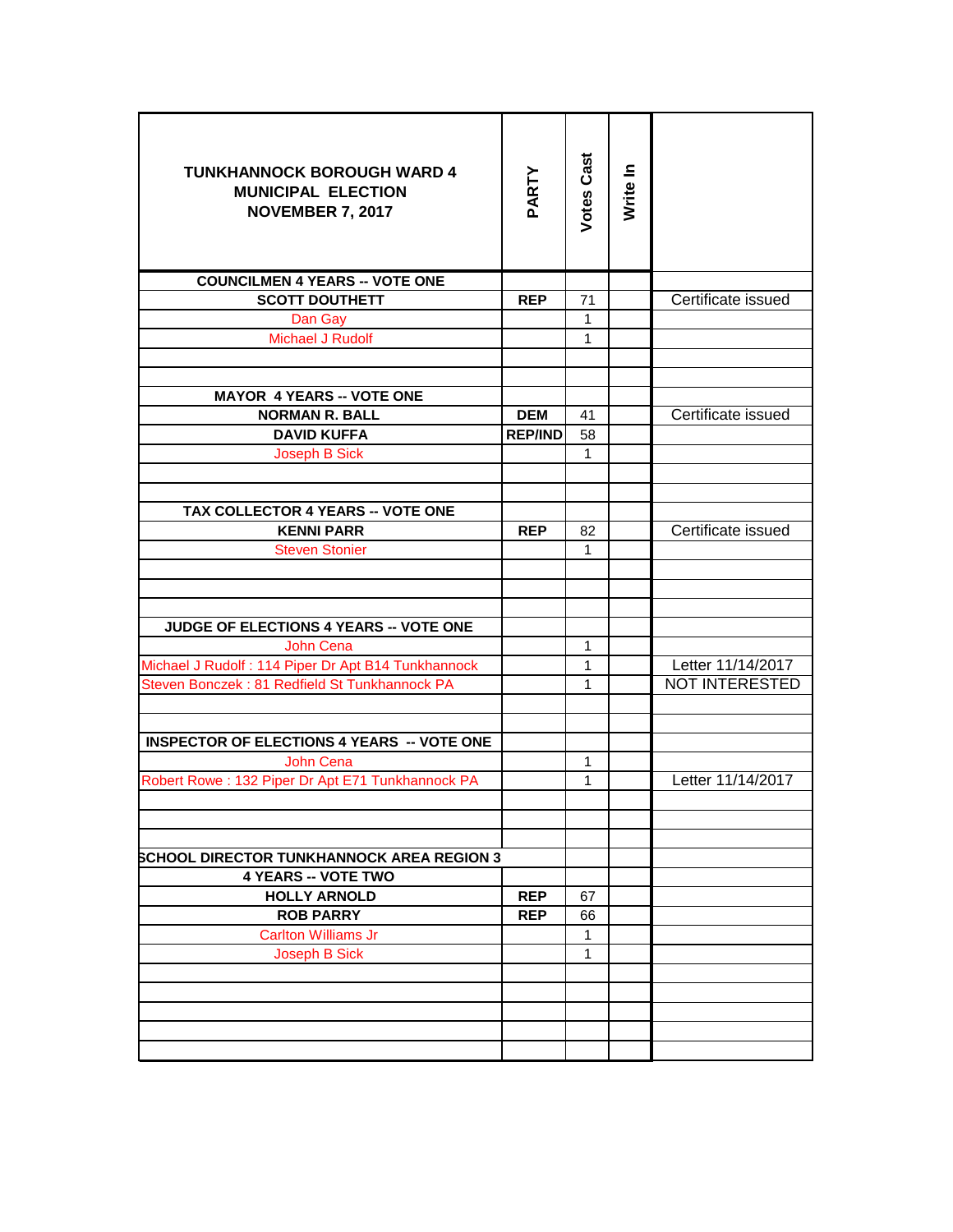| <b>TUNKHANNOCK BOROUGH WARD 4</b><br><b>MUNICIPAL ELECTION</b><br><b>NOVEMBER 7, 2017</b> | PARTY          | <b>Votes Cast</b>  | Write In |                    |
|-------------------------------------------------------------------------------------------|----------------|--------------------|----------|--------------------|
| <b>COUNCILMEN 4 YEARS -- VOTE ONE</b>                                                     |                |                    |          |                    |
| <b>SCOTT DOUTHETT</b>                                                                     | <b>REP</b>     | 71                 |          | Certificate issued |
| Dan Gay                                                                                   |                | $\mathbf{1}$       |          |                    |
| Michael J Rudolf                                                                          |                | $\mathbf{1}$       |          |                    |
|                                                                                           |                |                    |          |                    |
|                                                                                           |                |                    |          |                    |
| <b>MAYOR 4 YEARS -- VOTE ONE</b>                                                          |                |                    |          |                    |
| <b>NORMAN R. BALL</b>                                                                     | <b>DEM</b>     | 41                 |          | Certificate issued |
| <b>DAVID KUFFA</b>                                                                        | <b>REP/IND</b> | 58                 |          |                    |
| <b>Joseph B Sick</b>                                                                      |                | 1                  |          |                    |
|                                                                                           |                |                    |          |                    |
| TAX COLLECTOR 4 YEARS -- VOTE ONE                                                         |                |                    |          |                    |
| <b>KENNI PARR</b>                                                                         | <b>REP</b>     | 82                 |          | Certificate issued |
| <b>Steven Stonier</b>                                                                     |                | $\mathbf{1}$       |          |                    |
|                                                                                           |                |                    |          |                    |
|                                                                                           |                |                    |          |                    |
|                                                                                           |                |                    |          |                    |
| JUDGE OF ELECTIONS 4 YEARS -- VOTE ONE                                                    |                |                    |          |                    |
| John Cena                                                                                 |                | $\mathbf{1}$       |          |                    |
| Michael J Rudolf: 114 Piper Dr Apt B14 Tunkhannock                                        |                | $\mathbf{1}$       |          | Letter 11/14/2017  |
| Steven Bonczek: 81 Redfield St Tunkhannock PA                                             |                | $\mathbf{1}$       |          | NOT INTERESTED     |
|                                                                                           |                |                    |          |                    |
| <b>INSPECTOR OF ELECTIONS 4 YEARS -- VOTE ONE</b>                                         |                |                    |          |                    |
| John Cena                                                                                 |                | $\mathbf{1}$       |          |                    |
| Robert Rowe: 132 Piper Dr Apt E71 Tunkhannock PA                                          |                | $\mathbf{1}$       |          | Letter 11/14/2017  |
|                                                                                           |                |                    |          |                    |
|                                                                                           |                |                    |          |                    |
|                                                                                           |                |                    |          |                    |
| <b>SCHOOL DIRECTOR TUNKHANNOCK AREA REGION 3</b>                                          |                |                    |          |                    |
| <b>4 YEARS -- VOTE TWO</b>                                                                |                |                    |          |                    |
| <b>HOLLY ARNOLD</b>                                                                       | <b>REP</b>     | 67                 |          |                    |
| <b>ROB PARRY</b><br><b>Carlton Williams Jr</b>                                            | <b>REP</b>     | 66<br>$\mathbf{1}$ |          |                    |
| Joseph B Sick                                                                             |                | 1                  |          |                    |
|                                                                                           |                |                    |          |                    |
|                                                                                           |                |                    |          |                    |
|                                                                                           |                |                    |          |                    |
|                                                                                           |                |                    |          |                    |
|                                                                                           |                |                    |          |                    |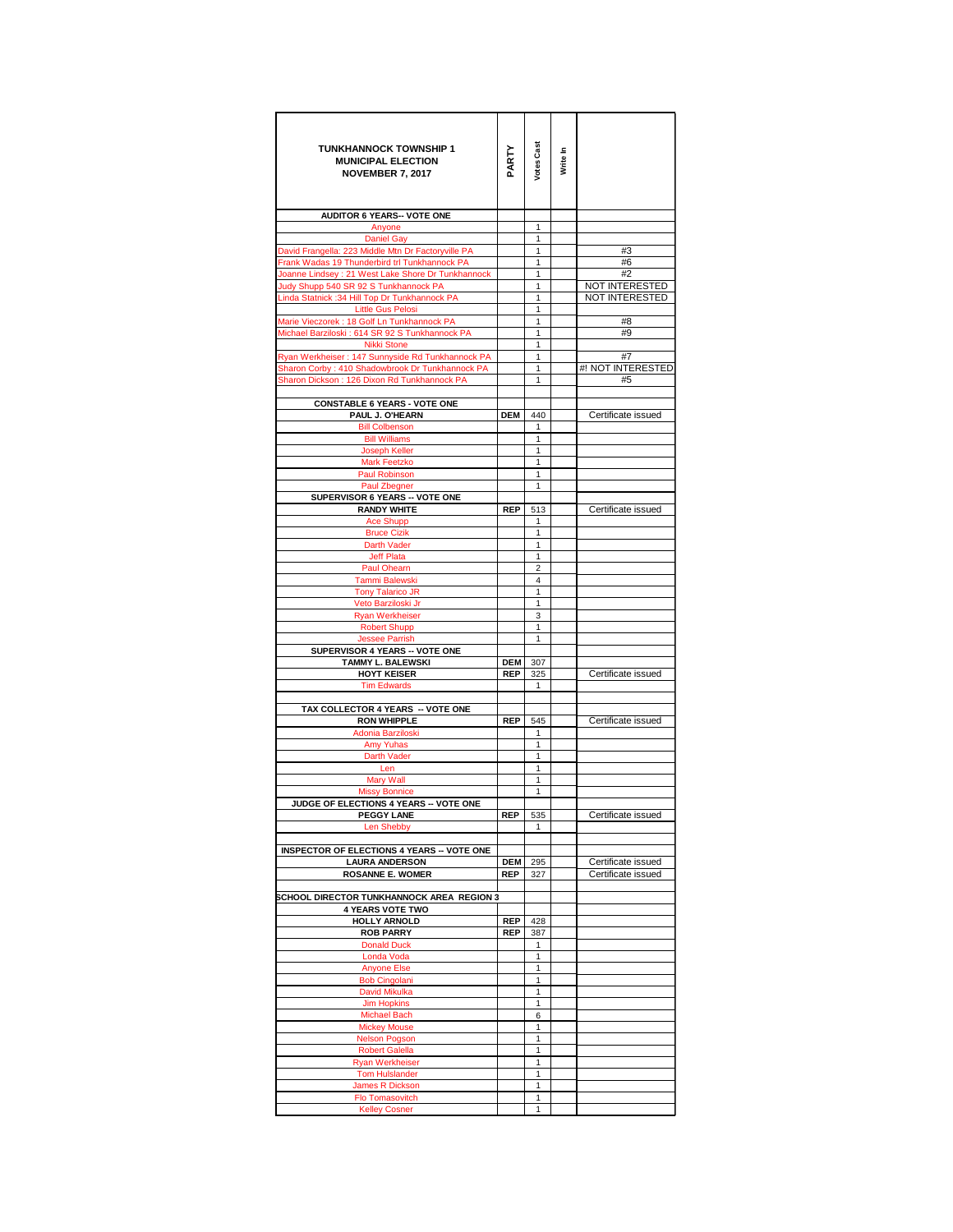| <b>TUNKHANNOCK TOWNSHIP 1</b>                                   |            |                   |          |                    |
|-----------------------------------------------------------------|------------|-------------------|----------|--------------------|
| <b>MUNICIPAL ELECTION</b><br><b>NOVEMBER 7, 2017</b>            | PARTY      | <b>Votes Cast</b> | Write In |                    |
|                                                                 |            |                   |          |                    |
|                                                                 |            |                   |          |                    |
| <b>AUDITOR 6 YEARS-- VOTE ONE</b>                               |            |                   |          |                    |
| Anyone<br><b>Daniel Gay</b>                                     |            | 1<br>1            |          |                    |
| David Frangella: 223 Middle Mtn Dr Factoryville PA              |            | $\mathbf{1}$      |          | #3                 |
| Frank Wadas 19 Thunderbird trl Tunkhannock PA                   |            | 1                 |          | #6                 |
| Joanne Lindsey : 21 West Lake Shore Dr Tunkhannock              |            | 1                 |          | #2                 |
| Judy Shupp 540 SR 92 S Tunkhannock PA                           |            | 1                 |          | NOT INTERESTED     |
| Linda Statnick :34 Hill Top Dr Tunkhannock PA                   |            | 1                 |          | NOT INTERESTED     |
| <b>Little Gus Pelosi</b>                                        |            | 1                 |          |                    |
| Marie Vieczorek : 18 Golf Ln Tunkhannock PA                     |            | 1                 |          | #8                 |
| Michael Barziloski: 614 SR 92 S Tunkhannock PA                  |            | 1                 |          | #9                 |
| Nikki Stone<br>Ryan Werkheiser: 147 Sunnyside Rd Tunkhannock PA |            | $\mathbf{1}$<br>1 |          | #7                 |
| Sharon Corby: 410 Shadowbrook Dr Tunkhannock PA                 |            | 1                 |          | #! NOT INTERESTED  |
| Sharon Dickson: 126 Dixon Rd Tunkhannock PA                     |            | $\mathbf{1}$      |          | #5                 |
|                                                                 |            |                   |          |                    |
| <b>CONSTABLE 6 YEARS - VOTE ONE</b>                             |            |                   |          |                    |
| PAUL J. O'HEARN                                                 | <b>DEM</b> | 440               |          | Certificate issued |
| <b>Bill Colbenson</b>                                           |            | 1                 |          |                    |
| <b>Bill Williams</b>                                            |            | 1                 |          |                    |
| <b>Joseph Keller</b>                                            |            | 1                 |          |                    |
| <b>Mark Feetzko</b>                                             |            | 1                 |          |                    |
| Paul Robinson                                                   |            | 1                 |          |                    |
| Paul Zbegner<br>SUPERVISOR 6 YEARS -- VOTE ONE                  |            | 1                 |          |                    |
| <b>RANDY WHITE</b>                                              | <b>REP</b> | 513               |          | Certificate issued |
| <b>Ace Shupp</b>                                                |            | 1                 |          |                    |
| <b>Bruce Cizik</b>                                              |            | 1                 |          |                    |
| Darth Vader                                                     |            | 1                 |          |                    |
| Jeff Plata                                                      |            | 1                 |          |                    |
| Paul Ohearn                                                     |            | 2                 |          |                    |
| Tammi Balewski                                                  |            | 4                 |          |                    |
| <b>Tony Talarico JR</b><br>Veto Barziloski Jr                   |            | 1<br>1            |          |                    |
| <b>Ryan Werkheiser</b>                                          |            | 3                 |          |                    |
| <b>Robert Shupp</b>                                             |            | 1                 |          |                    |
| <b>Jessee Parrish</b>                                           |            | 1                 |          |                    |
| SUPERVISOR 4 YEARS -- VOTE ONE                                  |            |                   |          |                    |
| TAMMY L. BALEWSKI                                               | <b>DEM</b> | 307               |          |                    |
| <b>HOYT KEISER</b>                                              | <b>REP</b> | 325               |          | Certificate issued |
| <b>Tim Edwards</b>                                              |            | 1                 |          |                    |
|                                                                 |            |                   |          |                    |
| TAX COLLECTOR 4 YEARS -- VOTE ONE<br><b>RON WHIPPLE</b>         | <b>REP</b> | 545               |          | Certificate issued |
| Adonia Barziloski                                               |            | 1                 |          |                    |
| Amy Yuhas                                                       |            | 1                 |          |                    |
| Darth Vader                                                     |            | 1                 |          |                    |
| Len                                                             |            | 1                 |          |                    |
| <b>Mary Wall</b>                                                |            | 1                 |          |                    |
| <b>Missy Bonnice</b>                                            |            | 1                 |          |                    |
| JUDGE OF ELECTIONS 4 YEARS -- VOTE ONE                          |            |                   |          |                    |
| <b>PEGGY LANE</b><br><b>Len Shebby</b>                          | <b>REP</b> | 535               |          | Certificate issued |
|                                                                 |            | 1                 |          |                    |
| <b>INSPECTOR OF ELECTIONS 4 YEARS -- VOTE ONE</b>               |            |                   |          |                    |
| <b>LAURA ANDERSON</b>                                           | <b>DEM</b> | 295               |          | Certificate issued |
| <b>ROSANNE E. WOMER</b>                                         | <b>REP</b> | 327               |          | Certificate issued |
|                                                                 |            |                   |          |                    |
| SCHOOL DIRECTOR TUNKHANNOCK AREA REGION 3                       |            |                   |          |                    |
| <b>4 YEARS VOTE TWO</b>                                         |            |                   |          |                    |
| HOLLY ARNOLD                                                    | <b>REP</b> | 428               |          |                    |
| <b>ROB PARRY</b>                                                | <b>REP</b> | 387               |          |                    |
| <b>Donald Duck</b>                                              |            | $\mathbf{1}$      |          |                    |
| Londa Voda<br><b>Anyone Else</b>                                |            | 1<br>$\mathbf{1}$ |          |                    |
| <b>Bob Cingolani</b>                                            |            | 1                 |          |                    |
| David Mikulka                                                   |            | 1                 |          |                    |
| <b>Jim Hopkins</b>                                              |            | 1                 |          |                    |
| <b>Michael Bach</b>                                             |            | 6                 |          |                    |
| <b>Mickey Mouse</b>                                             |            | 1                 |          |                    |
| <b>Nelson Pogson</b>                                            |            | 1                 |          |                    |
| <b>Robert Galella</b>                                           |            | 1                 |          |                    |
| <b>Ryan Werkheiser</b>                                          |            | 1                 |          |                    |
| <b>Tom Hulslander</b>                                           |            | 1                 |          |                    |
| James R Dickson                                                 |            | 1                 |          |                    |
| Flo Tomasovitch<br><b>Kelley Cosner</b>                         |            | 1<br>1            |          |                    |
|                                                                 |            |                   |          |                    |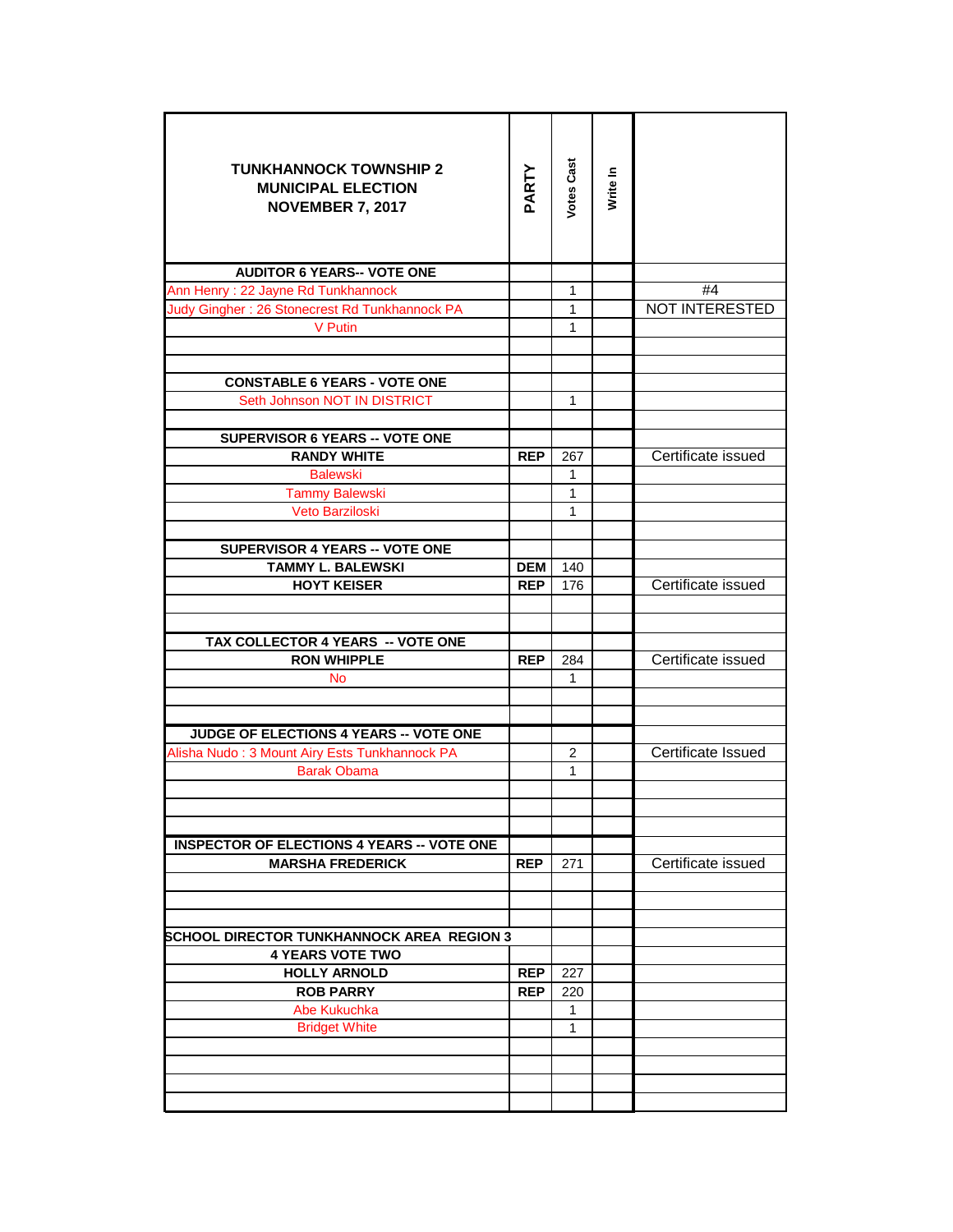| <b>TUNKHANNOCK TOWNSHIP 2</b><br><b>MUNICIPAL ELECTION</b><br><b>NOVEMBER 7, 2017</b> | PARTY      | Votes Cast     | Write In |                       |
|---------------------------------------------------------------------------------------|------------|----------------|----------|-----------------------|
| <b>AUDITOR 6 YEARS-- VOTE ONE</b>                                                     |            |                |          |                       |
| Ann Henry: 22 Jayne Rd Tunkhannock                                                    |            | 1              |          | #4                    |
| Judy Gingher: 26 Stonecrest Rd Tunkhannock PA                                         |            | 1              |          | <b>NOT INTERESTED</b> |
| <b>V</b> Putin                                                                        |            | $\mathbf{1}$   |          |                       |
|                                                                                       |            |                |          |                       |
|                                                                                       |            |                |          |                       |
| <b>CONSTABLE 6 YEARS - VOTE ONE</b>                                                   |            |                |          |                       |
| Seth Johnson NOT IN DISTRICT                                                          |            | 1              |          |                       |
| <b>SUPERVISOR 6 YEARS -- VOTE ONE</b>                                                 |            |                |          |                       |
| <b>RANDY WHITE</b>                                                                    | <b>REP</b> | 267            |          | Certificate issued    |
| <b>Balewski</b>                                                                       |            | 1              |          |                       |
| <b>Tammy Balewski</b>                                                                 |            | $\mathbf{1}$   |          |                       |
| Veto Barziloski                                                                       |            | 1              |          |                       |
|                                                                                       |            |                |          |                       |
| SUPERVISOR 4 YEARS -- VOTE ONE                                                        |            |                |          |                       |
| <b>TAMMY L. BALEWSKI</b>                                                              | <b>DEM</b> | 140            |          |                       |
| <b>HOYT KEISER</b>                                                                    | <b>REP</b> | 176            |          | Certificate issued    |
|                                                                                       |            |                |          |                       |
|                                                                                       |            |                |          |                       |
| TAX COLLECTOR 4 YEARS -- VOTE ONE                                                     |            |                |          |                       |
| <b>RON WHIPPLE</b>                                                                    | <b>REP</b> | 284            |          | Certificate issued    |
| <b>No</b>                                                                             |            | 1              |          |                       |
|                                                                                       |            |                |          |                       |
| JUDGE OF ELECTIONS 4 YEARS -- VOTE ONE                                                |            |                |          |                       |
| Alisha Nudo: 3 Mount Airy Ests Tunkhannock PA                                         |            | $\overline{2}$ |          | Certificate Issued    |
| <b>Barak Obama</b>                                                                    |            | $\mathbf{1}$   |          |                       |
|                                                                                       |            |                |          |                       |
|                                                                                       |            |                |          |                       |
|                                                                                       |            |                |          |                       |
| <b>INSPECTOR OF ELECTIONS 4 YEARS -- VOTE ONE</b>                                     |            |                |          |                       |
| <b>MARSHA FREDERICK</b>                                                               | <b>REP</b> | 271            |          | Certificate issued    |
|                                                                                       |            |                |          |                       |
|                                                                                       |            |                |          |                       |
| <b>SCHOOL DIRECTOR TUNKHANNOCK AREA REGION 3</b>                                      |            |                |          |                       |
| <b>4 YEARS VOTE TWO</b>                                                               |            |                |          |                       |
| <b>HOLLY ARNOLD</b>                                                                   | <b>REP</b> | 227            |          |                       |
| <b>ROB PARRY</b>                                                                      | <b>REP</b> | 220            |          |                       |
| Abe Kukuchka                                                                          |            | 1              |          |                       |
| <b>Bridget White</b>                                                                  |            | $\mathbf{1}$   |          |                       |
|                                                                                       |            |                |          |                       |
|                                                                                       |            |                |          |                       |
|                                                                                       |            |                |          |                       |
|                                                                                       |            |                |          |                       |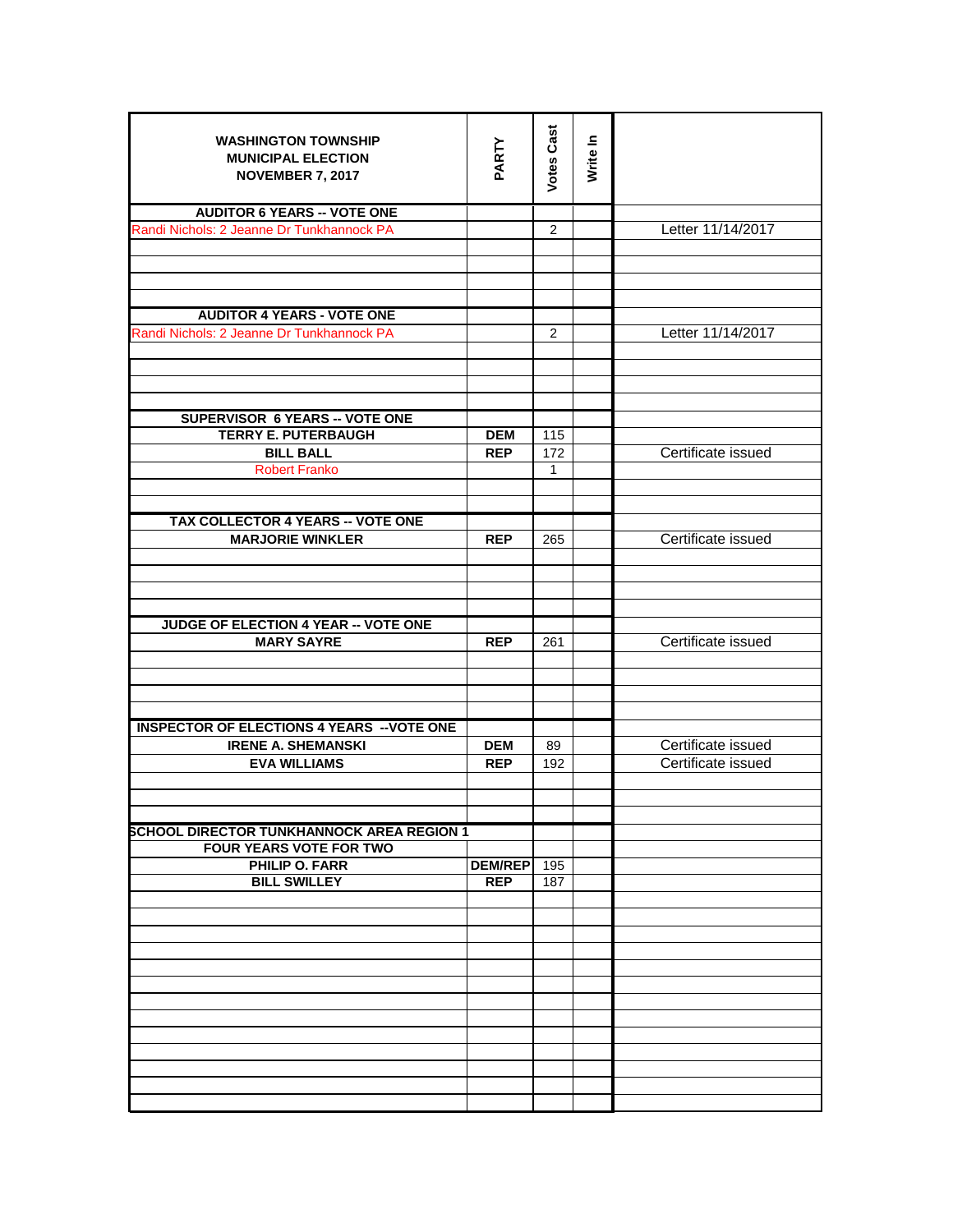| <b>WASHINGTON TOWNSHIP</b><br><b>MUNICIPAL ELECTION</b> | PARTY          | <b>Votes Cast</b> | Write In |                                          |
|---------------------------------------------------------|----------------|-------------------|----------|------------------------------------------|
| <b>NOVEMBER 7, 2017</b>                                 |                |                   |          |                                          |
|                                                         |                |                   |          |                                          |
| <b>AUDITOR 6 YEARS -- VOTE ONE</b>                      |                |                   |          |                                          |
| Randi Nichols: 2 Jeanne Dr Tunkhannock PA               |                | 2                 |          | Letter 11/14/2017                        |
|                                                         |                |                   |          |                                          |
|                                                         |                |                   |          |                                          |
|                                                         |                |                   |          |                                          |
| <b>AUDITOR 4 YEARS - VOTE ONE</b>                       |                |                   |          |                                          |
| Randi Nichols: 2 Jeanne Dr Tunkhannock PA               |                | 2                 |          | Letter 11/14/2017                        |
|                                                         |                |                   |          |                                          |
|                                                         |                |                   |          |                                          |
|                                                         |                |                   |          |                                          |
| <b>SUPERVISOR 6 YEARS -- VOTE ONE</b>                   |                |                   |          |                                          |
| <b>TERRY E. PUTERBAUGH</b>                              | <b>DEM</b>     | 115               |          |                                          |
| <b>BILL BALL</b>                                        | <b>REP</b>     | 172               |          | Certificate issued                       |
| <b>Robert Franko</b>                                    |                | $\mathbf{1}$      |          |                                          |
|                                                         |                |                   |          |                                          |
| TAX COLLECTOR 4 YEARS -- VOTE ONE                       |                |                   |          |                                          |
| <b>MARJORIE WINKLER</b>                                 | <b>REP</b>     | 265               |          | Certificate issued                       |
|                                                         |                |                   |          |                                          |
|                                                         |                |                   |          |                                          |
|                                                         |                |                   |          |                                          |
| JUDGE OF ELECTION 4 YEAR -- VOTE ONE                    |                |                   |          |                                          |
| <b>MARY SAYRE</b>                                       | <b>REP</b>     | 261               |          | Certificate issued                       |
|                                                         |                |                   |          |                                          |
|                                                         |                |                   |          |                                          |
|                                                         |                |                   |          |                                          |
|                                                         |                |                   |          |                                          |
| <b>INSPECTOR OF ELECTIONS 4 YEARS -- VOTE ONE</b>       |                |                   |          |                                          |
| <b>IRENE A. SHEMANSKI</b><br><b>EVA WILLIAMS</b>        | <b>DEM</b>     | 89<br>192         |          | Certificate issued<br>Certificate issued |
|                                                         | <b>REP</b>     |                   |          |                                          |
|                                                         |                |                   |          |                                          |
|                                                         |                |                   |          |                                          |
| <b>SCHOOL DIRECTOR TUNKHANNOCK AREA REGION 1</b>        |                |                   |          |                                          |
| <b>FOUR YEARS VOTE FOR TWO</b>                          |                |                   |          |                                          |
| PHILIP O. FARR<br><b>BILL SWILLEY</b>                   | <b>DEM/REP</b> | 195               |          |                                          |
|                                                         | <b>REP</b>     | 187               |          |                                          |
|                                                         |                |                   |          |                                          |
|                                                         |                |                   |          |                                          |
|                                                         |                |                   |          |                                          |
|                                                         |                |                   |          |                                          |
|                                                         |                |                   |          |                                          |
|                                                         |                |                   |          |                                          |
|                                                         |                |                   |          |                                          |
|                                                         |                |                   |          |                                          |
|                                                         |                |                   |          |                                          |
|                                                         |                |                   |          |                                          |
|                                                         |                |                   |          |                                          |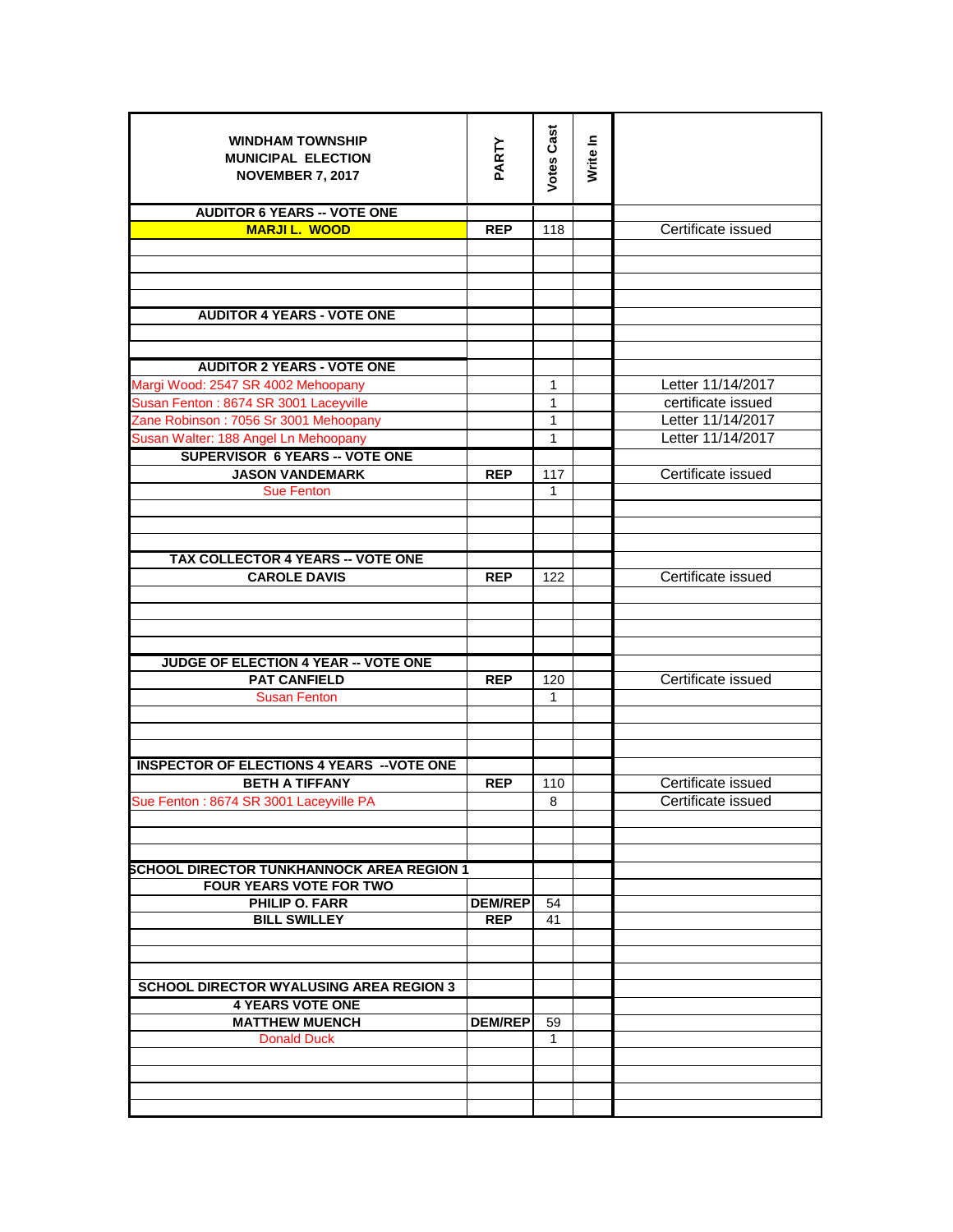| <b>WINDHAM TOWNSHIP</b><br><b>MUNICIPAL ELECTION</b> | PARTY          | <b>Votes Cast</b> | Write In |                    |
|------------------------------------------------------|----------------|-------------------|----------|--------------------|
| <b>NOVEMBER 7, 2017</b>                              |                |                   |          |                    |
|                                                      |                |                   |          |                    |
| <b>AUDITOR 6 YEARS -- VOTE ONE</b>                   |                |                   |          |                    |
| <b>MARJIL. WOOD</b>                                  | <b>REP</b>     | 118               |          | Certificate issued |
|                                                      |                |                   |          |                    |
|                                                      |                |                   |          |                    |
|                                                      |                |                   |          |                    |
| <b>AUDITOR 4 YEARS - VOTE ONE</b>                    |                |                   |          |                    |
|                                                      |                |                   |          |                    |
| <b>AUDITOR 2 YEARS - VOTE ONE</b>                    |                |                   |          |                    |
| Margi Wood: 2547 SR 4002 Mehoopany                   |                | 1                 |          | Letter 11/14/2017  |
| Susan Fenton: 8674 SR 3001 Laceyville                |                | $\mathbf{1}$      |          | certificate issued |
| Zane Robinson: 7056 Sr 3001 Mehoopany                |                | 1                 |          | Letter 11/14/2017  |
| Susan Walter: 188 Angel Ln Mehoopany                 |                | $\mathbf{1}$      |          | Letter 11/14/2017  |
| <b>SUPERVISOR 6 YEARS -- VOTE ONE</b>                |                |                   |          |                    |
| <b>JASON VANDEMARK</b>                               | <b>REP</b>     | 117               |          | Certificate issued |
| <b>Sue Fenton</b>                                    |                | 1                 |          |                    |
|                                                      |                |                   |          |                    |
|                                                      |                |                   |          |                    |
|                                                      |                |                   |          |                    |
| TAX COLLECTOR 4 YEARS -- VOTE ONE                    |                |                   |          |                    |
| <b>CAROLE DAVIS</b>                                  | <b>REP</b>     | 122               |          | Certificate issued |
|                                                      |                |                   |          |                    |
|                                                      |                |                   |          |                    |
|                                                      |                |                   |          |                    |
| JUDGE OF ELECTION 4 YEAR -- VOTE ONE                 |                |                   |          |                    |
| <b>PAT CANFIELD</b>                                  | <b>REP</b>     | 120               |          | Certificate issued |
| <b>Susan Fenton</b>                                  |                | $\mathbf{1}$      |          |                    |
|                                                      |                |                   |          |                    |
|                                                      |                |                   |          |                    |
| <b>INSPECTOR OF ELECTIONS 4 YEARS -- VOTE ONE</b>    |                |                   |          |                    |
| <b>BETH A TIFFANY</b>                                | <b>REP</b>     | 110               |          | Certificate issued |
| Sue Fenton : 8674 SR 3001 Laceyville PA              |                | 8                 |          | Certificate issued |
|                                                      |                |                   |          |                    |
|                                                      |                |                   |          |                    |
| <b>SCHOOL DIRECTOR TUNKHANNOCK AREA REGION 1</b>     |                |                   |          |                    |
| <b>FOUR YEARS VOTE FOR TWO</b>                       |                |                   |          |                    |
| PHILIP O. FARR                                       | <b>DEM/REP</b> | 54                |          |                    |
| <b>BILL SWILLEY</b>                                  | <b>REP</b>     | 41                |          |                    |
|                                                      |                |                   |          |                    |
|                                                      |                |                   |          |                    |
| <b>SCHOOL DIRECTOR WYALUSING AREA REGION 3</b>       |                |                   |          |                    |
| <b>4 YEARS VOTE ONE</b>                              |                |                   |          |                    |
| <b>MATTHEW MUENCH</b>                                | <b>DEM/REP</b> | 59                |          |                    |
| <b>Donald Duck</b>                                   |                | $\mathbf{1}$      |          |                    |
|                                                      |                |                   |          |                    |
|                                                      |                |                   |          |                    |
|                                                      |                |                   |          |                    |
|                                                      |                |                   |          |                    |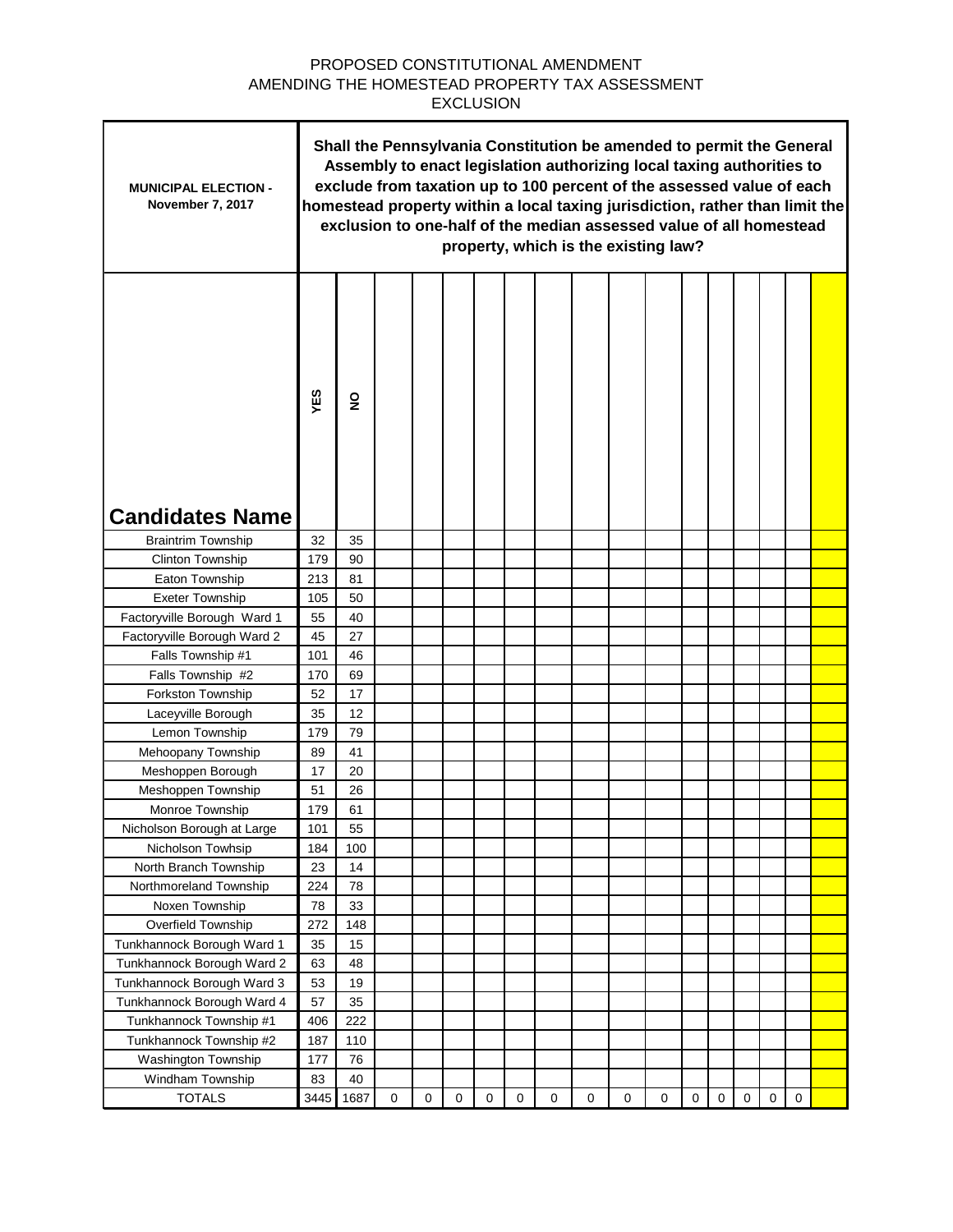## PROPOSED CONSTITUTIONAL AMENDMENT AMENDING THE HOMESTEAD PROPERTY TAX ASSESSMENT EXCLUSION

٦

 $\blacksquare$ 

| <b>MUNICIPAL ELECTION -</b><br>November 7, 2017 | Shall the Pennsylvania Constitution be amended to permit the General<br>Assembly to enact legislation authorizing local taxing authorities to<br>exclude from taxation up to 100 percent of the assessed value of each<br>homestead property within a local taxing jurisdiction, rather than limit the<br>exclusion to one-half of the median assessed value of all homestead<br>property, which is the existing law? |                |             |             |             |             |             |   |   |             |             |             |           |             |             |             |  |
|-------------------------------------------------|-----------------------------------------------------------------------------------------------------------------------------------------------------------------------------------------------------------------------------------------------------------------------------------------------------------------------------------------------------------------------------------------------------------------------|----------------|-------------|-------------|-------------|-------------|-------------|---|---|-------------|-------------|-------------|-----------|-------------|-------------|-------------|--|
| <b>Candidates Name</b>                          | YES                                                                                                                                                                                                                                                                                                                                                                                                                   | $\overline{2}$ |             |             |             |             |             |   |   |             |             |             |           |             |             |             |  |
| <b>Braintrim Township</b>                       | 32                                                                                                                                                                                                                                                                                                                                                                                                                    | 35             |             |             |             |             |             |   |   |             |             |             |           |             |             |             |  |
| Clinton Township                                | 179                                                                                                                                                                                                                                                                                                                                                                                                                   | 90             |             |             |             |             |             |   |   |             |             |             |           |             |             |             |  |
| Eaton Township                                  | 213                                                                                                                                                                                                                                                                                                                                                                                                                   | 81             |             |             |             |             |             |   |   |             |             |             |           |             |             |             |  |
| <b>Exeter Township</b>                          | 105                                                                                                                                                                                                                                                                                                                                                                                                                   | 50             |             |             |             |             |             |   |   |             |             |             |           |             |             |             |  |
| Factoryville Borough Ward 1                     | 55                                                                                                                                                                                                                                                                                                                                                                                                                    | 40             |             |             |             |             |             |   |   |             |             |             |           |             |             |             |  |
| Factoryville Borough Ward 2                     | 45                                                                                                                                                                                                                                                                                                                                                                                                                    | 27             |             |             |             |             |             |   |   |             |             |             |           |             |             |             |  |
| Falls Township #1                               | 101                                                                                                                                                                                                                                                                                                                                                                                                                   | 46             |             |             |             |             |             |   |   |             |             |             |           |             |             |             |  |
| Falls Township #2                               | 170                                                                                                                                                                                                                                                                                                                                                                                                                   | 69             |             |             |             |             |             |   |   |             |             |             |           |             |             |             |  |
| Forkston Township                               | 52                                                                                                                                                                                                                                                                                                                                                                                                                    | 17             |             |             |             |             |             |   |   |             |             |             |           |             |             |             |  |
| Laceyville Borough                              | 35                                                                                                                                                                                                                                                                                                                                                                                                                    | 12             |             |             |             |             |             |   |   |             |             |             |           |             |             |             |  |
| Lemon Township                                  | 179                                                                                                                                                                                                                                                                                                                                                                                                                   | 79             |             |             |             |             |             |   |   |             |             |             |           |             |             |             |  |
| Mehoopany Township                              | 89                                                                                                                                                                                                                                                                                                                                                                                                                    | 41             |             |             |             |             |             |   |   |             |             |             |           |             |             |             |  |
| Meshoppen Borough                               | 17                                                                                                                                                                                                                                                                                                                                                                                                                    | 20             |             |             |             |             |             |   |   |             |             |             |           |             |             |             |  |
| Meshoppen Township                              | 51                                                                                                                                                                                                                                                                                                                                                                                                                    | 26             |             |             |             |             |             |   |   |             |             |             |           |             |             |             |  |
| Monroe Township                                 | 179                                                                                                                                                                                                                                                                                                                                                                                                                   | 61             |             |             |             |             |             |   |   |             |             |             |           |             |             |             |  |
| Nicholson Borough at Large                      | 101                                                                                                                                                                                                                                                                                                                                                                                                                   | 55             |             |             |             |             |             |   |   |             |             |             |           |             |             |             |  |
| Nicholson Towhsip                               | 184                                                                                                                                                                                                                                                                                                                                                                                                                   | 100            |             |             |             |             |             |   |   |             |             |             |           |             |             |             |  |
| North Branch Township                           | 23                                                                                                                                                                                                                                                                                                                                                                                                                    | 14             |             |             |             |             |             |   |   |             |             |             |           |             |             |             |  |
| Northmoreland Township                          | 224                                                                                                                                                                                                                                                                                                                                                                                                                   | 78             |             |             |             |             |             |   |   |             |             |             |           |             |             |             |  |
| Noxen Township                                  | 78                                                                                                                                                                                                                                                                                                                                                                                                                    | 33             |             |             |             |             |             |   |   |             |             |             |           |             |             |             |  |
| Overfield Township                              | 272                                                                                                                                                                                                                                                                                                                                                                                                                   | 148            |             |             |             |             |             |   |   |             |             |             |           |             |             |             |  |
| Tunkhannock Borough Ward 1                      | 35                                                                                                                                                                                                                                                                                                                                                                                                                    | 15             |             |             |             |             |             |   |   |             |             |             |           |             |             |             |  |
| Tunkhannock Borough Ward 2                      | 63                                                                                                                                                                                                                                                                                                                                                                                                                    | 48             |             |             |             |             |             |   |   |             |             |             |           |             |             |             |  |
| Tunkhannock Borough Ward 3                      | 53                                                                                                                                                                                                                                                                                                                                                                                                                    | 19             |             |             |             |             |             |   |   |             |             |             |           |             |             |             |  |
| Tunkhannock Borough Ward 4                      | 57                                                                                                                                                                                                                                                                                                                                                                                                                    | 35             |             |             |             |             |             |   |   |             |             |             |           |             |             |             |  |
| Tunkhannock Township #1                         | 406                                                                                                                                                                                                                                                                                                                                                                                                                   | 222            |             |             |             |             |             |   |   |             |             |             |           |             |             |             |  |
| Tunkhannock Township #2                         | 187                                                                                                                                                                                                                                                                                                                                                                                                                   | 110            |             |             |             |             |             |   |   |             |             |             |           |             |             |             |  |
| Washington Township                             | 177                                                                                                                                                                                                                                                                                                                                                                                                                   | 76             |             |             |             |             |             |   |   |             |             |             |           |             |             |             |  |
| Windham Township                                | 83                                                                                                                                                                                                                                                                                                                                                                                                                    | 40             |             |             |             |             |             |   |   |             |             |             |           |             |             |             |  |
| <b>TOTALS</b>                                   | 3445                                                                                                                                                                                                                                                                                                                                                                                                                  | 1687           | $\mathbf 0$ | $\mathbf 0$ | $\mathbf 0$ | $\mathbf 0$ | $\mathbf 0$ | 0 | 0 | $\mathbf 0$ | $\mathbf 0$ | $\mathbf 0$ | $\pmb{0}$ | $\mathbf 0$ | $\mathbf 0$ | $\mathbf 0$ |  |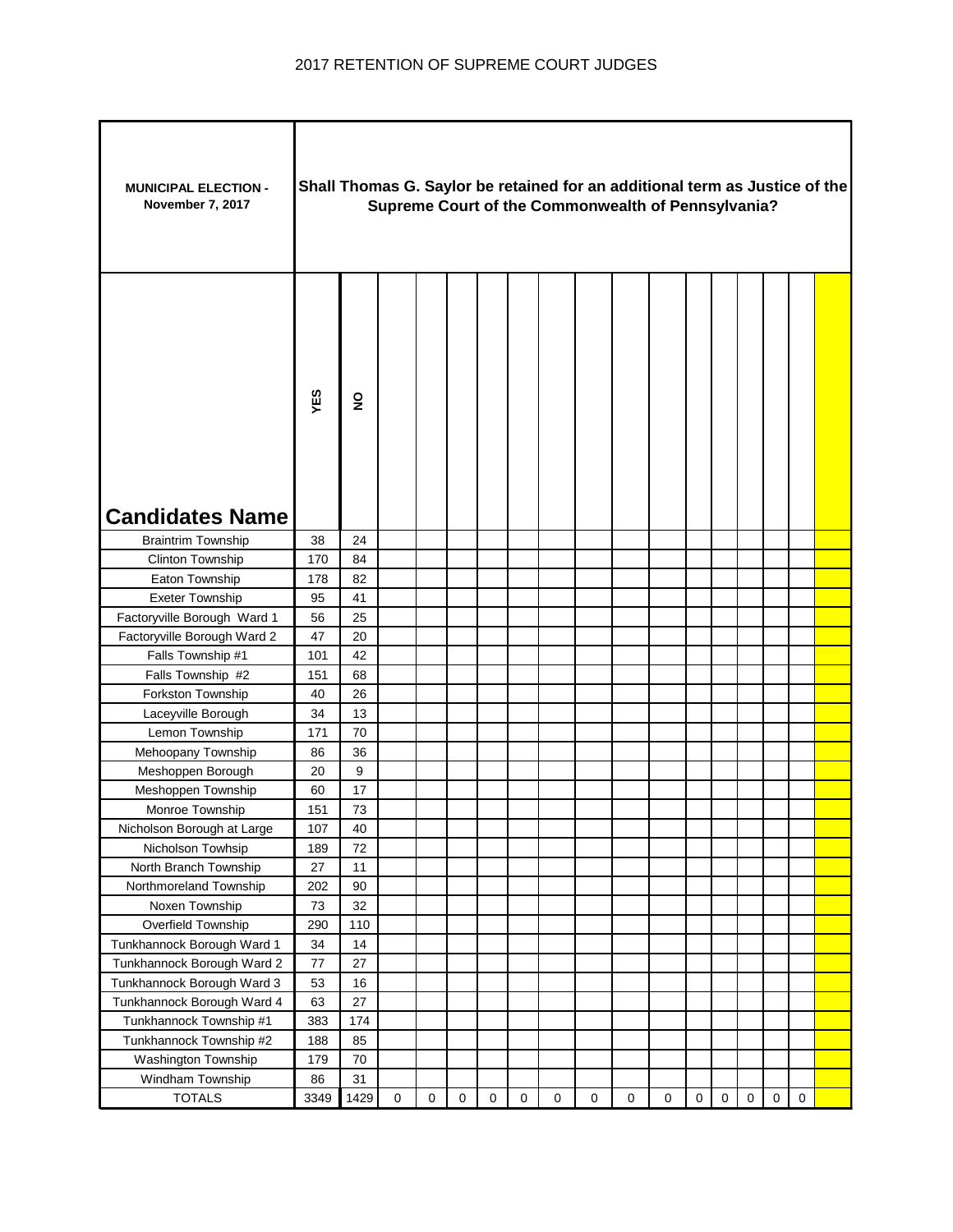| <b>MUNICIPAL ELECTION -</b><br>November 7, 2017 |        | Shall Thomas G. Saylor be retained for an additional term as Justice of the<br>Supreme Court of the Commonwealth of Pennsylvania? |             |   |   |             |             |             |             |   |             |           |             |           |                     |             |  |
|-------------------------------------------------|--------|-----------------------------------------------------------------------------------------------------------------------------------|-------------|---|---|-------------|-------------|-------------|-------------|---|-------------|-----------|-------------|-----------|---------------------|-------------|--|
| <b>Candidates Name</b>                          | YES    | $\overline{2}$                                                                                                                    |             |   |   |             |             |             |             |   |             |           |             |           |                     |             |  |
| <b>Braintrim Township</b>                       | 38     | 24                                                                                                                                |             |   |   |             |             |             |             |   |             |           |             |           |                     |             |  |
| Clinton Township                                | 170    | 84                                                                                                                                |             |   |   |             |             |             |             |   |             |           |             |           |                     |             |  |
| Eaton Township                                  | 178    | 82                                                                                                                                |             |   |   |             |             |             |             |   |             |           |             |           |                     |             |  |
| <b>Exeter Township</b>                          | 95     | 41                                                                                                                                |             |   |   |             |             |             |             |   |             |           |             |           |                     |             |  |
| Factoryville Borough Ward 1                     | 56     | 25                                                                                                                                |             |   |   |             |             |             |             |   |             |           |             |           |                     |             |  |
| Factoryville Borough Ward 2                     | 47     | 20                                                                                                                                |             |   |   |             |             |             |             |   |             |           |             |           |                     |             |  |
| Falls Township #1                               | 101    | 42                                                                                                                                |             |   |   |             |             |             |             |   |             |           |             |           |                     |             |  |
| Falls Township #2                               | 151    | 68                                                                                                                                |             |   |   |             |             |             |             |   |             |           |             |           |                     |             |  |
| Forkston Township                               | 40     | 26                                                                                                                                |             |   |   |             |             |             |             |   |             |           |             |           |                     |             |  |
| Laceyville Borough                              | 34     | 13                                                                                                                                |             |   |   |             |             |             |             |   |             |           |             |           |                     |             |  |
| Lemon Township                                  | 171    | 70                                                                                                                                |             |   |   |             |             |             |             |   |             |           |             |           |                     |             |  |
| Mehoopany Township                              | 86     | 36                                                                                                                                |             |   |   |             |             |             |             |   |             |           |             |           |                     |             |  |
| Meshoppen Borough                               | 20     | 9                                                                                                                                 |             |   |   |             |             |             |             |   |             |           |             |           |                     |             |  |
| Meshoppen Township                              | 60     | 17                                                                                                                                |             |   |   |             |             |             |             |   |             |           |             |           |                     |             |  |
| Monroe Township                                 | 151    | 73                                                                                                                                |             |   |   |             |             |             |             |   |             |           |             |           |                     |             |  |
| Nicholson Borough at Large                      | 107    | 40                                                                                                                                |             |   |   |             |             |             |             |   |             |           |             |           |                     |             |  |
| Nicholson Towhsip                               | 189    | 72                                                                                                                                |             |   |   |             |             |             |             |   |             |           |             |           |                     |             |  |
| North Branch Township                           | $27\,$ | 11                                                                                                                                |             |   |   |             |             |             |             |   |             |           |             |           |                     |             |  |
| Northmoreland Township                          | 202    | $90\,$                                                                                                                            |             |   |   |             |             |             |             |   |             |           |             |           |                     |             |  |
| Noxen Township                                  | 73     | 32                                                                                                                                |             |   |   |             |             |             |             |   |             |           |             |           |                     |             |  |
| Overfield Township                              | 290    | 110                                                                                                                               |             |   |   |             |             |             |             |   |             |           |             |           |                     |             |  |
| Tunkhannock Borough Ward 1                      | 34     | 14                                                                                                                                |             |   |   |             |             |             |             |   |             |           |             |           |                     |             |  |
| Tunkhannock Borough Ward 2                      | 77     | 27                                                                                                                                |             |   |   |             |             |             |             |   |             |           |             |           |                     |             |  |
| Tunkhannock Borough Ward 3                      | 53     | 16                                                                                                                                |             |   |   |             |             |             |             |   |             |           |             |           |                     |             |  |
| Tunkhannock Borough Ward 4                      | 63     | 27                                                                                                                                |             |   |   |             |             |             |             |   |             |           |             |           |                     |             |  |
| Tunkhannock Township #1                         | 383    | 174                                                                                                                               |             |   |   |             |             |             |             |   |             |           |             |           |                     |             |  |
| Tunkhannock Township #2                         | 188    | 85                                                                                                                                |             |   |   |             |             |             |             |   |             |           |             |           |                     |             |  |
| Washington Township                             | 179    | 70                                                                                                                                |             |   |   |             |             |             |             |   |             |           |             |           |                     |             |  |
| Windham Township                                | 86     | 31                                                                                                                                |             |   |   |             |             |             |             |   |             |           |             |           |                     |             |  |
| <b>TOTALS</b>                                   | 3349   | 1429                                                                                                                              | $\mathbf 0$ | 0 | 0 | $\mathbf 0$ | $\mathbf 0$ | $\mathbf 0$ | $\mathbf 0$ | 0 | $\mathbf 0$ | $\pmb{0}$ | $\mathbf 0$ | $\pmb{0}$ | $\mathsf{O}\xspace$ | $\mathbf 0$ |  |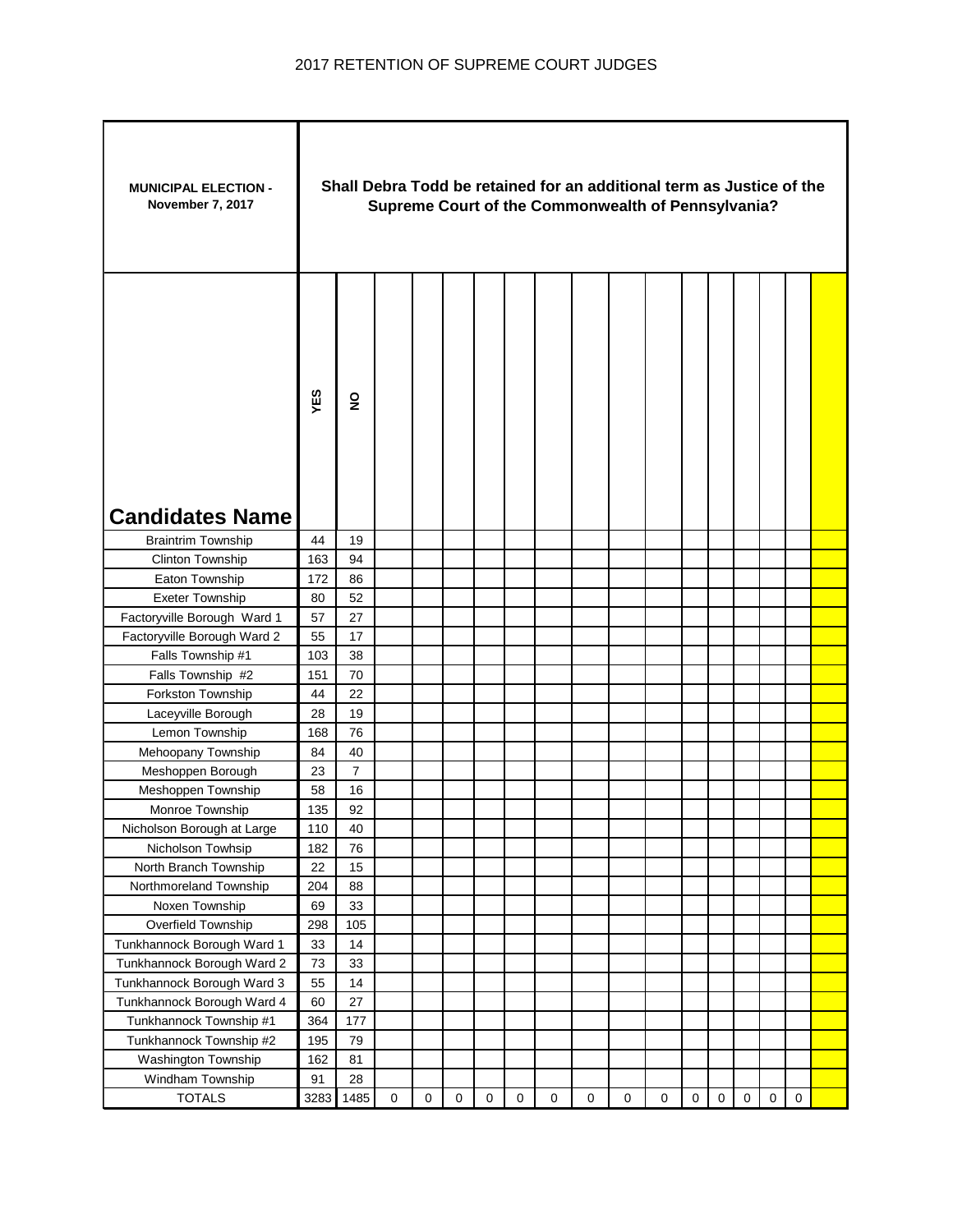| <b>MUNICIPAL ELECTION -</b><br>November 7, 2017 |      | Shall Debra Todd be retained for an additional term as Justice of the<br>Supreme Court of the Commonwealth of Pennsylvania? |             |             |             |           |             |             |   |   |           |           |             |             |           |             |  |
|-------------------------------------------------|------|-----------------------------------------------------------------------------------------------------------------------------|-------------|-------------|-------------|-----------|-------------|-------------|---|---|-----------|-----------|-------------|-------------|-----------|-------------|--|
| <b>Candidates Name</b>                          | YES  | $\overline{2}$                                                                                                              |             |             |             |           |             |             |   |   |           |           |             |             |           |             |  |
| <b>Braintrim Township</b>                       | 44   | 19                                                                                                                          |             |             |             |           |             |             |   |   |           |           |             |             |           |             |  |
| Clinton Township                                | 163  | 94                                                                                                                          |             |             |             |           |             |             |   |   |           |           |             |             |           |             |  |
| Eaton Township                                  | 172  | 86                                                                                                                          |             |             |             |           |             |             |   |   |           |           |             |             |           |             |  |
| <b>Exeter Township</b>                          | 80   | 52                                                                                                                          |             |             |             |           |             |             |   |   |           |           |             |             |           |             |  |
| Factoryville Borough Ward 1                     | 57   | 27                                                                                                                          |             |             |             |           |             |             |   |   |           |           |             |             |           |             |  |
| Factoryville Borough Ward 2                     | 55   | 17                                                                                                                          |             |             |             |           |             |             |   |   |           |           |             |             |           |             |  |
| Falls Township #1                               | 103  | 38                                                                                                                          |             |             |             |           |             |             |   |   |           |           |             |             |           |             |  |
| Falls Township #2                               | 151  | 70                                                                                                                          |             |             |             |           |             |             |   |   |           |           |             |             |           |             |  |
| Forkston Township                               | 44   | 22                                                                                                                          |             |             |             |           |             |             |   |   |           |           |             |             |           |             |  |
| Laceyville Borough                              | 28   | 19                                                                                                                          |             |             |             |           |             |             |   |   |           |           |             |             |           |             |  |
| Lemon Township                                  | 168  | 76                                                                                                                          |             |             |             |           |             |             |   |   |           |           |             |             |           |             |  |
| Mehoopany Township                              | 84   | 40                                                                                                                          |             |             |             |           |             |             |   |   |           |           |             |             |           |             |  |
| Meshoppen Borough                               | 23   | $\overline{7}$                                                                                                              |             |             |             |           |             |             |   |   |           |           |             |             |           |             |  |
| Meshoppen Township                              | 58   | 16                                                                                                                          |             |             |             |           |             |             |   |   |           |           |             |             |           |             |  |
| Monroe Township                                 | 135  | 92                                                                                                                          |             |             |             |           |             |             |   |   |           |           |             |             |           |             |  |
| Nicholson Borough at Large                      | 110  | 40                                                                                                                          |             |             |             |           |             |             |   |   |           |           |             |             |           |             |  |
| Nicholson Towhsip                               | 182  | 76                                                                                                                          |             |             |             |           |             |             |   |   |           |           |             |             |           |             |  |
| North Branch Township                           | 22   | 15                                                                                                                          |             |             |             |           |             |             |   |   |           |           |             |             |           |             |  |
| Northmoreland Township                          | 204  | 88                                                                                                                          |             |             |             |           |             |             |   |   |           |           |             |             |           |             |  |
| Noxen Township                                  | 69   | 33                                                                                                                          |             |             |             |           |             |             |   |   |           |           |             |             |           |             |  |
| Overfield Township                              | 298  | 105                                                                                                                         |             |             |             |           |             |             |   |   |           |           |             |             |           |             |  |
| Tunkhannock Borough Ward 1                      | 33   | 14                                                                                                                          |             |             |             |           |             |             |   |   |           |           |             |             |           |             |  |
| Tunkhannock Borough Ward 2                      | 73   | 33                                                                                                                          |             |             |             |           |             |             |   |   |           |           |             |             |           |             |  |
| Tunkhannock Borough Ward 3                      | 55   | 14                                                                                                                          |             |             |             |           |             |             |   |   |           |           |             |             |           |             |  |
| Tunkhannock Borough Ward 4                      | 60   | 27                                                                                                                          |             |             |             |           |             |             |   |   |           |           |             |             |           |             |  |
| Tunkhannock Township #1                         | 364  | 177                                                                                                                         |             |             |             |           |             |             |   |   |           |           |             |             |           |             |  |
| Tunkhannock Township #2                         | 195  | 79                                                                                                                          |             |             |             |           |             |             |   |   |           |           |             |             |           |             |  |
| Washington Township                             | 162  | 81                                                                                                                          |             |             |             |           |             |             |   |   |           |           |             |             |           |             |  |
| Windham Township                                | 91   | 28                                                                                                                          |             |             |             |           |             |             |   |   |           |           |             |             |           |             |  |
| <b>TOTALS</b>                                   | 3283 | 1485                                                                                                                        | $\mathbf 0$ | $\mathbf 0$ | $\mathbf 0$ | $\pmb{0}$ | $\mathbf 0$ | $\mathbf 0$ | 0 | 0 | $\pmb{0}$ | $\pmb{0}$ | $\mathsf 0$ | $\mathbf 0$ | $\pmb{0}$ | $\mathsf 0$ |  |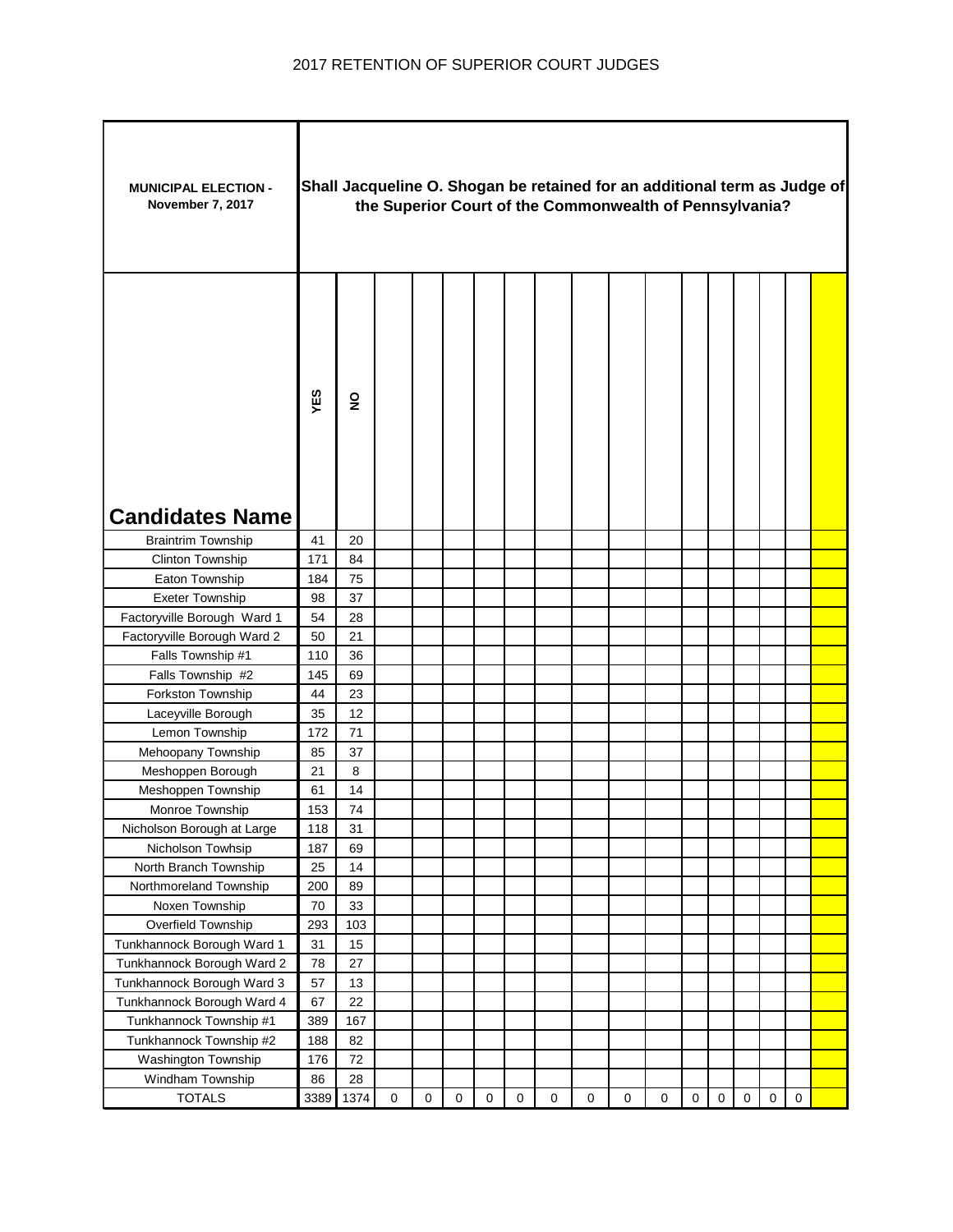| <b>MUNICIPAL ELECTION -</b><br>November 7, 2017 |      | Shall Jacqueline O. Shogan be retained for an additional term as Judge of<br>the Superior Court of the Commonwealth of Pennsylvania? |             |   |             |             |             |             |             |             |             |             |   |           |           |             |  |
|-------------------------------------------------|------|--------------------------------------------------------------------------------------------------------------------------------------|-------------|---|-------------|-------------|-------------|-------------|-------------|-------------|-------------|-------------|---|-----------|-----------|-------------|--|
| <b>Candidates Name</b>                          | YES  | $\overline{2}$                                                                                                                       |             |   |             |             |             |             |             |             |             |             |   |           |           |             |  |
| <b>Braintrim Township</b>                       | 41   | 20                                                                                                                                   |             |   |             |             |             |             |             |             |             |             |   |           |           |             |  |
| Clinton Township                                | 171  | 84                                                                                                                                   |             |   |             |             |             |             |             |             |             |             |   |           |           |             |  |
| Eaton Township                                  | 184  | 75                                                                                                                                   |             |   |             |             |             |             |             |             |             |             |   |           |           |             |  |
| <b>Exeter Township</b>                          | 98   | 37                                                                                                                                   |             |   |             |             |             |             |             |             |             |             |   |           |           |             |  |
| Factoryville Borough Ward 1                     | 54   | 28                                                                                                                                   |             |   |             |             |             |             |             |             |             |             |   |           |           |             |  |
| Factoryville Borough Ward 2                     | 50   | 21                                                                                                                                   |             |   |             |             |             |             |             |             |             |             |   |           |           |             |  |
| Falls Township #1                               | 110  | 36                                                                                                                                   |             |   |             |             |             |             |             |             |             |             |   |           |           |             |  |
| Falls Township #2                               | 145  | 69                                                                                                                                   |             |   |             |             |             |             |             |             |             |             |   |           |           |             |  |
| Forkston Township                               | 44   | 23                                                                                                                                   |             |   |             |             |             |             |             |             |             |             |   |           |           |             |  |
| Laceyville Borough                              | 35   | 12                                                                                                                                   |             |   |             |             |             |             |             |             |             |             |   |           |           |             |  |
| Lemon Township                                  | 172  | 71                                                                                                                                   |             |   |             |             |             |             |             |             |             |             |   |           |           |             |  |
| Mehoopany Township                              | 85   | 37                                                                                                                                   |             |   |             |             |             |             |             |             |             |             |   |           |           |             |  |
| Meshoppen Borough                               | 21   | 8                                                                                                                                    |             |   |             |             |             |             |             |             |             |             |   |           |           |             |  |
| Meshoppen Township                              | 61   | 14                                                                                                                                   |             |   |             |             |             |             |             |             |             |             |   |           |           |             |  |
| Monroe Township                                 | 153  | 74                                                                                                                                   |             |   |             |             |             |             |             |             |             |             |   |           |           |             |  |
| Nicholson Borough at Large                      | 118  | 31                                                                                                                                   |             |   |             |             |             |             |             |             |             |             |   |           |           |             |  |
| Nicholson Towhsip                               | 187  | 69                                                                                                                                   |             |   |             |             |             |             |             |             |             |             |   |           |           |             |  |
| North Branch Township                           | 25   | 14                                                                                                                                   |             |   |             |             |             |             |             |             |             |             |   |           |           |             |  |
| Northmoreland Township                          | 200  | 89                                                                                                                                   |             |   |             |             |             |             |             |             |             |             |   |           |           |             |  |
| Noxen Township                                  | 70   | 33                                                                                                                                   |             |   |             |             |             |             |             |             |             |             |   |           |           |             |  |
| Overfield Township                              | 293  | 103                                                                                                                                  |             |   |             |             |             |             |             |             |             |             |   |           |           |             |  |
| Tunkhannock Borough Ward 1                      | 31   | 15                                                                                                                                   |             |   |             |             |             |             |             |             |             |             |   |           |           |             |  |
| Tunkhannock Borough Ward 2                      | 78   | 27                                                                                                                                   |             |   |             |             |             |             |             |             |             |             |   |           |           |             |  |
| Tunkhannock Borough Ward 3                      | 57   | 13                                                                                                                                   |             |   |             |             |             |             |             |             |             |             |   |           |           |             |  |
| Tunkhannock Borough Ward 4                      | 67   | 22                                                                                                                                   |             |   |             |             |             |             |             |             |             |             |   |           |           |             |  |
| Tunkhannock Township #1                         | 389  | 167                                                                                                                                  |             |   |             |             |             |             |             |             |             |             |   |           |           |             |  |
| Tunkhannock Township #2                         | 188  | 82                                                                                                                                   |             |   |             |             |             |             |             |             |             |             |   |           |           |             |  |
| Washington Township                             | 176  | $72\,$                                                                                                                               |             |   |             |             |             |             |             |             |             |             |   |           |           |             |  |
| Windham Township                                | 86   | 28                                                                                                                                   |             |   |             |             |             |             |             |             |             |             |   |           |           |             |  |
| <b>TOTALS</b>                                   | 3389 | 1374                                                                                                                                 | $\mathbf 0$ | 0 | $\mathbf 0$ | $\mathbf 0$ | $\mathbf 0$ | $\mathbf 0$ | $\mathbf 0$ | $\mathbf 0$ | $\mathsf 0$ | $\mathbf 0$ | 0 | $\pmb{0}$ | $\pmb{0}$ | $\mathbf 0$ |  |